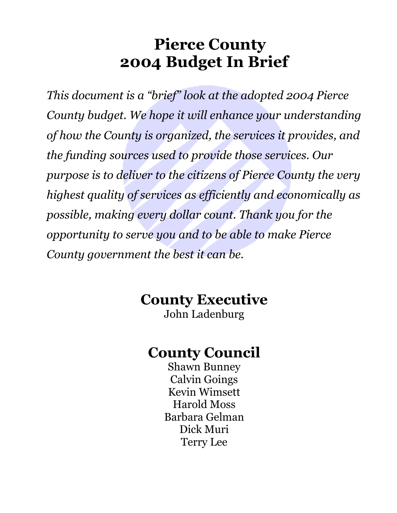## **Pierce County 2004 Budget In Brief**

*This document is a "brief" look at the adopted 2004 Pierce County budget. We hope it will enhance your understanding of how the County is organized, the services it provides, and the funding sources used to provide those services. Our purpose is to deliver to the citizens of Pierce County the very highest quality of services as efficiently and economically as possible, making every dollar count. Thank you for the opportunity to serve you and to be able to make Pierce County government the best it can be.* 

## **County Executive**

John Ladenburg

## **County Council**

Shawn Bunney Calvin Goings Kevin Wimsett Harold Moss Barbara Gelman Dick Muri Terry Lee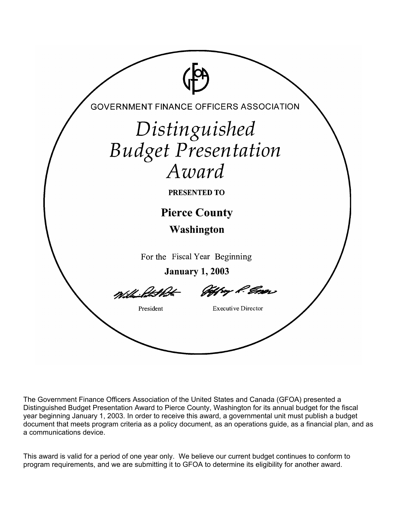

The Government Finance Officers Association of the United States and Canada (GFOA) presented a Distinguished Budget Presentation Award to Pierce County, Washington for its annual budget for the fiscal year beginning January 1, 2003. In order to receive this award, a governmental unit must publish a budget document that meets program criteria as a policy document, as an operations guide, as a financial plan, and as a communications device.

This award is valid for a period of one year only. We believe our current budget continues to conform to program requirements, and we are submitting it to GFOA to determine its eligibility for another award.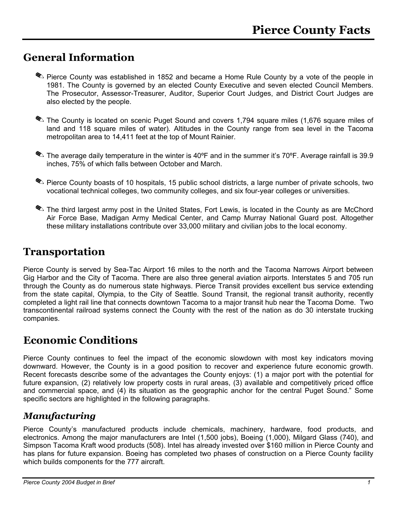### **General Information**

- Pierce County was established in 1852 and became a Home Rule County by a vote of the people in 1981. The County is governed by an elected County Executive and seven elected Council Members. The Prosecutor, Assessor-Treasurer, Auditor, Superior Court Judges, and District Court Judges are also elected by the people.
- The County is located on scenic Puget Sound and covers 1,794 square miles (1,676 square miles of land and 118 square miles of water). Altitudes in the County range from sea level in the Tacoma metropolitan area to 14,411 feet at the top of Mount Rainier.
- The average daily temperature in the winter is 40°F and in the summer it's 70°F. Average rainfall is 39.9 inches, 75% of which falls between October and March.
- Pierce County boasts of 10 hospitals, 15 public school districts, a large number of private schools, two vocational technical colleges, two community colleges, and six four-year colleges or universities.
- The third largest army post in the United States, Fort Lewis, is located in the County as are McChord Air Force Base, Madigan Army Medical Center, and Camp Murray National Guard post. Altogether these military installations contribute over 33,000 military and civilian jobs to the local economy.

### **Transportation**

Pierce County is served by Sea-Tac Airport 16 miles to the north and the Tacoma Narrows Airport between Gig Harbor and the City of Tacoma. There are also three general aviation airports. Interstates 5 and 705 run through the County as do numerous state highways. Pierce Transit provides excellent bus service extending from the state capital, Olympia, to the City of Seattle. Sound Transit, the regional transit authority, recently completed a light rail line that connects downtown Tacoma to a major transit hub near the Tacoma Dome. Two transcontinental railroad systems connect the County with the rest of the nation as do 30 interstate trucking companies.

## **Economic Conditions**

Pierce County continues to feel the impact of the economic slowdown with most key indicators moving downward. However, the County is in a good position to recover and experience future economic growth. Recent forecasts describe some of the advantages the County enjoys: (1) a major port with the potential for future expansion, (2) relatively low property costs in rural areas, (3) available and competitively priced office and commercial space, and (4) its situation as the geographic anchor for the central Puget Sound." Some specific sectors are highlighted in the following paragraphs.

### *Manufacturing*

Pierce County's manufactured products include chemicals, machinery, hardware, food products, and electronics. Among the major manufacturers are Intel (1,500 jobs), Boeing (1,000), Milgard Glass (740), and Simpson Tacoma Kraft wood products (508). Intel has already invested over \$160 million in Pierce County and has plans for future expansion. Boeing has completed two phases of construction on a Pierce County facility which builds components for the 777 aircraft.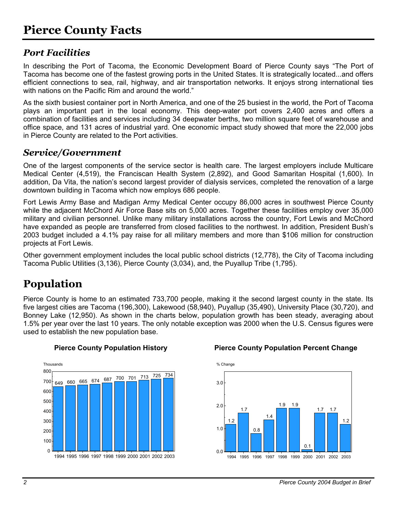### *Port Facilities*

In describing the Port of Tacoma, the Economic Development Board of Pierce County says "The Port of Tacoma has become one of the fastest growing ports in the United States. It is strategically located...and offers efficient connections to sea, rail, highway, and air transportation networks. It enjoys strong international ties with nations on the Pacific Rim and around the world."

As the sixth busiest container port in North America, and one of the 25 busiest in the world, the Port of Tacoma plays an important part in the local economy. This deep-water port covers 2,400 acres and offers a combination of facilities and services including 34 deepwater berths, two million square feet of warehouse and office space, and 131 acres of industrial yard. One economic impact study showed that more the 22,000 jobs in Pierce County are related to the Port activities.

### *Service/Government*

One of the largest components of the service sector is health care. The largest employers include Multicare Medical Center (4,519), the Franciscan Health System (2,892), and Good Samaritan Hospital (1,600). In addition, Da Vita, the nation's second largest provider of dialysis services, completed the renovation of a large downtown building in Tacoma which now employs 686 people.

Fort Lewis Army Base and Madigan Army Medical Center occupy 86,000 acres in southwest Pierce County while the adjacent McChord Air Force Base sits on 5,000 acres. Together these facilities employ over 35,000 military and civilian personnel. Unlike many military installations across the country, Fort Lewis and McChord have expanded as people are transferred from closed facilities to the northwest. In addition, President Bush's 2003 budget included a 4.1% pay raise for all military members and more than \$106 million for construction projects at Fort Lewis.

Other government employment includes the local public school districts (12,778), the City of Tacoma including Tacoma Public Utilities (3,136), Pierce County (3,034), and, the Puyallup Tribe (1,795).

## **Population**

Pierce County is home to an estimated 733,700 people, making it the second largest county in the state. Its five largest cities are Tacoma (196,300), Lakewood (58,940), Puyallup (35,490), University Place (30,720), and Bonney Lake (12,950). As shown in the charts below, population growth has been steady, averaging about 1.5% per year over the last 10 years. The only notable exception was 2000 when the U.S. Census figures were used to establish the new population base.



#### **Pierce County Population History Pierce County Population Percent Change**

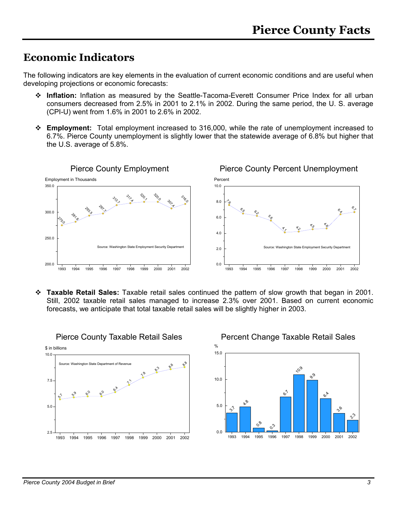### **Economic Indicators**

The following indicators are key elements in the evaluation of current economic conditions and are useful when developing projections or economic forecasts:

- **Inflation:** Inflation as measured by the Seattle-Tacoma-Everett Consumer Price Index for all urban consumers decreased from 2.5% in 2001 to 2.1% in 2002. During the same period, the U. S. average (CPI-U) went from 1.6% in 2001 to 2.6% in 2002.
- **Employment:** Total employment increased to 316,000, while the rate of unemployment increased to 6.7%. Pierce County unemployment is slightly lower that the statewide average of 6.8% but higher that the U.S. average of 5.8%.



 **Taxable Retail Sales:** Taxable retail sales continued the pattern of slow growth that began in 2001. Still, 2002 taxable retail sales managed to increase 2.3% over 2001. Based on current economic forecasts, we anticipate that total taxable retail sales will be slightly higher in 2003.

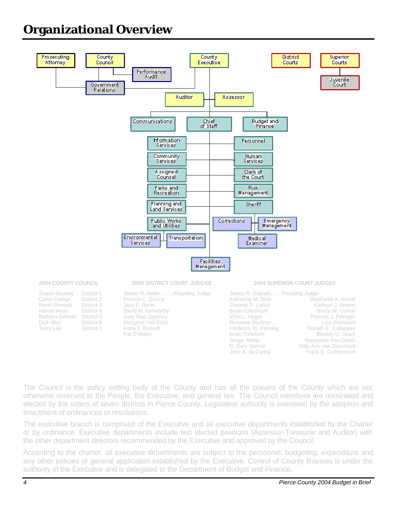## **Organizational Overview**



The Council is the policy setting body of the County and has all the powers of the County which are not otherwise reserved to the People, the Executive, and general law. The Council members are nominated and elected by the voters of seven districts in Pierce County. Legislative authority is exercised by the adoption and enactment of ordinances or resolutions.

The executive branch is comprised of the Executive and all executive departments established by the Charter or by ordinance. Executive departments include two elected positions (Assessor-Treasurer and Auditor) with the other department directors recommended by the Executive and approved by the Council.

According to the charter, all executive departments are subject to the personnel, budgeting, expenditure and any other policies of general application established by the Executive. Control of County finances is under the authority of the Executive and is delegated to the Department of Budget and Finance.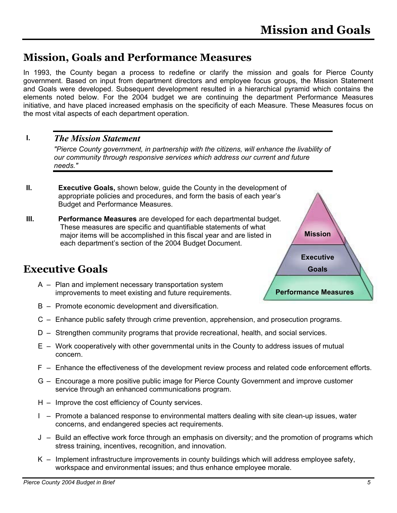### **Mission, Goals and Performance Measures**

In 1993, the County began a process to redefine or clarify the mission and goals for Pierce County government. Based on input from department directors and employee focus groups, the Mission Statement and Goals were developed. Subsequent development resulted in a hierarchical pyramid which contains the elements noted below. For the 2004 budget we are continuing the department Performance Measures initiative, and have placed increased emphasis on the specificity of each Measure. These Measures focus on the most vital aspects of each department operation.

#### *The Mission Statement*  **I.**

*"Pierce County government, in partnership with the citizens, will enhance the livability of our community through responsive services which address our current and future needs."* 

- **II. Executive Goals,** shown below, guide the County in the development of appropriate policies and procedures, and form the basis of each year's Budget and Performance Measures.
- **III. Performance Measures** are developed for each departmental budget. These measures are specific and quantifiable statements of what major items will be accomplished in this fiscal year and are listed in each department's section of the 2004 Budget Document.

## **Executive Goals**

- A Plan and implement necessary transportation system improvements to meet existing and future requirements.
- B Promote economic development and diversification.
- C Enhance public safety through crime prevention, apprehension, and prosecution programs.
- D Strengthen community programs that provide recreational, health, and social services.
- E Work cooperatively with other governmental units in the County to address issues of mutual concern.
- F Enhance the effectiveness of the development review process and related code enforcement efforts.
- G Encourage a more positive public image for Pierce County Government and improve customer service through an enhanced communications program.
- H Improve the cost efficiency of County services.
- I Promote a balanced response to environmental matters dealing with site clean-up issues, water concerns, and endangered species act requirements.
- J Build an effective work force through an emphasis on diversity; and the promotion of programs which stress training, incentives, recognition, and innovation.
- K Implement infrastructure improvements in county buildings which will address employee safety, workspace and environmental issues; and thus enhance employee morale.



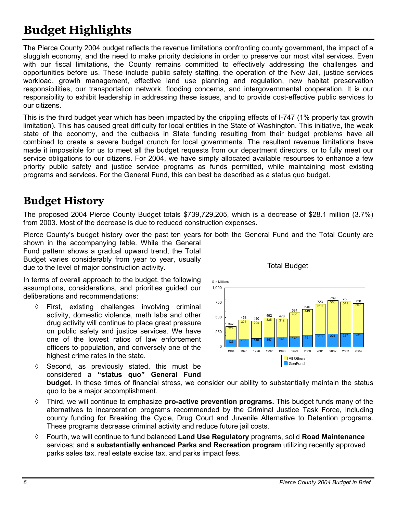## **Budget Highlights**

The Pierce County 2004 budget reflects the revenue limitations confronting county government, the impact of a sluggish economy, and the need to make priority decisions in order to preserve our most vital services. Even with our fiscal limitations, the County remains committed to effectively addressing the challenges and opportunities before us. These include public safety staffing, the operation of the New Jail, justice services workload, growth management, effective land use planning and regulation, new habitat preservation responsibilities, our transportation network, flooding concerns, and intergovernmental cooperation. It is our responsibility to exhibit leadership in addressing these issues, and to provide cost-effective public services to our citizens.

This is the third budget year which has been impacted by the crippling effects of I-747 (1% property tax growth limitation). This has caused great difficulty for local entities in the State of Washington. This initiative, the weak state of the economy, and the cutbacks in State funding resulting from their budget problems have all combined to create a severe budget crunch for local governments. The resultant revenue limitations have made it impossible for us to meet all the budget requests from our department directors, or to fully meet our service obligations to our citizens. For 2004, we have simply allocated available resources to enhance a few priority public safety and justice service programs as funds permitted, while maintaining most existing programs and services. For the General Fund, this can best be described as a status quo budget.

## **Budget History**

The proposed 2004 Pierce County Budget totals \$739,729,205, which is a decrease of \$28.1 million (3.7%) from 2003. Most of the decrease is due to reduced construction expenses.

Pierce County's budget history over the past ten years for both the General Fund and the Total County are shown in the accompanying table. While the General

Fund pattern shows a gradual upward trend, the Total Budget varies considerably from year to year, usually due to the level of major construction activity.

In terms of overall approach to the budget, the following assumptions, considerations, and priorities guided our deliberations and recommendations:

- ◊ First, existing challenges involving criminal activity, domestic violence, meth labs and other drug activity will continue to place great pressure on public safety and justice services. We have one of the lowest ratios of law enforcement officers to population, and conversely one of the highest crime rates in the state.
- ◊ Second, as previously stated, this must be considered a **"status quo" General Fund**



Total Budget

**budget**. In these times of financial stress, we consider our ability to substantially maintain the status quo to be a major accomplishment.

- ◊ Third, we will continue to emphasize **pro-active prevention programs.** This budget funds many of the alternatives to incarceration programs recommended by the Criminal Justice Task Force, including county funding for Breaking the Cycle, Drug Court and Juvenile Alternative to Detention programs. These programs decrease criminal activity and reduce future jail costs.
- ◊ Fourth, we will continue to fund balanced **Land Use Regulatory** programs, solid **Road Maintenance** services; and a **substantially enhanced Parks and Recreation program** utilizing recently approved parks sales tax, real estate excise tax, and parks impact fees.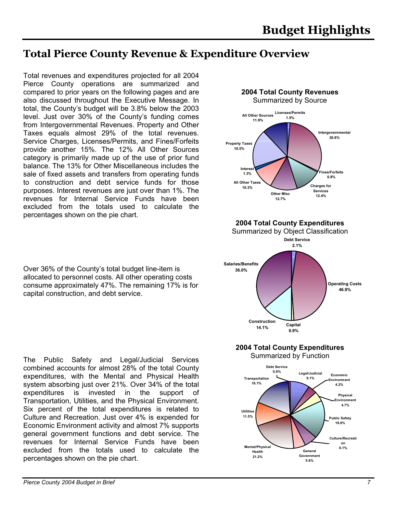## **Total Pierce County Revenue & Expenditure Overview**

Total revenues and expenditures projected for all 2004 Pierce County operations are summarized and compared to prior years on the following pages and are also discussed throughout the Executive Message. In total, the County's budget will be 3.8% below the 2003 level. Just over 30% of the County's funding comes from Intergovernmental Revenues. Property and Other Taxes equals almost 29% of the total revenues. Service Charges, Licenses/Permits, and Fines/Forfeits provide another 15%. The 12% All Other Sources category is primarily made up of the use of prior fund balance. The 13% for Other Miscellaneous includes the sale of fixed assets and transfers from operating funds to construction and debt service funds for those purposes. Interest revenues are just over than 1%. The revenues for Internal Service Funds have been excluded from the totals used to calculate the percentages shown on the pie chart.

Over 36% of the County's total budget line-item is allocated to personnel costs. All other operating costs consume approximately 47%. The remaining 17% is for capital construction, and debt service.

The Public Safety and Legal/Judicial Services combined accounts for almost 28% of the total County expenditures, with the Mental and Physical Health system absorbing just over 21%. Over 34% of the total expenditures is invested in the support of Transportation, Utilities, and the Physical Environment. Six percent of the total expenditures is related to Culture and Recreation. Just over 4% is expended for Economic Environment activity and almost 7% supports general government functions and debt service. The revenues for Internal Service Funds have been excluded from the totals used to calculate the percentages shown on the pie chart.



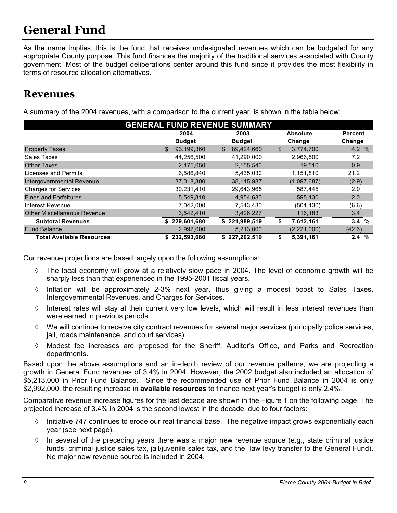## **General Fund**

As the name implies, this is the fund that receives undesignated revenues which can be budgeted for any appropriate County purpose. This fund finances the majority of the traditional services associated with County government. Most of the budget deliberations center around this fund since it provides the most flexibility in terms of resource allocation alternatives.

### **Revenues**

A summary of the 2004 revenues, with a comparison to the current year, is shown in the table below:

| <b>GENERAL FUND REVENUE SUMMARY</b> |                  |                  |                 |                |  |  |
|-------------------------------------|------------------|------------------|-----------------|----------------|--|--|
|                                     | 2004             | 2003             | <b>Absolute</b> | <b>Percent</b> |  |  |
|                                     | <b>Budget</b>    | <b>Budget</b>    | Change          | Change         |  |  |
| <b>Property Taxes</b>               | 93,199,360<br>\$ | \$<br>89,424,660 | \$<br>3,774,700 | 4.2%           |  |  |
| Sales Taxes                         | 44,256,500       | 41,290,000       | 2,966,500       | 7.2            |  |  |
| <b>Other Taxes</b>                  | 2,175,050        | 2,155,540        | 19,510          | 0.9            |  |  |
| Licenses and Permits                | 6,586,840        | 5,435,030        | 1,151,810       | 21.2           |  |  |
| Intergovernmental Revenue           | 37,018,300       | 38,115,987       | (1,097,687)     | (2.9)          |  |  |
| <b>Charges for Services</b>         | 30,231,410       | 29,643,965       | 587,445         | 2.0            |  |  |
| <b>Fines and Forfeitures</b>        | 5,549,810        | 4,954,680        | 595,130         | 12.0           |  |  |
| Interest Revenue                    | 7,042,000        | 7,543,430        | (501, 430)      | (6.6)          |  |  |
| <b>Other Miscellaneous Revenue</b>  | 3,542,410        | 3,426,227        | 116,183         | 3.4            |  |  |
| <b>Subtotal Revenues</b>            | \$229,601,680    | \$221,989,519    | 7,612,161<br>\$ | 3.4%           |  |  |
| <b>Fund Balance</b>                 | 2,992,000        | 5,213,000        | (2,221,000)     | (42.6)         |  |  |
| <b>Total Available Resources</b>    | \$232,593,680    | \$227,202,519    | 5,391,161<br>S  | 2.4<br>%       |  |  |

Our revenue projections are based largely upon the following assumptions:

- ◊ The local economy will grow at a relatively slow pace in 2004. The level of economic growth will be sharply less than that experienced in the 1995-2001 fiscal years.
- $\Diamond$  Inflation will be approximately 2-3% next year, thus giving a modest boost to Sales Taxes, Intergovernmental Revenues, and Charges for Services.
- ◊ Interest rates will stay at their current very low levels, which will result in less interest revenues than were earned in previous periods.
- ◊ We will continue to receive city contract revenues for several major services (principally police services, jail, roads maintenance, and court services).
- ◊ Modest fee increases are proposed for the Sheriff, Auditor's Office, and Parks and Recreation departments.

Based upon the above assumptions and an in-depth review of our revenue patterns, we are projecting a growth in General Fund revenues of 3.4% in 2004. However, the 2002 budget also included an allocation of \$5,213,000 in Prior Fund Balance. Since the recommended use of Prior Fund Balance in 2004 is only \$2,992,000, the resulting increase in **available resources** to finance next year's budget is only 2.4%.

Comparative revenue increase figures for the last decade are shown in the Figure 1 on the following page. The projected increase of 3.4% in 2004 is the second lowest in the decade, due to four factors:

- $\Diamond$  Initiative 747 continues to erode our real financial base. The negative impact grows exponentially each year (see next page).
- $\Diamond$  In several of the preceding years there was a major new revenue source (e.g., state criminal justice funds, criminal justice sales tax, jail/juvenile sales tax, and the law levy transfer to the General Fund). No major new revenue source is included in 2004.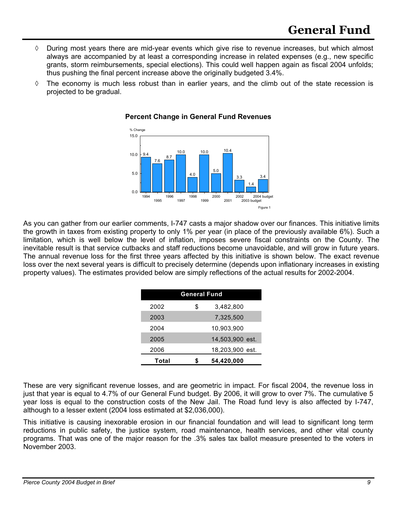- ◊ During most years there are mid-year events which give rise to revenue increases, but which almost always are accompanied by at least a corresponding increase in related expenses (e.g., new specific grants, storm reimbursements, special elections). This could well happen again as fiscal 2004 unfolds; thus pushing the final percent increase above the originally budgeted 3.4%.
- $\Diamond$  The economy is much less robust than in earlier years, and the climb out of the state recession is projected to be gradual.



#### **Percent Change in General Fund Revenues**

As you can gather from our earlier comments, I-747 casts a major shadow over our finances. This initiative limits the growth in taxes from existing property to only 1% per year (in place of the previously available 6%). Such a limitation, which is well below the level of inflation, imposes severe fiscal constraints on the County. The inevitable result is that service cutbacks and staff reductions become unavoidable, and will grow in future years. The annual revenue loss for the first three years affected by this initiative is shown below. The exact revenue loss over the next several years is difficult to precisely determine (depends upon inflationary increases in existing property values). The estimates provided below are simply reflections of the actual results for 2002-2004.

| <b>General Fund</b> |    |                 |  |
|---------------------|----|-----------------|--|
| 2002                | \$ | 3,482,800       |  |
| 2003                |    | 7,325,500       |  |
| 2004                |    | 10,903,900      |  |
| 2005                |    | 14,503,900 est. |  |
| 2006                |    | 18,203,900 est. |  |
| Total               | S  | 54,420,000      |  |

These are very significant revenue losses, and are geometric in impact. For fiscal 2004, the revenue loss in just that year is equal to 4.7% of our General Fund budget. By 2006, it will grow to over 7%. The cumulative 5 year loss is equal to the construction costs of the New Jail. The Road fund levy is also affected by I-747, although to a lesser extent (2004 loss estimated at \$2,036,000).

This initiative is causing inexorable erosion in our financial foundation and will lead to significant long term reductions in public safety, the justice system, road maintenance, health services, and other vital county programs. That was one of the major reason for the .3% sales tax ballot measure presented to the voters in November 2003.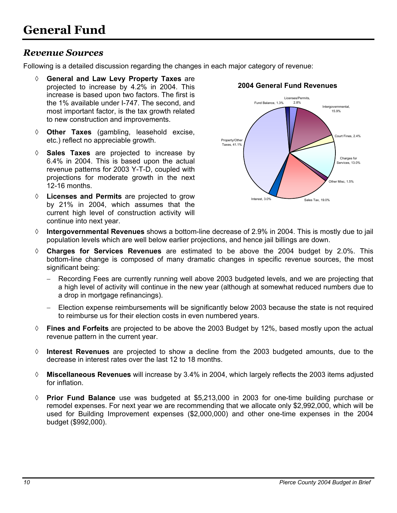### *Revenue Sources*

Following is a detailed discussion regarding the changes in each major category of revenue:

- **General and Law Levy Property Taxes** are projected to increase by 4.2% in 2004. This increase is based upon two factors. The first is the 1% available under I-747. The second, and most important factor, is the tax growth related to new construction and improvements.
- ◊ **Other Taxes** (gambling, leasehold excise, etc.) reflect no appreciable growth.
- ◊ **Sales Taxes** are projected to increase by 6.4% in 2004. This is based upon the actual revenue patterns for 2003 Y-T-D, coupled with projections for moderate growth in the next 12-16 months.
- ◊ **Licenses and Permits** are projected to grow by 21% in 2004, which assumes that the current high level of construction activity will continue into next year.



### **2004 General Fund Revenues**

- ◊ **Intergovernmental Revenues** shows a bottom-line decrease of 2.9% in 2004. This is mostly due to jail population levels which are well below earlier projections, and hence jail billings are down.
- ◊ **Charges for Services Revenues** are estimated to be above the 2004 budget by 2.0%. This bottom-line change is composed of many dramatic changes in specific revenue sources, the most significant being:
	- Recording Fees are currently running well above 2003 budgeted levels, and we are projecting that a high level of activity will continue in the new year (although at somewhat reduced numbers due to a drop in mortgage refinancings).
	- − Election expense reimbursements will be significantly below 2003 because the state is not required to reimburse us for their election costs in even numbered years.
- ◊ **Fines and Forfeits** are projected to be above the 2003 Budget by 12%, based mostly upon the actual revenue pattern in the current year.
- ◊ **Interest Revenues** are projected to show a decline from the 2003 budgeted amounts, due to the decrease in interest rates over the last 12 to 18 months.
- ◊ **Miscellaneous Revenues** will increase by 3.4% in 2004, which largely reflects the 2003 items adjusted for inflation.
- ◊ **Prior Fund Balance** use was budgeted at \$5,213,000 in 2003 for one-time building purchase or remodel expenses. For next year we are recommending that we allocate only \$2,992,000, which will be used for Building Improvement expenses (\$2,000,000) and other one-time expenses in the 2004 budget (\$992,000).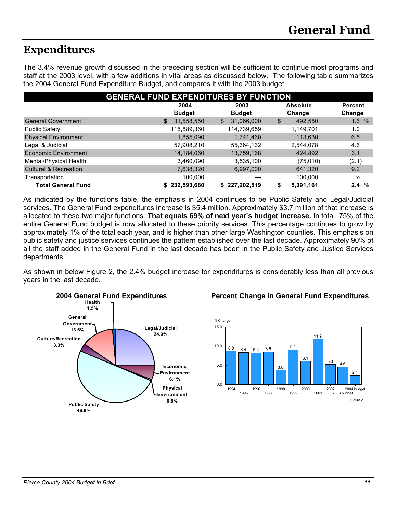## **Expenditures**

The 3.4% revenue growth discussed in the preceding section will be sufficient to continue most programs and staff at the 2003 level, with a few additions in vital areas as discussed below. The following table summarizes the 2004 General Fund Expenditure Budget, and compares it with the 2003 budget.

| <b>GENERAL FUND EXPENDITURES BY FUNCTION</b> |                                 |                  |               |                    |  |  |
|----------------------------------------------|---------------------------------|------------------|---------------|--------------------|--|--|
|                                              | <b>Absolute</b><br>2004<br>2003 |                  |               |                    |  |  |
|                                              | <b>Budget</b>                   | <b>Budget</b>    | Change        | Change             |  |  |
| <b>General Government</b>                    | 31,558,550<br>\$                | 31,066,000<br>\$ | 492,550<br>\$ | 1.6%               |  |  |
| <b>Public Safety</b>                         | 115,889,360                     | 114,739,659      | 1,149,701     | 1.0                |  |  |
| <b>Physical Environment</b>                  | 1,855,090                       | 1,741,460        | 113,630       | 6.5                |  |  |
| Legal & Judicial                             | 57,908,210                      | 55,364,132       | 2,544,078     | 4.6                |  |  |
| <b>Economic Environment</b>                  | 14,184,060                      | 13,759,168       | 424,892       | 3.1                |  |  |
| Mental/Physical Health                       | 3,460,090                       | 3,535,100        | (75,010)      | (2.1)              |  |  |
| <b>Cultural &amp; Recreation</b>             | 7,638,320                       | 6,997,000        | 641,320       | 9.2                |  |  |
| Transportation                               | 100,000                         |                  | 100,000       | $\infty$           |  |  |
| <b>Total General Fund</b>                    | 232,593,680<br>S.               | \$227,202,519    | 5,391,161     | %<br>$2.4^{\circ}$ |  |  |

As indicated by the functions table, the emphasis in 2004 continues to be Public Safety and Legal/Judicial services. The General Fund expenditures increase is \$5.4 million. Approximately \$3.7 million of that increase is allocated to these two major functions. **That equals 69% of next year's budget increase.** In total, 75% of the entire General Fund budget is now allocated to these priority services. This percentage continues to grow by approximately 1% of the total each year, and is higher than other large Washington counties. This emphasis on public safety and justice services continues the pattern established over the last decade. Approximately 90% of all the staff added in the General Fund in the last decade has been in the Public Safety and Justice Services departments.

As shown in below Figure 2, the 2.4% budget increase for expenditures is considerably less than all previous years in the last decade.



### **2004 General Fund Expenditures Percent Change in General Fund Expenditures**

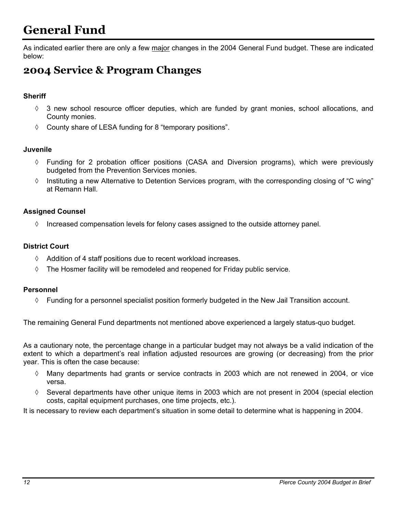## **General Fund**

As indicated earlier there are only a few major changes in the 2004 General Fund budget. These are indicated below:

## **2004 Service & Program Changes**

#### **Sheriff**

- ◊ 3 new school resource officer deputies, which are funded by grant monies, school allocations, and County monies.
- ◊ County share of LESA funding for 8 "temporary positions".

#### **Juvenile**

- ◊ Funding for 2 probation officer positions (CASA and Diversion programs), which were previously budgeted from the Prevention Services monies.
- ◊ Instituting a new Alternative to Detention Services program, with the corresponding closing of "C wing" at Remann Hall.

#### **Assigned Counsel**

 $\Diamond$  Increased compensation levels for felony cases assigned to the outside attorney panel.

#### **District Court**

- ◊ Addition of 4 staff positions due to recent workload increases.
- $\Diamond$  The Hosmer facility will be remodeled and reopened for Friday public service.

#### **Personnel**

◊ Funding for a personnel specialist position formerly budgeted in the New Jail Transition account.

The remaining General Fund departments not mentioned above experienced a largely status-quo budget.

As a cautionary note, the percentage change in a particular budget may not always be a valid indication of the extent to which a department's real inflation adjusted resources are growing (or decreasing) from the prior year. This is often the case because:

- ◊ Many departments had grants or service contracts in 2003 which are not renewed in 2004, or vice versa.
- $\Diamond$  Several departments have other unique items in 2003 which are not present in 2004 (special election costs, capital equipment purchases, one time projects, etc.).

It is necessary to review each department's situation in some detail to determine what is happening in 2004.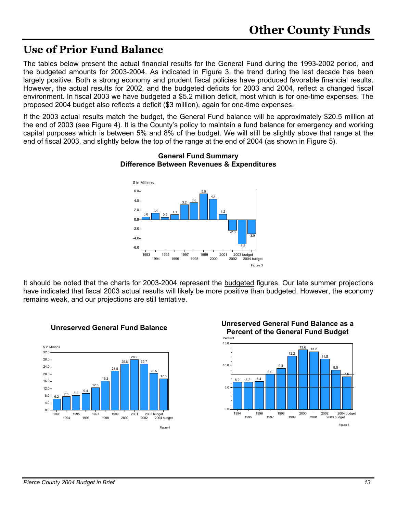### **Use of Prior Fund Balance**

The tables below present the actual financial results for the General Fund during the 1993-2002 period, and the budgeted amounts for 2003-2004. As indicated in Figure 3, the trend during the last decade has been largely positive. Both a strong economy and prudent fiscal policies have produced favorable financial results. However, the actual results for 2002, and the budgeted deficits for 2003 and 2004, reflect a changed fiscal environment. In fiscal 2003 we have budgeted a \$5.2 million deficit, most which is for one-time expenses. The proposed 2004 budget also reflects a deficit (\$3 million), again for one-time expenses.

If the 2003 actual results match the budget, the General Fund balance will be approximately \$20.5 million at the end of 2003 (see Figure 4). It is the County's policy to maintain a fund balance for emergency and working capital purposes which is between 5% and 8% of the budget. We will still be slightly above that range at the end of fiscal 2003, and slightly below the top of the range at the end of 2004 (as shown in Figure 5).



#### **General Fund Summary Difference Between Revenues & Expenditures**

It should be noted that the charts for 2003-2004 represent the budgeted figures. Our late summer projections have indicated that fiscal 2003 actual results will likely be more positive than budgeted. However, the economy remains weak, and our projections are still tentative.





# **Unreserved General Fund Balance Unreserved General Fund Balance as a**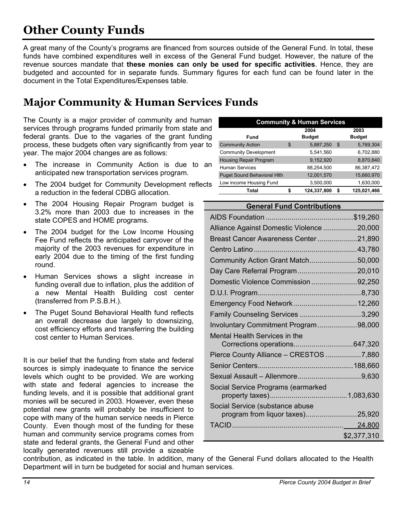## **Other County Funds**

A great many of the County's programs are financed from sources outside of the General Fund. In total, these funds have combined expenditures well in excess of the General Fund budget. However, the nature of the revenue sources mandate that **these monies can only be used for specific activities**. Hence, they are budgeted and accounted for in separate funds. Summary figures for each fund can be found later in the document in the Total Expenditures/Expenses table.

## **Major Community & Human Services Funds**

The County is a major provider of community and human services through programs funded primarily from state and federal grants. Due to the vagaries of the grant funding process, these budgets often vary significantly from year to year. The major 2004 changes are as follows:

- The increase in Community Action is due to an anticipated new transportation services program.
- The 2004 budget for Community Development reflects a reduction in the federal CDBG allocation.
- The 2004 Housing Repair Program budget is 3.2% more than 2003 due to increases in the state COPES and HOME programs.
- The 2004 budget for the Low Income Housing Fee Fund reflects the anticipated carryover of the majority of the 2003 revenues for expenditure in early 2004 due to the timing of the first funding round.
- Human Services shows a slight increase in funding overall due to inflation, plus the addition of a new Mental Health Building cost center (transferred from P.S.B.H.).
- The Puget Sound Behavioral Health fund reflects an overall decrease due largely to downsizing, cost efficiency efforts and transferring the building cost center to Human Services.

It is our belief that the funding from state and federal sources is simply inadequate to finance the service levels which ought to be provided. We are working with state and federal agencies to increase the funding levels, and it is possible that additional grant monies will be secured in 2003. However, even these potential new grants will probably be insufficient to cope with many of the human service needs in Pierce County. Even though most of the funding for these human and community service programs comes from state and federal grants, the General Fund and other locally generated revenues still provide a sizeable

| <b>Community &amp; Human Services</b> |   |                       |    |                       |  |
|---------------------------------------|---|-----------------------|----|-----------------------|--|
| Fund                                  |   | 2004<br><b>Budget</b> |    | 2003<br><b>Budget</b> |  |
| <b>Community Action</b>               | S | 5,887,250             | \$ | 5,769,304             |  |
| <b>Community Development</b>          |   | 5,541,560             |    | 6,702,880             |  |
| <b>Housing Repair Program</b>         |   | 9,152,920             |    | 8,870,840             |  |
| <b>Human Services</b>                 |   | 88,254,500            |    | 86.387.472            |  |
| <b>Puget Sound Behavioral Hith</b>    |   | 12,001,570            |    | 15,660,970            |  |
| Low income Housing Fund               |   | 3,500,000             |    | 1,630,000             |  |
| Total                                 |   | 124,337,800           | S  | 125,021,466           |  |

#### **General Fund Contributions**

| Alliance Against Domestic Violence 20,000 |             |
|-------------------------------------------|-------------|
| Breast Cancer Awareness Center21,890      |             |
|                                           |             |
| Community Action Grant Match50,000        |             |
| Day Care Referral Program20,010           |             |
| Domestic Violence Commission92,250        |             |
|                                           |             |
| Emergency Food Network 12,260             |             |
| Family Counseling Services 3,290          |             |
| Involuntary Commitment Program98,000      |             |
| Mental Health Services in the             |             |
|                                           |             |
| Pierce County Alliance - CRESTOS 7,880    |             |
|                                           |             |
|                                           |             |
| Social Service Programs (earmarked        |             |
|                                           |             |
| Social Service (substance abuse           |             |
| program from liquor taxes)25,920          |             |
|                                           |             |
|                                           | \$2,377,310 |

contribution, as indicated in the table. In addition, many of the General Fund dollars allocated to the Health Department will in turn be budgeted for social and human services.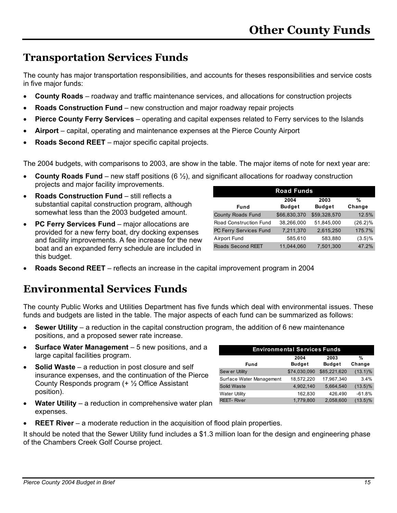## **Transportation Services Funds**

The county has major transportation responsibilities, and accounts for theses responsibilities and service costs in five major funds:

- **County Roads** roadway and traffic maintenance services, and allocations for construction projects
- **Roads Construction Fund** new construction and major roadway repair projects
- **Pierce County Ferry Services** operating and capital expenses related to Ferry services to the Islands
- **Airport** capital, operating and maintenance expenses at the Pierce County Airport
- **Roads Second REET** major specific capital projects.

The 2004 budgets, with comparisons to 2003, are show in the table. The major items of note for next year are:

- **County Roads Fund** new staff positions (6 ½), and significant allocations for roadway construction projects and major facility improvements.
- **Roads Construction Fund** still reflects a substantial capital construction program, although somewhat less than the 2003 budgeted amount.
- **PC Ferry Services Fund** major allocations are provided for a new ferry boat, dry docking expenses and facility improvements. A fee increase for the new boat and an expanded ferry schedule are included in this budget.

| <b>Road Funds</b>        |                       |                       |             |  |  |  |
|--------------------------|-----------------------|-----------------------|-------------|--|--|--|
| Fund                     | 2004<br><b>Budget</b> | 2003<br><b>Budget</b> | %<br>Change |  |  |  |
| <b>County Roads Fund</b> | \$66,830,370          | \$59,328,570          | 12.5%       |  |  |  |
| Road Construction Fund   | 38,266,000            | 51,845,000            | $(26.2)\%$  |  |  |  |
| PC Ferry Services Fund   | 7,211,370             | 2,615,250             | 175.7%      |  |  |  |
| Airport Fund             | 585,610               | 583,880               | $(3.5)\%$   |  |  |  |
| <b>Roads Second REET</b> | 11.044.060            | 7,501,300             | 47.2%       |  |  |  |

• **Roads Second REET** – reflects an increase in the capital improvement program in 2004

## **Environmental Services Funds**

The county Public Works and Utilities Department has five funds which deal with environmental issues. These funds and budgets are listed in the table. The major aspects of each fund can be summarized as follows:

- **Sewer Utility** a reduction in the capital construction program, the addition of 6 new maintenance positions, and a proposed sewer rate increase.
- **Surface Water Management** 5 new positions, and a large capital facilities program.
- **Solid Waste** a reduction in post closure and self insurance expenses, and the continuation of the Pierce County Responds program (+ ½ Office Assistant position).
- **Water Utility** a reduction in comprehensive water plan expenses.

| <b>Environmental Services Funds</b> |               |               |            |  |  |  |
|-------------------------------------|---------------|---------------|------------|--|--|--|
| %<br>2004<br>2003                   |               |               |            |  |  |  |
| Fund                                | <b>Budget</b> | <b>Budget</b> | Change     |  |  |  |
| Sew er Utility                      | \$74,030,090  | \$85,221,620  | $(13.1)\%$ |  |  |  |
| Surface Water Management            | 18,572,220    | 17,967,340    | 3.4%       |  |  |  |
| Solid Waste                         | 4,902,140     | 5,664,540     | $(13.5)\%$ |  |  |  |
| <b>Water Utility</b>                | 162,830       | 426,490       | $-61.8%$   |  |  |  |
| <b>REET-River</b>                   | 1,779,800     | 2,058,600     | $(13.5)\%$ |  |  |  |

**REET River** – a moderate reduction in the acquisition of flood plain properties.

It should be noted that the Sewer Utility fund includes a \$1.3 million loan for the design and engineering phase of the Chambers Creek Golf Course project.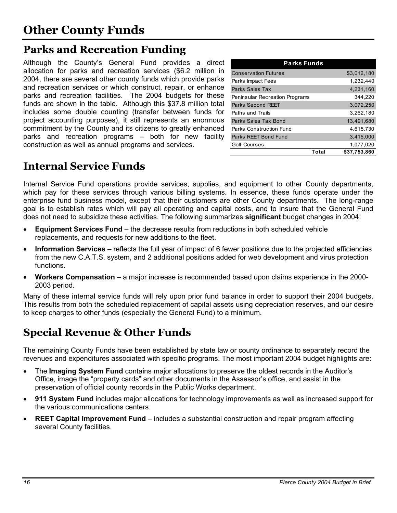## **Parks and Recreation Funding**

Although the County's General Fund provides a direct allocation for parks and recreation services (\$6.2 million in 2004, there are several other county funds which provide parks and recreation services or which construct, repair, or enhance parks and recreation facilities. The 2004 budgets for these funds are shown in the table. Although this \$37.8 million total includes some double counting (transfer between funds for project accounting purposes), it still represents an enormous commitment by the County and its citizens to greatly enhanced parks and recreation programs – both for new facility construction as well as annual programs and services.

| <b>Parks Funds</b>                    |              |
|---------------------------------------|--------------|
| <b>Conservation Futures</b>           | \$3,012,180  |
| Parks Impact Fees                     | 1,232,440    |
| Parks Sales Tax                       | 4.231.160    |
| <b>Peninsular Recreation Programs</b> | 344.220      |
| <b>Parks Second REET</b>              | 3,072,250    |
| Paths and Trails                      | 3,262,180    |
| Parks Sales Tax Bond                  | 13,491,680   |
| Parks Construction Fund               | 4.615.730    |
| Parks REET Bond Fund                  | 3,415,000    |
| Golf Courses                          | 1,077,020    |
| Total                                 | \$37,753,860 |

## **Internal Service Funds**

Internal Service Fund operations provide services, supplies, and equipment to other County departments, which pay for these services through various billing systems. In essence, these funds operate under the enterprise fund business model, except that their customers are other County departments. The long-range goal is to establish rates which will pay all operating and capital costs, and to insure that the General Fund does not need to subsidize these activities. The following summarizes **significant** budget changes in 2004:

- **Equipment Services Fund** the decrease results from reductions in both scheduled vehicle replacements, and requests for new additions to the fleet.
- **Information Services** reflects the full year of impact of 6 fewer positions due to the projected efficiencies from the new C.A.T.S. system, and 2 additional positions added for web development and virus protection functions.
- **Workers Compensation** a major increase is recommended based upon claims experience in the 2000- 2003 period.

Many of these internal service funds will rely upon prior fund balance in order to support their 2004 budgets. This results from both the scheduled replacement of capital assets using depreciation reserves, and our desire to keep charges to other funds (especially the General Fund) to a minimum.

## **Special Revenue & Other Funds**

The remaining County Funds have been established by state law or county ordinance to separately record the revenues and expenditures associated with specific programs. The most important 2004 budget highlights are:

- The **Imaging System Fund** contains major allocations to preserve the oldest records in the Auditor's Office, image the "property cards" and other documents in the Assessor's office, and assist in the preservation of official county records in the Public Works department.
- **911 System Fund** includes major allocations for technology improvements as well as increased support for the various communications centers.
- **REET Capital Improvement Fund** includes a substantial construction and repair program affecting several County facilities.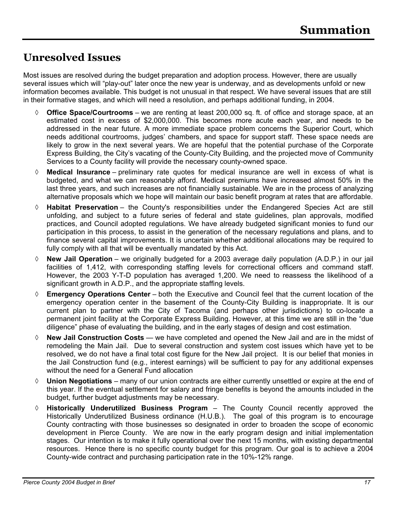## **Unresolved Issues**

Most issues are resolved during the budget preparation and adoption process. However, there are usually several issues which will "play-out" later once the new year is underway, and as developments unfold or new information becomes available. This budget is not unusual in that respect. We have several issues that are still in their formative stages, and which will need a resolution, and perhaps additional funding, in 2004.

- ◊ **Office Space/Courtrooms**  we are renting at least 200,000 sq. ft. of office and storage space, at an estimated cost in excess of \$2,000,000. This becomes more acute each year, and needs to be addressed in the near future. A more immediate space problem concerns the Superior Court, which needs additional courtrooms, judges' chambers, and space for support staff. These space needs are likely to grow in the next several years. We are hopeful that the potential purchase of the Corporate Express Building, the City's vacating of the County-City Building, and the projected move of Community Services to a County facility will provide the necessary county-owned space.
- ◊ **Medical Insurance** preliminary rate quotes for medical insurance are well in excess of what is budgeted, and what we can reasonably afford. Medical premiums have increased almost 50% in the last three years, and such increases are not financially sustainable. We are in the process of analyzing alternative proposals which we hope will maintain our basic benefit program at rates that are affordable.
- ◊ **Habitat Preservation** the County's responsibilities under the Endangered Species Act are still unfolding, and subject to a future series of federal and state guidelines, plan approvals, modified practices, and Council adopted regulations. We have already budgeted significant monies to fund our participation in this process, to assist in the generation of the necessary regulations and plans, and to finance several capital improvements. It is uncertain whether additional allocations may be required to fully comply with all that will be eventually mandated by this Act.
- ◊ **New Jail Operation** we originally budgeted for a 2003 average daily population (A.D.P.) in our jail facilities of 1,412, with corresponding staffing levels for correctional officers and command staff. However, the 2003 Y-T-D population has averaged 1,200. We need to reassess the likelihood of a significant growth in A.D.P., and the appropriate staffing levels.
- ◊ **Emergency Operations Center** both the Executive and Council feel that the current location of the emergency operation center in the basement of the County-City Building is inappropriate. It is our current plan to partner with the City of Tacoma (and perhaps other jurisdictions) to co-locate a permanent joint facility at the Corporate Express Building. However, at this time we are still in the "due diligence" phase of evaluating the building, and in the early stages of design and cost estimation.
- ◊ **New Jail Construction Costs** we have completed and opened the New Jail and are in the midst of remodeling the Main Jail. Due to several construction and system cost issues which have yet to be resolved, we do not have a final total cost figure for the New Jail project. It is our belief that monies in the Jail Construction fund (e.g., interest earnings) will be sufficient to pay for any additional expenses without the need for a General Fund allocation
- ◊ **Union Negotiations** many of our union contracts are either currently unsettled or expire at the end of this year. If the eventual settlement for salary and fringe benefits is beyond the amounts included in the budget, further budget adjustments may be necessary.
- ◊ **Historically Underutilized Business Program**  The County Council recently approved the Historically Underutilized Business ordinance (H.U.B.). The goal of this program is to encourage County contracting with those businesses so designated in order to broaden the scope of economic development in Pierce County. We are now in the early program design and initial implementation stages. Our intention is to make it fully operational over the next 15 months, with existing departmental resources. Hence there is no specific county budget for this program. Our goal is to achieve a 2004 County-wide contract and purchasing participation rate in the 10%-12% range.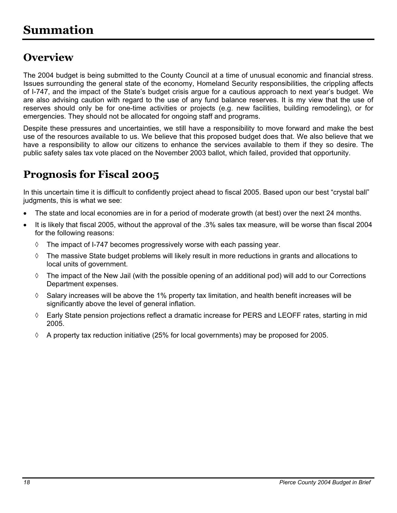## **Overview**

The 2004 budget is being submitted to the County Council at a time of unusual economic and financial stress. Issues surrounding the general state of the economy, Homeland Security responsibilities, the crippling affects of I-747, and the impact of the State's budget crisis argue for a cautious approach to next year's budget. We are also advising caution with regard to the use of any fund balance reserves. It is my view that the use of reserves should only be for one-time activities or projects (e.g. new facilities, building remodeling), or for emergencies. They should not be allocated for ongoing staff and programs.

Despite these pressures and uncertainties, we still have a responsibility to move forward and make the best use of the resources available to us. We believe that this proposed budget does that. We also believe that we have a responsibility to allow our citizens to enhance the services available to them if they so desire. The public safety sales tax vote placed on the November 2003 ballot, which failed, provided that opportunity.

## **Prognosis for Fiscal 2005**

In this uncertain time it is difficult to confidently project ahead to fiscal 2005. Based upon our best "crystal ball" judgments, this is what we see:

- The state and local economies are in for a period of moderate growth (at best) over the next 24 months.
- It is likely that fiscal 2005, without the approval of the .3% sales tax measure, will be worse than fiscal 2004 for the following reasons:
	- $\Diamond$  The impact of I-747 becomes progressively worse with each passing year.
	- ◊ The massive State budget problems will likely result in more reductions in grants and allocations to local units of government.
	- ◊ The impact of the New Jail (with the possible opening of an additional pod) will add to our Corrections Department expenses.
	- $\Diamond$  Salary increases will be above the 1% property tax limitation, and health benefit increases will be significantly above the level of general inflation.
	- ◊ Early State pension projections reflect a dramatic increase for PERS and LEOFF rates, starting in mid 2005.
	- $\Diamond$  A property tax reduction initiative (25% for local governments) may be proposed for 2005.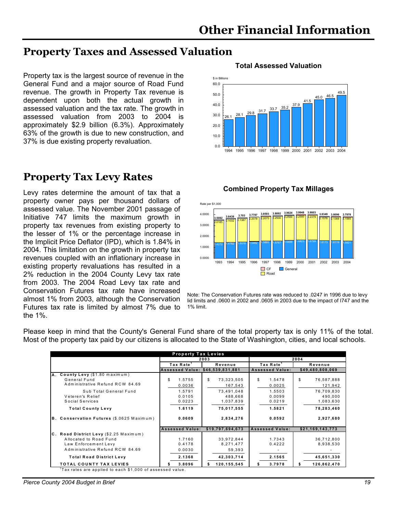### **Property Taxes and Assessed Valuation**

Property tax is the largest source of revenue in the General Fund and a major source of Road Fund revenue. The growth in Property Tax revenue is dependent upon both the actual growth in assessed valuation and the tax rate. The growth in assessed valuation from 2003 to 2004 is approximately \$2.9 billion (6.3%). Approximately 63% of the growth is due to new construction, and 37% is due existing property revaluation.

## **Property Tax Levy Rates**

**Combined Property Tax Millages** Levy rates determine the amount of tax that a property owner pays per thousand dollars of assessed value. The November 2001 passage of Initiative 747 limits the maximum growth in property tax revenues from existing property to the lesser of 1% or the percentage increase in the Implicit Price Deflator (IPD), which is 1.84% in 2004. This limitation on the growth in property tax revenues coupled with an inflationary increase in existing property revaluations has resulted in a 2% reduction in the 2004 County Levy tax rate from 2003. The 2004 Road Levy tax rate and Conservation Futures tax rate have increased almost 1% from 2003, although the Conservation Futures tax rate is limited by almost 7% due to the 1%.

### **Total Assessed Valuation**





Note: The Conservation Futures rate was reduced to .0247 in 1996 due to levy lid limits and .0600 in 2002 and .0605 in 2003 due to the impact of I747 and the 1% limit.

|                                           | <b>Property Tax Levies</b>       |                     |                        |                  |  |
|-------------------------------------------|----------------------------------|---------------------|------------------------|------------------|--|
|                                           |                                  | 2003                | 2004                   |                  |  |
|                                           | Tax Rate <sup>1</sup>            | Revenue             | Tax Rate <sup>1</sup>  | Revenue          |  |
|                                           | Assessed Value: \$46,539,831,881 |                     | Assessed Value:        | \$49,480,808,069 |  |
| A. County Levy (\$1.80 maximum)           |                                  |                     |                        |                  |  |
| General Fund                              | S<br>1.5755                      | \$<br>73,323,505    | \$<br>1.5478           | \$<br>76,587,888 |  |
| Administrative Refund RCW 84.69           | 0.0036                           | 167,543             | 0.0025                 | 121,942          |  |
| Sub Total General Fund                    | 1.5791                           | 73,491,048          | 1.5503                 | 76,709,830       |  |
| Veteren's Relief                          | 0.0105                           | 488,668             | 0.0099                 | 490,000          |  |
| Social Services                           | 0.0223                           | 1,037,839           | 0.0219                 | 1,083,630        |  |
| <b>Total County Levy</b>                  | 1.6119                           | 75,017,555          | 1.5821                 | 78,283,460       |  |
| B. Conservation Futures (\$.0625 Maximum) | 0.0609                           | 2,834,276           | 0.0592                 | 2,927,680        |  |
|                                           | <b>Assessed Value:</b>           | \$19,797,694,673    | <b>Assessed Value:</b> | \$21,169,143,773 |  |
| C. Road District Levy (\$2.25 Maximum)    |                                  |                     |                        |                  |  |
| Allocated to Road Fund                    | 1.7160                           | 33,972,844          | 1.7343                 | 36,712,800       |  |
| Law Enforcement Levy                      | 0.4178                           | 8,271,477           | 0.4222                 | 8,938,530        |  |
| Administrative Refund RCW 84.69           | 0.0030                           | 59,393              |                        |                  |  |
| <b>Total Road District Levy</b>           | 2.1368                           | 42,303,714          | 2.1565                 | 45,651,330       |  |
| <b>TOTAL COUNTY TAX LEVIES</b>            | 3.8096                           | 120, 155, 545<br>\$ | 3.7978                 | 126,862,470      |  |

Please keep in mind that the County's General Fund share of the total property tax is only 11% of the total. Most of the property tax paid by our citizens is allocated to the State of Washington, cities, and local schools.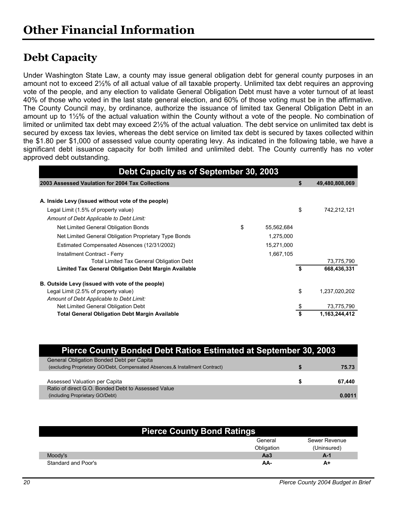## **Debt Capacity**

Under Washington State Law, a county may issue general obligation debt for general county purposes in an amount not to exceed 2½% of all actual value of all taxable property. Unlimited tax debt requires an approving vote of the people, and any election to validate General Obligation Debt must have a voter turnout of at least 40% of those who voted in the last state general election, and 60% of those voting must be in the affirmative. The County Council may, by ordinance, authorize the issuance of limited tax General Obligation Debt in an amount up to 1½% of the actual valuation within the County without a vote of the people. No combination of limited or unlimited tax debt may exceed 2½% of the actual valuation. The debt service on unlimited tax debt is secured by excess tax levies, whereas the debt service on limited tax debt is secured by taxes collected within the \$1.80 per \$1,000 of assessed value county operating levy. As indicated in the following table, we have a significant debt issuance capacity for both limited and unlimited debt. The County currently has no voter approved debt outstanding.

| Debt Capacity as of September 30, 2003                      |                  |    |                |
|-------------------------------------------------------------|------------------|----|----------------|
| 2003 Assessed Vaulation for 2004 Tax Collections            |                  | S  | 49,480,808,069 |
|                                                             |                  |    |                |
| A. Inside Levy (issued without vote of the people)          |                  |    |                |
| Legal Limit (1.5% of property value)                        |                  | \$ | 742.212.121    |
| Amount of Debt Applicable to Debt Limit:                    |                  |    |                |
| Net Limited General Obligation Bonds                        | \$<br>55,562,684 |    |                |
| Net Limited General Obligation Proprietary Type Bonds       | 1,275,000        |    |                |
| Estimated Compensated Absences (12/31/2002)                 | 15,271,000       |    |                |
| Installment Contract - Ferry                                | 1,667,105        |    |                |
| Total Limited Tax General Obligation Debt                   |                  |    | 73,775,790     |
| <b>Limited Tax General Obligation Debt Margin Available</b> |                  | \$ | 668,436,331    |
| B. Outside Levy (issued with vote of the people)            |                  |    |                |
| Legal Limit (2.5% of property value)                        |                  | \$ | 1,237,020,202  |
| Amount of Debt Applicable to Debt Limit:                    |                  |    |                |
| Net Limited General Obligation Debt                         |                  | \$ | 73,775,790     |
| <b>Total General Obligation Debt Margin Available</b>       |                  |    | 1,163,244,412  |

| Pierce County Bonded Debt Ratios Estimated at September 30, 2003              |        |
|-------------------------------------------------------------------------------|--------|
| General Obligation Bonded Debt per Capita                                     |        |
| (excluding Proprietary GO/Debt, Compensated Absences, & Installment Contract) | 75.73  |
|                                                                               |        |
| Assessed Valuation per Capita                                                 | 67.440 |
| Ratio of direct G.O. Bonded Debt to Assessed Value                            |        |
| (including Proprietary GO/Debt)                                               | 0.0011 |

| <b>Pierce County Bond Ratings</b> |            |               |  |  |  |  |  |  |
|-----------------------------------|------------|---------------|--|--|--|--|--|--|
|                                   | General    | Sewer Revenue |  |  |  |  |  |  |
|                                   | Obligation | (Uninsured)   |  |  |  |  |  |  |
| Moody's                           | АаЗ        | A-1           |  |  |  |  |  |  |
| Standard and Poor's               | AA-        | A+            |  |  |  |  |  |  |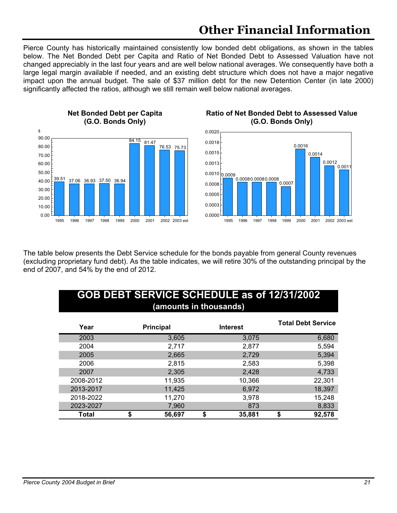Pierce County has historically maintained consistently low bonded debt obligations, as shown in the tables below. The Net Bonded Debt per Capita and Ratio of Net Bonded Debt to Assessed Valuation have not changed appreciably in the last four years and are well below national averages. We consequently have both a large legal margin available if needed, and an existing debt structure which does not have a major negative impact upon the annual budget. The sale of \$37 million debt for the new Detention Center (in late 2000) significantly affected the ratios, although we still remain well below national averages.



#### **Ratio of Net Bonded Debt to Assessed Value (G.O. Bonds Only)**



The table below presents the Debt Service schedule for the bonds payable from general County revenues (excluding proprietary fund debt). As the table indicates, we will retire 30% of the outstanding principal by the end of 2007, and 54% by the end of 2012.

| <b>GOB DEBT SERVICE SCHEDULE as of 12/31/2002</b><br>(amounts in thousands) |                  |                 |                           |  |  |  |  |  |  |  |
|-----------------------------------------------------------------------------|------------------|-----------------|---------------------------|--|--|--|--|--|--|--|
| Year                                                                        | <b>Principal</b> | <b>Interest</b> | <b>Total Debt Service</b> |  |  |  |  |  |  |  |
| 2003                                                                        | 3,605            | 3,075           | 6,680                     |  |  |  |  |  |  |  |
| 2004                                                                        | 2,717            | 2,877           | 5,594                     |  |  |  |  |  |  |  |
| 2005                                                                        | 2,665            | 2,729           | 5,394                     |  |  |  |  |  |  |  |
| 2006                                                                        | 2,815            | 2,583           | 5,398                     |  |  |  |  |  |  |  |
| 2007                                                                        | 2,305            | 2,428           | 4,733                     |  |  |  |  |  |  |  |
| 2008-2012                                                                   | 11,935           | 10,366          | 22,301                    |  |  |  |  |  |  |  |
| 2013-2017                                                                   | 11,425           | 6,972           | 18,397                    |  |  |  |  |  |  |  |
| 2018-2022                                                                   | 11,270           | 3,978           | 15,248                    |  |  |  |  |  |  |  |
| 2023-2027                                                                   | 7,960            | 873             | 8,833                     |  |  |  |  |  |  |  |
| Total                                                                       | 56,697<br>S      | \$<br>35,881    | \$<br>92,578              |  |  |  |  |  |  |  |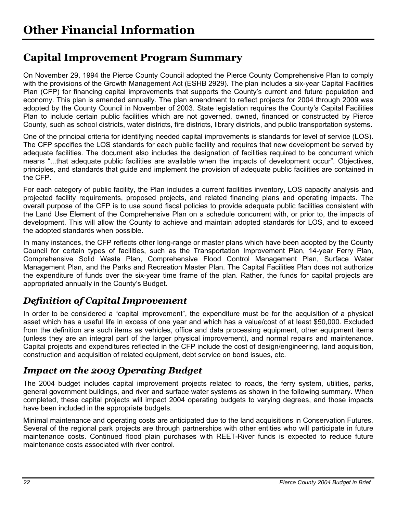## **Capital Improvement Program Summary**

On November 29, 1994 the Pierce County Council adopted the Pierce County Comprehensive Plan to comply with the provisions of the Growth Management Act (ESHB 2929). The plan includes a six-year Capital Facilities Plan (CFP) for financing capital improvements that supports the County's current and future population and economy. This plan is amended annually. The plan amendment to reflect projects for 2004 through 2009 was adopted by the County Council in November of 2003. State legislation requires the County's Capital Facilities Plan to include certain public facilities which are not governed, owned, financed or constructed by Pierce County, such as school districts, water districts, fire districts, library districts, and public transportation systems.

One of the principal criteria for identifying needed capital improvements is standards for level of service (LOS). The CFP specifies the LOS standards for each public facility and requires that new development be served by adequate facilities. The document also includes the designation of facilities required to be concurrent which means "...that adequate public facilities are available when the impacts of development occur". Objectives, principles, and standards that guide and implement the provision of adequate public facilities are contained in the CFP.

For each category of public facility, the Plan includes a current facilities inventory, LOS capacity analysis and projected facility requirements, proposed projects, and related financing plans and operating impacts. The overall purpose of the CFP is to use sound fiscal policies to provide adequate public facilities consistent with the Land Use Element of the Comprehensive Plan on a schedule concurrent with, or prior to, the impacts of development. This will allow the County to achieve and maintain adopted standards for LOS, and to exceed the adopted standards when possible.

In many instances, the CFP reflects other long-range or master plans which have been adopted by the County Council for certain types of facilities, such as the Transportation Improvement Plan, 14-year Ferry Plan, Comprehensive Solid Waste Plan, Comprehensive Flood Control Management Plan, Surface Water Management Plan, and the Parks and Recreation Master Plan. The Capital Facilities Plan does not authorize the expenditure of funds over the six-year time frame of the plan. Rather, the funds for capital projects are appropriated annually in the County's Budget.

### *Definition of Capital Improvement*

In order to be considered a "capital improvement", the expenditure must be for the acquisition of a physical asset which has a useful life in excess of one year and which has a value/cost of at least \$50,000. Excluded from the definition are such items as vehicles, office and data processing equipment, other equipment items (unless they are an integral part of the larger physical improvement), and normal repairs and maintenance. Capital projects and expenditures reflected in the CFP include the cost of design/engineering, land acquisition, construction and acquisition of related equipment, debt service on bond issues, etc.

### *Impact on the 2003 Operating Budget*

The 2004 budget includes capital improvement projects related to roads, the ferry system, utilities, parks, general government buildings, and river and surface water systems as shown in the following summary. When completed, these capital projects will impact 2004 operating budgets to varying degrees, and those impacts have been included in the appropriate budgets.

Minimal maintenance and operating costs are anticipated due to the land acquisitions in Conservation Futures. Several of the regional park projects are through partnerships with other entities who will participate in future maintenance costs. Continued flood plain purchases with REET-River funds is expected to reduce future maintenance costs associated with river control.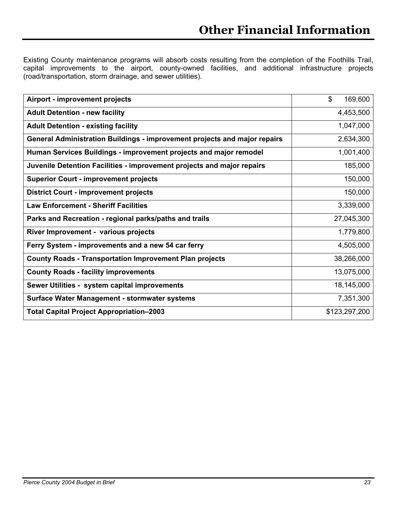Existing County maintenance programs will absorb costs resulting from the completion of the Foothills Trail, capital improvements to the airport, county-owned facilities, and additional infrastructure projects (road/transportation, storm drainage, and sewer utilities).

| Airport - improvement projects                                            | \$<br>169,600 |
|---------------------------------------------------------------------------|---------------|
| <b>Adult Detention - new facility</b>                                     | 4,453,500     |
| <b>Adult Detention - existing facility</b>                                | 1,047,000     |
| General Administration Buildings - improvement projects and major repairs | 2,634,300     |
| Human Services Buildings - improvement projects and major remodel         | 1,001,400     |
| Juvenile Detention Facilities - improvement projects and major repairs    | 185,000       |
| <b>Superior Court - improvement projects</b>                              | 150,000       |
| <b>District Court - improvement projects</b>                              | 150,000       |
| <b>Law Enforcement - Sheriff Facilities</b>                               | 3,339,000     |
| Parks and Recreation - regional parks/paths and trails                    | 27,045,300    |
| River Improvement - various projects                                      | 1,779,800     |
| Ferry System - improvements and a new 54 car ferry                        | 4,505,000     |
| <b>County Roads - Transportation Improvement Plan projects</b>            | 38,266,000    |
| <b>County Roads - facility improvements</b>                               | 13,075,000    |
| Sewer Utilities - system capital improvements                             | 18,145,000    |
| Surface Water Management - stormwater systems                             | 7,351,300     |
| <b>Total Capital Project Appropriation-2003</b>                           | \$123,297,200 |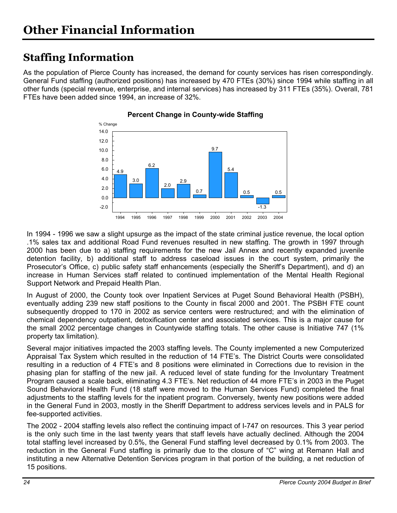## **Staffing Information**

As the population of Pierce County has increased, the demand for county services has risen correspondingly. General Fund staffing (authorized positions) has increased by 470 FTEs (30%) since 1994 while staffing in all other funds (special revenue, enterprise, and internal services) has increased by 311 FTEs (35%). Overall, 781 FTEs have been added since 1994, an increase of 32%.



#### **Percent Change in County-wide Staffing**

In 1994 - 1996 we saw a slight upsurge as the impact of the state criminal justice revenue, the local option .1% sales tax and additional Road Fund revenues resulted in new staffing. The growth in 1997 through 2000 has been due to a) staffing requirements for the new Jail Annex and recently expanded juvenile detention facility, b) additional staff to address caseload issues in the court system, primarily the Prosecutor's Office, c) public safety staff enhancements (especially the Sheriff's Department), and d) an increase in Human Services staff related to continued implementation of the Mental Health Regional Support Network and Prepaid Health Plan.

In August of 2000, the County took over Inpatient Services at Puget Sound Behavioral Health (PSBH), eventually adding 239 new staff positions to the County in fiscal 2000 and 2001. The PSBH FTE count subsequently dropped to 170 in 2002 as service centers were restructured; and with the elimination of chemical dependency outpatient, detoxification center and associated services. This is a major cause for the small 2002 percentage changes in Countywide staffing totals. The other cause is Initiative 747 (1% property tax limitation).

Several major initiatives impacted the 2003 staffing levels. The County implemented a new Computerized Appraisal Tax System which resulted in the reduction of 14 FTE's. The District Courts were consolidated resulting in a reduction of 4 FTE's and 8 positions were eliminated in Corrections due to revision in the phasing plan for staffing of the new jail. A reduced level of state funding for the Involuntary Treatment Program caused a scale back, eliminating 4.3 FTE's. Net reduction of 44 more FTE's in 2003 in the Puget Sound Behavioral Health Fund (18 staff were moved to the Human Services Fund) completed the final adjustments to the staffing levels for the inpatient program. Conversely, twenty new positions were added in the General Fund in 2003, mostly in the Sheriff Department to address services levels and in PALS for fee-supported activities.

The 2002 - 2004 staffing levels also reflect the continuing impact of I-747 on resources. This 3 year period is the only such time in the last twenty years that staff levels have actually declined. Although the 2004 total staffing level increased by 0.5%, the General Fund staffing level decreased by 0.1% from 2003. The reduction in the General Fund staffing is primarily due to the closure of "C" wing at Remann Hall and instituting a new Alternative Detention Services program in that portion of the building, a net reduction of 15 positions.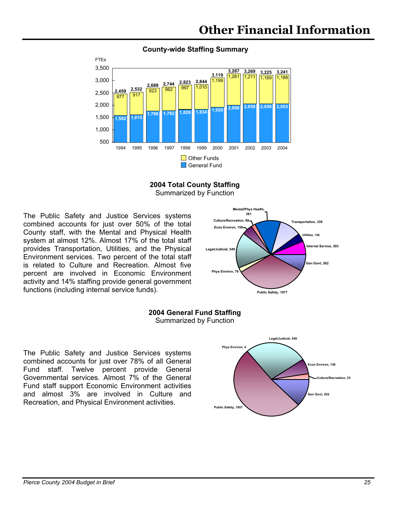

#### **County-wide Staffing Summary**



The Public Safety and Justice Services systems combined accounts for just over 50% of the total County staff, with the Mental and Physical Health system at almost 12%. Almost 17% of the total staff provides Transportation, Utilities, and the Physical Environment services. Two percent of the total staff is related to Culture and Recreation. Almost five percent are involved in Economic Environment activity and 14% staffing provide general government functions (including internal service funds).





The Public Safety and Justice Services systems combined accounts for just over 78% of all General Fund staff. Twelve percent provide General Governmental services. Almost 7% of the General Fund staff support Economic Environment activities and almost 3% are involved in Culture and Recreation, and Physical Environment activities.

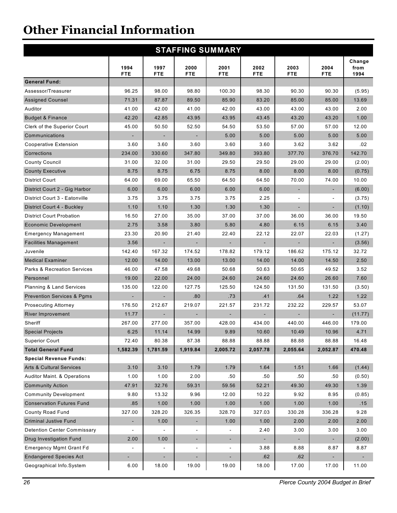| <b>STAFFING SUMMARY</b>                |                          |                          |                          |                          |                    |                          |                          |                        |  |  |  |
|----------------------------------------|--------------------------|--------------------------|--------------------------|--------------------------|--------------------|--------------------------|--------------------------|------------------------|--|--|--|
|                                        | 1994<br><b>FTE</b>       | 1997<br><b>FTE</b>       | 2000<br><b>FTE</b>       | 2001<br><b>FTE</b>       | 2002<br><b>FTE</b> | 2003<br><b>FTE</b>       | 2004<br><b>FTE</b>       | Change<br>from<br>1994 |  |  |  |
| <b>General Fund:</b>                   |                          |                          |                          |                          |                    |                          |                          |                        |  |  |  |
| Assessor/Treasurer                     | 96.25                    | 98.00                    | 98.80                    | 100.30                   | 98.30              | 90.30                    | 90.30                    | (5.95)                 |  |  |  |
| <b>Assigned Counsel</b>                | 71.31                    | 87.87                    | 89.50                    | 85.90                    | 83.20              | 85.00                    | 85.00                    | 13.69                  |  |  |  |
| Auditor                                | 41.00                    | 42.00                    | 41.00                    | 42.00                    | 43.00              | 43.00                    | 43.00                    | 2.00                   |  |  |  |
| <b>Budget &amp; Finance</b>            | 42.20                    | 42.85                    | 43.95                    | 43.95                    | 43.45              | 43.20                    | 43.20                    | 1.00                   |  |  |  |
| Clerk of the Superior Court            | 45.00                    | 50.50                    | 52.50                    | 54.50                    | 53.50              | 57.00                    | 57.00                    | 12.00                  |  |  |  |
| Communications                         |                          |                          |                          | 5.00                     | 5.00               | 5.00                     | 5.00                     | 5.00                   |  |  |  |
| Cooperative Extension                  | 3.60                     | 3.60                     | 3.60                     | 3.60                     | 3.60               | 3.62                     | 3.62                     | .02                    |  |  |  |
| Corrections                            | 234.00                   | 330.60                   | 347.80                   | 349.80                   | 393.80             | 377.70                   | 376.70                   | 142.70                 |  |  |  |
| <b>County Council</b>                  | 31.00                    | 32.00                    | 31.00                    | 29.50                    | 29.50              | 29.00                    | 29.00                    | (2.00)                 |  |  |  |
| <b>County Executive</b>                | 8.75                     | 8.75                     | 6.75                     | 8.75                     | 8.00               | 8.00                     | 8.00                     | (0.75)                 |  |  |  |
| <b>District Court</b>                  | 64.00                    | 69.00                    | 65.50                    | 64.50                    | 64.50              | 70.00                    | 74.00                    | 10.00                  |  |  |  |
| District Court 2 - Gig Harbor          | 6.00                     | 6.00                     | 6.00                     | 6.00                     | 6.00               |                          | $\blacksquare$           | (6.00)                 |  |  |  |
| District Court 3 - Eatonville          | 3.75                     | 3.75                     | 3.75                     | 3.75                     | 2.25               | $\blacksquare$           | $\overline{\phantom{a}}$ | (3.75)                 |  |  |  |
| District Court 4 - Buckley             | 1.10                     | 1.10                     | 1.30                     | 1.30                     | 1.30               | $\overline{\phantom{a}}$ | $\overline{\phantom{a}}$ | (1.10)                 |  |  |  |
| <b>District Court Probation</b>        | 16.50                    | 27.00                    | 35.00                    | 37.00                    | 37.00              | 36.00                    | 36.00                    | 19.50                  |  |  |  |
| <b>Economic Development</b>            | 2.75                     | 3.58                     | 3.80                     | 5.80                     | 4.80               | 6.15                     | 6.15                     | 3.40                   |  |  |  |
| <b>Emergency Management</b>            | 23.30                    | 20.90                    | 21.40                    | 22.40                    | 22.12              | 22.07                    | 22.03                    | (1.27)                 |  |  |  |
| <b>Facilities Management</b>           | 3.56                     |                          |                          |                          |                    |                          |                          | (3.56)                 |  |  |  |
| Juvenile                               | 142.40                   | 167.32                   | 174.52                   | 178.82                   | 179.12             | 186.62                   | 175.12                   | 32.72                  |  |  |  |
| <b>Medical Examiner</b>                | 12.00                    | 14.00                    | 13.00                    | 13.00                    | 14.00              | 14.00                    | 14.50                    | 2.50                   |  |  |  |
| <b>Parks &amp; Recreation Services</b> | 46.00                    | 47.58                    | 49.68                    | 50.68                    | 50.63              | 50.65                    | 49.52                    | 3.52                   |  |  |  |
| Personnel                              | 19.00                    | 22.00                    | 24.00                    | 24.60                    | 24.60              | 24.60                    | 26.60                    | 7.60                   |  |  |  |
| <b>Planning &amp; Land Services</b>    | 135.00                   | 122.00                   | 127.75                   | 125.50                   | 124.50             | 131.50                   | 131.50                   | (3.50)                 |  |  |  |
| <b>Prevention Services &amp; Pgms</b>  | $\overline{\phantom{0}}$ | ٠                        | .80                      | .73                      | .41                | .64                      | 1.22                     | 1.22                   |  |  |  |
| <b>Prosecuting Attorney</b>            | 176.50                   | 212.67                   | 219.07                   | 221.57                   | 231.72             | 232.22                   | 229.57                   | 53.07                  |  |  |  |
| River Improvement                      | 11.77                    |                          |                          |                          |                    |                          |                          | (11.77)                |  |  |  |
| Sheriff                                | 267.00                   | 277.00                   | 357.00                   | 428.00                   | 434.00             | 440.00                   | 446.00                   | 179.00                 |  |  |  |
| <b>Special Projects</b>                | 6.25                     | 11.14                    | 14.99                    | 9.89                     | 10.60              | 10.49                    | 10.96                    | 4.71                   |  |  |  |
| <b>Superior Court</b>                  | 72.40                    | 80.38                    | 87.38                    | 88.88                    | 88.88              | 88.88                    | 88.88                    | 16.48                  |  |  |  |
| <b>Total General Fund</b>              | 1,582.39                 | 1,781.59                 | 1,919.84                 | 2,005.72                 | 2,057.78           | 2,055.64                 | 2,052.87                 | 470.48                 |  |  |  |
| <b>Special Revenue Funds:</b>          |                          |                          |                          |                          |                    |                          |                          |                        |  |  |  |
| <b>Arts &amp; Cultural Services</b>    | 3.10                     | 3.10                     | 1.79                     | 1.79                     | 1.64               | 1.51                     | 1.66                     | (1.44)                 |  |  |  |
| <b>Auditor Maint. &amp; Operations</b> | 1.00                     | 1.00                     | 2.00                     | .50                      | .50                | .50                      | .50                      | (0.50)                 |  |  |  |
| <b>Community Action</b>                | 47.91                    | 32.76                    | 59.31                    | 59.56                    | 52.21              | 49.30                    | 49.30                    | 1.39                   |  |  |  |
| <b>Community Development</b>           | 9.80                     | 13.32                    | 9.96                     | 12.00                    | 10.22              | 9.92                     | 8.95                     | (0.85)                 |  |  |  |
| <b>Conservation Futures Fund</b>       | .85                      | 1.00                     | 1.00                     | 1.00                     | 1.00               | 1.00                     | 1.00                     | .15                    |  |  |  |
| County Road Fund                       | 327.00                   | 328.20                   | 326.35                   | 328.70                   | 327.03             | 330.28                   | 336.28                   | 9.28                   |  |  |  |
| <b>Criminal Justive Fund</b>           | ÷,                       | 1.00                     |                          | 1.00                     | 1.00               | 2.00                     | 2.00                     | 2.00                   |  |  |  |
| <b>Detention Center Commissary</b>     |                          |                          |                          |                          | 2.40               | 3.00                     | 3.00                     | 3.00                   |  |  |  |
| Drug Investigation Fund                | 2.00                     | 1.00                     | $\overline{\phantom{a}}$ | ۰.                       |                    |                          |                          | (2.00)                 |  |  |  |
| <b>Emergency Mgmt Grant Fd</b>         |                          | $\overline{\phantom{a}}$ | $\overline{\phantom{a}}$ | $\overline{\phantom{a}}$ | 3.88               | 8.88                     | 8.87                     | 8.87                   |  |  |  |
| <b>Endangered Species Act</b>          |                          | $\overline{\phantom{a}}$ |                          | $\blacksquare$           | .62                | .62                      |                          |                        |  |  |  |
| Geographical Info.System               | 6.00                     | 18.00                    | 19.00                    | 19.00                    | 18.00              | 17.00                    | 17.00                    | 11.00                  |  |  |  |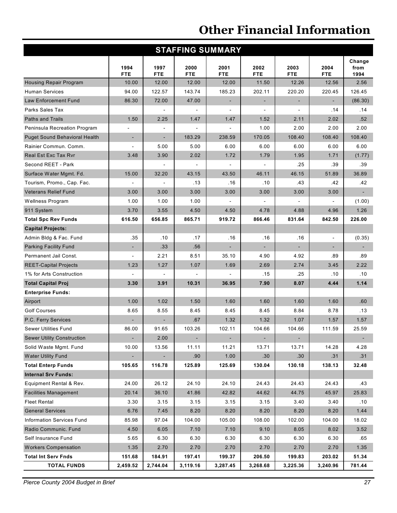| <b>STAFFING SUMMARY</b>              |                          |                          |                    |                    |                          |                          |                          |                          |  |  |  |
|--------------------------------------|--------------------------|--------------------------|--------------------|--------------------|--------------------------|--------------------------|--------------------------|--------------------------|--|--|--|
|                                      | 1994<br><b>FTE</b>       | 1997<br><b>FTE</b>       | 2000<br><b>FTE</b> | 2001<br><b>FTE</b> | 2002<br><b>FTE</b>       | 2003<br><b>FTE</b>       | 2004<br><b>FTE</b>       | Change<br>from<br>1994   |  |  |  |
| <b>Housing Repair Program</b>        | 10.00                    | 12.00                    | 12.00              | 12.00              | 11.50                    | 12.26                    | 12.56                    | 2.56                     |  |  |  |
| <b>Human Services</b>                | 94.00                    | 122.57                   | 143.74             | 185.23             | 202.11                   | 220.20                   | 220.45                   | 126.45                   |  |  |  |
| Law Enforcement Fund                 | 86.30                    | 72.00                    | 47.00              |                    |                          |                          |                          | (86.30)                  |  |  |  |
| Parks Sales Tax                      |                          |                          |                    |                    |                          |                          | .14                      | .14                      |  |  |  |
| Paths and Trails                     | 1.50                     | 2.25                     | 1.47               | 1.47               | 1.52                     | 2.11                     | 2.02                     | .52                      |  |  |  |
| Peninsula Recreation Program         | ٠                        |                          |                    |                    | 1.00                     | 2.00                     | 2.00                     | 2.00                     |  |  |  |
| <b>Puget Sound Behavioral Health</b> | ۰                        | $\overline{\phantom{a}}$ | 183.29             | 238.59             | 170.05                   | 108.40                   | 108.40                   | 108.40                   |  |  |  |
| Rainier Commun. Comm.                | $\overline{a}$           | 5.00                     | 5.00               | 6.00               | 6.00                     | 6.00                     | 6.00                     | 6.00                     |  |  |  |
| <b>Real Est Exc Tax Ryr</b>          | 3.48                     | 3.90                     | 2.02               | 1.72               | 1.79                     | 1.95                     | 1.71                     | (1.77)                   |  |  |  |
| Second REET - Park                   |                          |                          |                    |                    |                          | .25                      | .39                      | .39                      |  |  |  |
| Surface Water Mgmt. Fd.              | 15.00                    | 32.20                    | 43.15              | 43.50              | 46.11                    | 46.15                    | 51.89                    | 36.89                    |  |  |  |
| Tourism, Promo., Cap. Fac.           |                          |                          | .13                | .16                | .10                      | .43                      | .42                      | .42                      |  |  |  |
| <b>Veterans Relief Fund</b>          | 3.00                     | 3.00                     | 3.00               | 3.00               | 3.00                     | 3.00                     | 3.00                     | $\overline{\phantom{a}}$ |  |  |  |
| <b>Wellness Program</b>              | 1.00                     | 1.00                     | 1.00               |                    |                          |                          |                          | (1.00)                   |  |  |  |
| 911 System                           | 3.70                     | 3.55                     | 4.50               | 4.50               | 4.78                     | 4.88                     | 4.96                     | 1.26                     |  |  |  |
| <b>Total Spc Rev Funds</b>           | 616.50                   | 656.85                   | 865.71             | 919.72             | 866.46                   | 831.64                   | 842.50                   | 226.00                   |  |  |  |
| <b>Capital Projects:</b>             |                          |                          |                    |                    |                          |                          |                          |                          |  |  |  |
| Admin Bldg & Fac. Fund               | .35                      | .10                      | .17                | .16                | .16                      | .16                      | $\overline{\phantom{a}}$ | (0.35)                   |  |  |  |
| <b>Parking Facility Fund</b>         | $\overline{\phantom{a}}$ | .33                      | .56                |                    | $\overline{\phantom{a}}$ | $\overline{\phantom{a}}$ | ٠                        |                          |  |  |  |
| Permanent Jail Const.                |                          | 2.21                     | 8.51               | 35.10              | 4.90                     | 4.92                     | .89                      | .89                      |  |  |  |
| <b>REET-Capital Projects</b>         | 1.23                     | 1.27                     | 1.07               | 1.69               | 2.69                     | 2.74                     | 3.45                     | 2.22                     |  |  |  |
| 1% for Arts Construction             |                          |                          |                    |                    | .15                      | .25                      | .10                      | .10                      |  |  |  |
| <b>Total Capital Proj</b>            | 3.30                     | 3.91                     | 10.31              | 36.95              | 7.90                     | 8.07                     | 4.44                     | 1.14                     |  |  |  |
| <b>Enterprise Funds:</b>             |                          |                          |                    |                    |                          |                          |                          |                          |  |  |  |
| Airport                              | 1.00                     | 1.02                     | 1.50               | 1.60               | 1.60                     | 1.60                     | 1.60                     | .60                      |  |  |  |
| <b>Golf Courses</b>                  | 8.65                     | 8.55                     | 8.45               | 8.45               | 8.45                     | 8.84                     | 8.78                     | .13                      |  |  |  |
| P.C. Ferry Services                  |                          |                          | .67                | 1.32               | 1.32                     | 1.07                     | 1.57                     | 1.57                     |  |  |  |
| Sewer Utilities Fund                 | 86.00                    | 91.65                    | 103.26             | 102.11             | 104.66                   | 104.66                   | 111.59                   | 25.59                    |  |  |  |
| <b>Sewer Utility Construction</b>    |                          | 2.00                     | ٠                  |                    |                          |                          |                          |                          |  |  |  |
| Solid Waste Mgmt. Fund               | 10.00                    | 13.56                    | 11.11              | 11.21              | 13.71                    | 13.71                    | 14.28                    | 4.28                     |  |  |  |
| <b>Water Utility Fund</b>            |                          |                          | .90                | 1.00               | .30                      | .30                      | .31                      | .31                      |  |  |  |
| <b>Total Enterp Funds</b>            | 105.65                   | 116.78                   | 125.89             | 125.69             | 130.04                   | 130.18                   | 138.13                   | 32.48                    |  |  |  |
| <b>Internal Srv Funds:</b>           |                          |                          |                    |                    |                          |                          |                          |                          |  |  |  |
| Equipment Rental & Rev.              | 24.00                    | 26.12                    | 24.10              | 24.10              | 24.43                    | 24.43                    | 24.43                    | .43                      |  |  |  |
| <b>Facilities Management</b>         | 20.14                    | 36.10                    | 41.86              | 42.82              | 44.62                    | 44.75                    | 45.97                    | 25.83                    |  |  |  |
| <b>Fleet Rental</b>                  | 3.30                     | 3.15                     | 3.15               | 3.15               | 3.15                     | 3.40                     | 3.40                     | .10                      |  |  |  |
| <b>General Services</b>              | 6.76                     | 7.45                     | 8.20               | 8.20               | 8.20                     | 8.20                     | 8.20                     | 1.44                     |  |  |  |
| Information Services Fund            | 85.98                    | 97.04                    | 104.00             | 105.00             | 108.00                   | 102.00                   | 104.00                   | 18.02                    |  |  |  |
| Radio Communic. Fund                 | 4.50                     | 6.05                     | 7.10               | 7.10               | 9.10                     | 8.05                     | 8.02                     | 3.52                     |  |  |  |
| Self Insurance Fund                  | 5.65                     | 6.30                     | 6.30               | 6.30               | 6.30                     | 6.30                     | 6.30                     | .65                      |  |  |  |
| <b>Workers Compensation</b>          | 1.35                     | 2.70                     | 2.70               | 2.70               | 2.70                     | 2.70                     | 2.70                     | 1.35                     |  |  |  |
| <b>Total Int Serv Fnds</b>           | 151.68                   | 184.91                   | 197.41             | 199.37             | 206.50                   | 199.83                   | 203.02                   | 51.34                    |  |  |  |
| <b>TOTAL FUNDS</b>                   | 2,459.52                 | 2,744.04                 | 3,119.16           | 3,287.45           | 3,268.68                 | 3,225.36                 | 3,240.96                 | 781.44                   |  |  |  |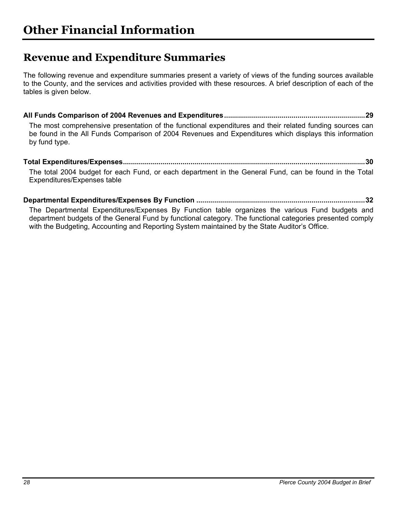## **Revenue and Expenditure Summaries**

The following revenue and expenditure summaries present a variety of views of the funding sources available to the County, and the services and activities provided with these resources. A brief description of each of the tables is given below.

**All Funds Comparison of 2004 Revenues and Expenditures.......................................................................29** The most comprehensive presentation of the functional expenditures and their related funding sources can be found in the All Funds Comparison of 2004 Revenues and Expenditures which displays this information by fund type.

#### **Total Expenditures/Expenses..........................................................................................................................30**  The total 2004 budget for each Fund, or each department in the General Fund, can be found in the Total Expenditures/Expenses table

**Departmental Expenditures/Expenses By Function .....................................................................................32** 

The Departmental Expenditures/Expenses By Function table organizes the various Fund budgets and department budgets of the General Fund by functional category. The functional categories presented comply with the Budgeting, Accounting and Reporting System maintained by the State Auditor's Office.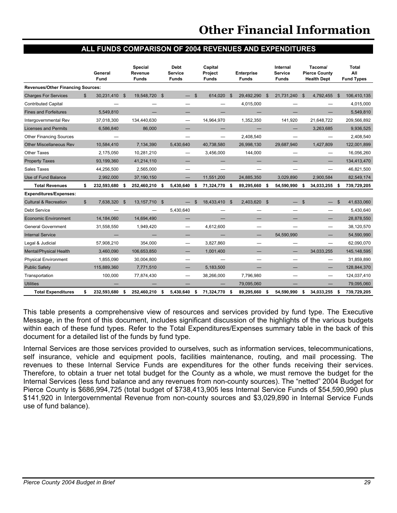#### **ALL FUNDS COMPARISON OF 2004 REVENUES AND EXPENDITURES**

|                                          |              | General<br>Fund |      | <b>Special</b><br>Revenue<br><b>Funds</b> |          | <b>Debt</b><br><b>Service</b><br><b>Funds</b> |              | Capital<br>Project<br><b>Funds</b> |              | <b>Enterprise</b><br><b>Funds</b> |              | Internal<br><b>Service</b><br>Funds |                | Tacoma/<br><b>Pierce County</b><br><b>Health Dept</b> |                | <b>Total</b><br>All<br><b>Fund Types</b> |
|------------------------------------------|--------------|-----------------|------|-------------------------------------------|----------|-----------------------------------------------|--------------|------------------------------------|--------------|-----------------------------------|--------------|-------------------------------------|----------------|-------------------------------------------------------|----------------|------------------------------------------|
| <b>Revenues/Other Financing Sources:</b> |              |                 |      |                                           |          |                                               |              |                                    |              |                                   |              |                                     |                |                                                       |                |                                          |
| <b>Charges For Services</b>              | $\mathbb{S}$ | 30.231.410 \$   |      | 19,548,720                                | <b>S</b> |                                               | $\mathbf{s}$ | 614.020                            | $\mathbf{s}$ | 29.492.290                        | $\mathbf{s}$ | 21.731.240                          | - \$           | 4.792.455                                             | $\mathfrak{L}$ | 106,410,135                              |
| <b>Contributed Capital</b>               |              |                 |      |                                           |          |                                               |              |                                    |              | 4,015,000                         |              |                                     |                |                                                       |                | 4,015,000                                |
| <b>Fines and Forfeitures</b>             |              | 5,549,810       |      |                                           |          |                                               |              |                                    |              |                                   |              |                                     |                |                                                       |                | 5,549,810                                |
| Intergovernmental Rev                    |              | 37,018,300      |      | 134,440,630                               |          |                                               |              | 14,964,970                         |              | 1,352,350                         |              | 141.920                             |                | 21,648,722                                            |                | 209,566,892                              |
| <b>Licenses and Permits</b>              |              | 6.586.840       |      | 86,000                                    |          |                                               |              |                                    |              |                                   |              |                                     |                | 3,263,685                                             |                | 9,936,525                                |
| <b>Other Financing Sources</b>           |              |                 |      |                                           |          |                                               |              |                                    |              | 2,408,540                         |              |                                     |                |                                                       |                | 2,408,540                                |
| <b>Other Miscellaneous Rev</b>           |              | 10.584.410      |      | 7.134.390                                 |          | 5.430.640                                     |              | 40.738.580                         |              | 26,998,130                        |              | 29.687.940                          |                | 1.427.809                                             |                | 122,001,899                              |
| Other Taxes                              |              | 2,175,050       |      | 10,281,210                                |          |                                               |              | 3,456,000                          |              | 144,000                           |              |                                     |                |                                                       |                | 16,056,260                               |
| <b>Property Taxes</b>                    |              | 93,199,360      |      | 41,214,110                                |          |                                               |              |                                    |              |                                   |              |                                     |                |                                                       |                | 134,413,470                              |
| Sales Taxes                              |              | 44,256,500      |      | 2,565,000                                 |          | —                                             |              |                                    |              |                                   |              |                                     |                |                                                       |                | 46,821,500                               |
| Use of Fund Balance                      |              | 2,992,000       |      | 37,190,150                                |          |                                               |              | 11.551.200                         |              | 24.885.350                        |              | 3.029.890                           |                | 2.900.584                                             |                | 82,549,174                               |
| <b>Total Revenues</b>                    | s.           | 232,593,680 \$  |      | 252,460,210 \$                            |          | 5,430,640                                     | \$           | 71,324,770                         | - \$         | 89,295,660                        | \$           | 54,590,990                          | \$             | 34,033,255                                            | - \$           | 739,729,205                              |
| <b>Expenditures/Expenses:</b>            |              |                 |      |                                           |          |                                               |              |                                    |              |                                   |              |                                     |                |                                                       |                |                                          |
| <b>Cultural &amp; Recreation</b>         | $\mathbb{S}$ | 7.638.320       | - \$ | 13.157.710                                | - \$     |                                               | \$           | 18.433.410                         | \$           | 2.403.620 \$                      |              |                                     | $\mathfrak{S}$ | $\equiv$                                              | $\mathfrak{S}$ | 41,633,060                               |
| Debt Service                             |              |                 |      |                                           |          | 5,430,640                                     |              |                                    |              |                                   |              |                                     |                | —                                                     |                | 5,430,640                                |
| <b>Economic Environment</b>              |              | 14,184,060      |      | 14,694,490                                |          |                                               |              |                                    |              |                                   |              |                                     |                |                                                       |                | 28,878,550                               |
| General Government                       |              | 31,558,550      |      | 1,949,420                                 |          |                                               |              | 4.612.600                          |              |                                   |              |                                     |                | $\overline{\phantom{0}}$                              |                | 38,120,570                               |
| <b>Internal Service</b>                  |              |                 |      |                                           |          |                                               |              |                                    |              |                                   |              | 54.590.990                          |                |                                                       |                | 54,590,990                               |
| Legal & Judicial                         |              | 57,908,210      |      | 354.000                                   |          |                                               |              | 3.827.860                          |              |                                   |              |                                     |                |                                                       |                | 62,090,070                               |
| Mental/Physical Health                   |              | 3,460,090       |      | 106,653,850                               |          |                                               |              | 1,001,400                          |              |                                   |              |                                     |                | 34.033.255                                            |                | 145, 148, 595                            |
| <b>Physical Environment</b>              |              | 1.855.090       |      | 30,004,800                                |          |                                               |              |                                    |              |                                   |              |                                     |                |                                                       |                | 31,859,890                               |
| <b>Public Safety</b>                     |              | 115,889,360     |      | 7,771,510                                 |          |                                               |              | 5,183,500                          |              | —                                 |              | –                                   |                |                                                       |                | 128,844,370                              |
| Transportation                           |              | 100,000         |      | 77,874,430                                |          |                                               |              | 38,266,000                         |              | 7,796,980                         |              |                                     |                |                                                       |                | 124,037,410                              |
| <b>Utilities</b>                         |              |                 |      |                                           |          |                                               |              |                                    |              | 79.095.060                        |              |                                     |                |                                                       |                | 79,095,060                               |
| <b>Total Expenditures</b>                | \$           | 232,593,680     | - \$ | 252,460,210 \$                            |          | 5,430,640                                     | \$           | 71,324,770                         | - \$         | 89,295,660                        | \$           | 54,590,990                          | \$             | 34,033,255                                            | \$             | 739,729,205                              |

This table presents a comprehensive view of resources and services provided by fund type. The Executive Message, in the front of this document, includes significant discussion of the highlights of the various budgets within each of these fund types. Refer to the Total Expenditures/Expenses summary table in the back of this document for a detailed list of the funds by fund type.

Internal Services are those services provided to ourselves, such as information services, telecommunications, self insurance, vehicle and equipment pools, facilities maintenance, routing, and mail processing. The revenues to these Internal Service Funds are expenditures for the other funds receiving their services. Therefore, to obtain a truer net total budget for the County as a whole, we must remove the budget for the Internal Services (less fund balance and any revenues from non-county sources). The "netted" 2004 Budget for Pierce County is \$686,994,725 (total budget of \$738,413,905 less Internal Service Funds of \$54,590,990 plus \$141,920 in Intergovernmental Revenue from non-county sources and \$3,029,890 in Internal Service Funds use of fund balance).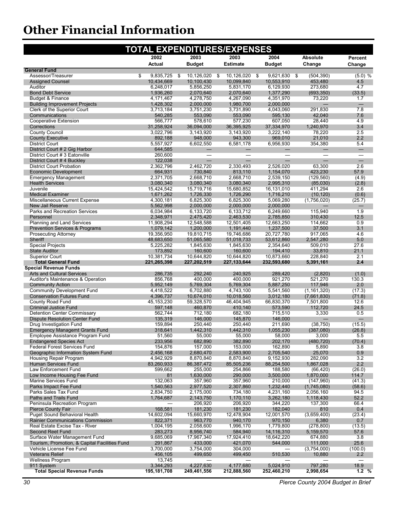| 2003<br>2003<br>2002<br>2004<br>Absolute<br>Percent<br>Actual<br><b>Budget</b><br><b>Estimate</b><br><b>Budget</b><br>Change<br>Change<br><b>General Fund</b><br>9,835,725<br>\$<br>\$<br>10,126,020 \$<br>10,126,020<br>9,621,630 \$<br>(504, 390)<br>(5.0) %<br>Assessor/Treasurer<br>- \$<br>10,099,840<br>10,553,910<br>453,480<br><b>Assigned Counsel</b><br>10,434,669<br>10,100,430<br>4.5<br>Auditor<br>5,856,250<br>6,129,930<br>4.7<br>6,248,017<br>5,831,170<br>273,680<br>2,070,640<br><b>Bond Debt Service</b><br>1,936,260<br>2,070,640<br>1,377,290<br>(693, 350)<br>(33.5)<br>Budget & Finance<br>4,171,467<br>4,278,750<br>4,267,090<br>4,351,970<br>73,220<br>1.7<br><b>Building Improvement Projects</b><br>1,428,302<br>2,000,000<br>1,980,700<br>2,000,000<br>$\overline{\phantom{0}}$<br>Clerk of the Superior Court<br>4,043,060<br>291,830<br>7.8<br>3,713,184<br>3,751,230<br>3,731,890<br>553,090<br>595,130<br>42,040<br>7.6<br>Communications<br>540,285<br>553,090<br>4.9<br><b>Cooperative Extension</b><br>566,777<br>578,610<br>577,230<br>607,050<br>28,440<br>3.4<br>Corrections<br>31,258,924<br>36,094,000<br>36.395.925<br>37,334,970<br>1.240.970<br><b>County Council</b><br>3.022.796<br>3,143,920<br>3,143,920<br>3,222,140<br>78,220<br>2.5<br><b>County Executive</b><br>892,188<br>948,000<br>943,300<br>969,010<br>21,010<br>2.2<br>354,380<br><b>District Court</b><br>5,557,927<br>6,602,550<br>6,581,178<br>6,956,930<br>5.4<br>District Court # 2 Gig Harbor<br>644,585<br>$\overline{\phantom{0}}$<br>$-$<br>$\overline{\phantom{0}}$<br>$\qquad \qquad$<br>$\equiv$<br>District Court # 3 Eatonville<br>260,600<br>$\overline{\phantom{0}}$<br>$\overline{\phantom{0}}$<br>$\overline{\phantom{0}}$<br>$\overline{\phantom{0}}$<br>$\equiv$<br>District Court #4 Buckley<br>122,038<br>$\overline{\phantom{0}}$<br>2,362,796<br>2,462,720<br>2,330,493<br>2,526,020<br>63,300<br>2.6<br><b>District Court Probation</b><br>730,840<br>1,154,070<br>423,230<br>57.9<br><b>Economic Development</b><br>664,931<br>813,110<br><b>Emergency Management</b><br>2,371,705<br>2,668,710<br>2,668,710<br>2,539,150<br>(129, 560)<br>(4.9)<br><b>Health Services</b><br>3,080,340<br>3,080,340<br>3,080,340<br>2,995,310<br>(85,030)<br>(2.8)<br>Juvenile<br>15,424,542<br>15,719,716<br>15,680,852<br>16,131,010<br>411,294<br>2.6<br><b>Medical Examiner</b><br>1,671,262<br>1,726,330<br>1,726,290<br>1,716,210<br>(10, 120)<br>(0.6)<br>Miscellaneous Current Expense<br>6,825,300<br>6,825,300<br>5,069,280<br>(1,756,020)<br>4,300,181<br>(25.7)<br>2,000,000<br><b>New Jail Reserve</b><br>5,562,998<br>2,000,000<br>2,000,000<br>$\qquad \qquad -$<br>Parks and Recreation Services<br>6,249,660<br>1.9<br>6,034,984<br>6,133,720<br>6,133,712<br>115.940<br>2,463,530<br>12.5<br>Personnel<br>2,348,971<br>2,475,420<br>2,785,850<br>310,430<br>0.9<br><b>Planning and Land Services</b><br>11,908,294<br>12,548,588<br>12,501,405<br>12,663,250<br>114,662<br>1,237,500<br>37,500<br>3.1<br><b>Prevention Services &amp; Programs</b><br>1,079,142<br>1,200,000<br>1,191,440<br>19,810,715<br>19,746,686<br>20,727,780<br>917,065<br>4.6<br><b>Prosecuting Attorney</b><br>19,356,950<br>53,612,860<br>2,547,280<br>5.0<br>Sheriff<br>48,683,650<br>51,065,580<br>51,018,733<br>27.6<br><b>Special Projects</b><br>5,225,282<br>1,845,630<br>1,845,630<br>2,354,640<br>509,010<br><b>State Auditor</b><br>173,892<br>160,600<br>160,600<br>194,410<br>33,810<br>21.1<br><b>Superior Court</b><br>10,381,734<br>10,644,820<br>10,644,820<br>10,873,660<br>228,840<br>2.1<br>2.4<br><b>Total General Fund</b><br>221,265,398<br>227,202,519<br>227,133,644<br>232,593,680<br>5,391,161<br><b>Special Revenue Funds</b><br><b>Arts and Cultural Services</b><br>286,735<br>292,240<br>240,925<br>289,420<br>(2,820)<br>(1.0)<br>856,768<br>400,000<br>400,000<br>921,270<br>521,270<br>130.3<br>Auditor's Maintenance & Operation<br>2.0<br><b>Community Action</b><br>5,952,149<br>5,769,304<br>5,769,304<br>5,887,250<br>117,946<br><b>Community Development Fund</b><br>(17.3)<br>4,418,522<br>6,702,880<br>4,743,100<br>5,541,560<br>(1, 161, 320)<br><b>Conservation Futures Fund</b><br>4,396,737<br>10,674,010<br>10,018,560<br>3,012,180<br>(7,661,830)<br>(71.8)<br>County Road Fund<br>66,830,370<br>12.6<br>45, 153, 230<br>59,328,570<br>46,404,945<br>7,501,800<br><b>Criminal Justice Fund</b><br>597,148<br>460,870<br>410,140<br>573,590<br>112,720<br>24.5<br><b>Detention Center Commissary</b><br>562,744<br>712,180<br>682,180<br>715,510<br>3,330<br>0.5<br><b>Dispute Resolution Center Fund</b><br>135,319<br>146,000<br>145,870<br>146,000<br>Drug Investigation Fund<br>159,894<br>250,440<br>250,440<br>(38, 750)<br>(15.5)<br>211,690<br><b>Emergency Managemt Grants Fund</b><br>318,641<br>1,442,310<br>1,442,310<br>1,055,230<br>(387,080)<br>(26.8)<br>Employee Assistance Program Fund<br>51,560<br>55,000<br>55,000<br>58,000<br>3,000<br>5.5<br>233,956<br>682,890<br>382,890<br>(480, 720)<br>(70.4)<br><b>Endangered Species Act</b><br>202,170<br><b>Federal Forest Services Fund</b><br>154,876<br>157,000<br>153,000<br>5,890<br>162,890<br>3.8<br>Geographic Information System Fund<br>2,456,168<br>2,680,470<br>2,583,900<br>2,705,540<br>25,070<br>0.9<br>8,870,840<br>8,870,840<br>9,152,930<br>282,090<br>3.2<br>Housing Repair Program<br>4,942,929<br>Human Services Fund<br>83,260,933<br>86, 387, 472<br>85,505,236<br>88,254,500<br>1,867,028<br>2.2<br>Law Enforcement Fund<br>599,662<br>255,000<br>254,866<br>188,580<br>(26.0)<br>(66, 420)<br>1,630,000<br>3,500,000<br>1,870,000<br>114.7<br>Low Income Housing Fee Fund<br>81<br>290,000<br>132,063<br>(41.3)<br>Marine Services Fund<br>357,960<br>357,960<br>210,000<br>(147,960)<br>Parks Impact Fee Fund<br>1,540,563<br>2,977,520<br>2,307,860<br>(1,745,080)<br>(58.6)<br>1,232,440<br>Parks Sales Tax Fund<br>2,834,750<br>734,180<br>4,231,160<br>2,056,160<br>94.5<br>2,175,000<br>Paths and Trails Fund<br>1,764,687<br>2,143,750<br>1,170,110<br>3,262,180<br>1,118,430<br>52.2<br>Peninsula Recreation Program<br>206,920<br>206,920<br>344,220<br>137,300<br>66.4<br><b>Pierce County Fair</b><br>168,581<br>181,230<br>181,230<br>182,040<br>810<br>0.4<br>Puget Sound Behavioral Health<br>14,602,094<br>15,660,970<br>12,478,904<br>12,001,570<br>(3,659,400)<br>(23.4)<br>822,371<br>963,770<br>970,150<br>6,380<br>0.7<br><b>Rainier Communications Commission</b><br>940,170<br>Real Estate Excise Tax - River<br>1,004,195<br>2,058,600<br>1,996,170<br>1,779,800<br>(278, 800)<br>(13.5)<br><b>Second Reet Fund</b><br>283,273<br>8,956,740<br>584,940<br>14,116,310<br>5,159,570<br>57.6<br>Surface Water Management Fund<br>9,685,069<br>18,642,220<br>17,967,340<br>17,924,410<br>674,880<br>3.8<br>Tourism, Promotion, & Capital Facilities Fund<br>25.6<br>291,867<br>433,000<br>421,070<br>544,000<br>111,000<br>Vehicle License Fee Fund<br>3,700,000<br>3,754,000<br>304,000<br>(3,754,000)<br>(100.0)<br><b>Veterans Relief</b><br>10,880<br>456,105<br>499,650<br>499,450<br>510,530<br>2.2<br><b>Wellness Program</b><br>13,745<br>3,344,293<br>4,227,630<br>4,177,680<br>5,024,910<br>797,280<br>18.9<br>911 System<br><b>Total Special Revenue Funds</b><br>195,181,708<br>249,461,556<br>212,888,560<br>252,460,210<br>2,998,654 | <b>TOTAL EXPENDITURES/EXPENSES</b> |  |  |  |  |  |      |  |  |
|-------------------------------------------------------------------------------------------------------------------------------------------------------------------------------------------------------------------------------------------------------------------------------------------------------------------------------------------------------------------------------------------------------------------------------------------------------------------------------------------------------------------------------------------------------------------------------------------------------------------------------------------------------------------------------------------------------------------------------------------------------------------------------------------------------------------------------------------------------------------------------------------------------------------------------------------------------------------------------------------------------------------------------------------------------------------------------------------------------------------------------------------------------------------------------------------------------------------------------------------------------------------------------------------------------------------------------------------------------------------------------------------------------------------------------------------------------------------------------------------------------------------------------------------------------------------------------------------------------------------------------------------------------------------------------------------------------------------------------------------------------------------------------------------------------------------------------------------------------------------------------------------------------------------------------------------------------------------------------------------------------------------------------------------------------------------------------------------------------------------------------------------------------------------------------------------------------------------------------------------------------------------------------------------------------------------------------------------------------------------------------------------------------------------------------------------------------------------------------------------------------------------------------------------------------------------------------------------------------------------------------------------------------------------------------------------------------------------------------------------------------------------------------------------------------------------------------------------------------------------------------------------------------------------------------------------------------------------------------------------------------------------------------------------------------------------------------------------------------------------------------------------------------------------------------------------------------------------------------------------------------------------------------------------------------------------------------------------------------------------------------------------------------------------------------------------------------------------------------------------------------------------------------------------------------------------------------------------------------------------------------------------------------------------------------------------------------------------------------------------------------------------------------------------------------------------------------------------------------------------------------------------------------------------------------------------------------------------------------------------------------------------------------------------------------------------------------------------------------------------------------------------------------------------------------------------------------------------------------------------------------------------------------------------------------------------------------------------------------------------------------------------------------------------------------------------------------------------------------------------------------------------------------------------------------------------------------------------------------------------------------------------------------------------------------------------------------------------------------------------------------------------------------------------------------------------------------------------------------------------------------------------------------------------------------------------------------------------------------------------------------------------------------------------------------------------------------------------------------------------------------------------------------------------------------------------------------------------------------------------------------------------------------------------------------------------------------------------------------------------------------------------------------------------------------------------------------------------------------------------------------------------------------------------------------------------------------------------------------------------------------------------------------------------------------------------------------------------------------------------------------------------------------------------------------------------------------------------------------------------------------------------------------------------------------------------------------------------------------------------------------------------------------------------------------------------------------------------------------------------------------------------------------------------------------------------------------------------------------------------------------------------------------------------------------------------------------------------------------------------------------------------------------------------------------------------------------------------------------------------------------------------------------------------------------------------------------------------------------------------------------------------------------------------------------------------------------------------------------------------------------------------------------------------------------------------------------------------------------------------------------------------------------------------------------------------------------------------------------------------------------------------------------------------------------------------------------------------------------------------------------------------------------------------------------------------------------------------------------------------------------------------------------------------------------------------------------------------------------------------------------------------------------------------------------|------------------------------------|--|--|--|--|--|------|--|--|
|                                                                                                                                                                                                                                                                                                                                                                                                                                                                                                                                                                                                                                                                                                                                                                                                                                                                                                                                                                                                                                                                                                                                                                                                                                                                                                                                                                                                                                                                                                                                                                                                                                                                                                                                                                                                                                                                                                                                                                                                                                                                                                                                                                                                                                                                                                                                                                                                                                                                                                                                                                                                                                                                                                                                                                                                                                                                                                                                                                                                                                                                                                                                                                                                                                                                                                                                                                                                                                                                                                                                                                                                                                                                                                                                                                                                                                                                                                                                                                                                                                                                                                                                                                                                                                                                                                                                                                                                                                                                                                                                                                                                                                                                                                                                                                                                                                                                                                                                                                                                                                                                                                                                                                                                                                                                                                                                                                                                                                                                                                                                                                                                                                                                                                                                                                                                                                                                                                                                                                                                                                                                                                                                                                                                                                                                                                                                                                                                                                                                                                                                                                                                                                                                                                                                                                                                                                                                                                                                                                                                                                                                                                                                                                                                                                                                                                                                                                                                                               |                                    |  |  |  |  |  |      |  |  |
|                                                                                                                                                                                                                                                                                                                                                                                                                                                                                                                                                                                                                                                                                                                                                                                                                                                                                                                                                                                                                                                                                                                                                                                                                                                                                                                                                                                                                                                                                                                                                                                                                                                                                                                                                                                                                                                                                                                                                                                                                                                                                                                                                                                                                                                                                                                                                                                                                                                                                                                                                                                                                                                                                                                                                                                                                                                                                                                                                                                                                                                                                                                                                                                                                                                                                                                                                                                                                                                                                                                                                                                                                                                                                                                                                                                                                                                                                                                                                                                                                                                                                                                                                                                                                                                                                                                                                                                                                                                                                                                                                                                                                                                                                                                                                                                                                                                                                                                                                                                                                                                                                                                                                                                                                                                                                                                                                                                                                                                                                                                                                                                                                                                                                                                                                                                                                                                                                                                                                                                                                                                                                                                                                                                                                                                                                                                                                                                                                                                                                                                                                                                                                                                                                                                                                                                                                                                                                                                                                                                                                                                                                                                                                                                                                                                                                                                                                                                                                               |                                    |  |  |  |  |  |      |  |  |
|                                                                                                                                                                                                                                                                                                                                                                                                                                                                                                                                                                                                                                                                                                                                                                                                                                                                                                                                                                                                                                                                                                                                                                                                                                                                                                                                                                                                                                                                                                                                                                                                                                                                                                                                                                                                                                                                                                                                                                                                                                                                                                                                                                                                                                                                                                                                                                                                                                                                                                                                                                                                                                                                                                                                                                                                                                                                                                                                                                                                                                                                                                                                                                                                                                                                                                                                                                                                                                                                                                                                                                                                                                                                                                                                                                                                                                                                                                                                                                                                                                                                                                                                                                                                                                                                                                                                                                                                                                                                                                                                                                                                                                                                                                                                                                                                                                                                                                                                                                                                                                                                                                                                                                                                                                                                                                                                                                                                                                                                                                                                                                                                                                                                                                                                                                                                                                                                                                                                                                                                                                                                                                                                                                                                                                                                                                                                                                                                                                                                                                                                                                                                                                                                                                                                                                                                                                                                                                                                                                                                                                                                                                                                                                                                                                                                                                                                                                                                                               |                                    |  |  |  |  |  |      |  |  |
|                                                                                                                                                                                                                                                                                                                                                                                                                                                                                                                                                                                                                                                                                                                                                                                                                                                                                                                                                                                                                                                                                                                                                                                                                                                                                                                                                                                                                                                                                                                                                                                                                                                                                                                                                                                                                                                                                                                                                                                                                                                                                                                                                                                                                                                                                                                                                                                                                                                                                                                                                                                                                                                                                                                                                                                                                                                                                                                                                                                                                                                                                                                                                                                                                                                                                                                                                                                                                                                                                                                                                                                                                                                                                                                                                                                                                                                                                                                                                                                                                                                                                                                                                                                                                                                                                                                                                                                                                                                                                                                                                                                                                                                                                                                                                                                                                                                                                                                                                                                                                                                                                                                                                                                                                                                                                                                                                                                                                                                                                                                                                                                                                                                                                                                                                                                                                                                                                                                                                                                                                                                                                                                                                                                                                                                                                                                                                                                                                                                                                                                                                                                                                                                                                                                                                                                                                                                                                                                                                                                                                                                                                                                                                                                                                                                                                                                                                                                                                               |                                    |  |  |  |  |  |      |  |  |
|                                                                                                                                                                                                                                                                                                                                                                                                                                                                                                                                                                                                                                                                                                                                                                                                                                                                                                                                                                                                                                                                                                                                                                                                                                                                                                                                                                                                                                                                                                                                                                                                                                                                                                                                                                                                                                                                                                                                                                                                                                                                                                                                                                                                                                                                                                                                                                                                                                                                                                                                                                                                                                                                                                                                                                                                                                                                                                                                                                                                                                                                                                                                                                                                                                                                                                                                                                                                                                                                                                                                                                                                                                                                                                                                                                                                                                                                                                                                                                                                                                                                                                                                                                                                                                                                                                                                                                                                                                                                                                                                                                                                                                                                                                                                                                                                                                                                                                                                                                                                                                                                                                                                                                                                                                                                                                                                                                                                                                                                                                                                                                                                                                                                                                                                                                                                                                                                                                                                                                                                                                                                                                                                                                                                                                                                                                                                                                                                                                                                                                                                                                                                                                                                                                                                                                                                                                                                                                                                                                                                                                                                                                                                                                                                                                                                                                                                                                                                                               |                                    |  |  |  |  |  |      |  |  |
|                                                                                                                                                                                                                                                                                                                                                                                                                                                                                                                                                                                                                                                                                                                                                                                                                                                                                                                                                                                                                                                                                                                                                                                                                                                                                                                                                                                                                                                                                                                                                                                                                                                                                                                                                                                                                                                                                                                                                                                                                                                                                                                                                                                                                                                                                                                                                                                                                                                                                                                                                                                                                                                                                                                                                                                                                                                                                                                                                                                                                                                                                                                                                                                                                                                                                                                                                                                                                                                                                                                                                                                                                                                                                                                                                                                                                                                                                                                                                                                                                                                                                                                                                                                                                                                                                                                                                                                                                                                                                                                                                                                                                                                                                                                                                                                                                                                                                                                                                                                                                                                                                                                                                                                                                                                                                                                                                                                                                                                                                                                                                                                                                                                                                                                                                                                                                                                                                                                                                                                                                                                                                                                                                                                                                                                                                                                                                                                                                                                                                                                                                                                                                                                                                                                                                                                                                                                                                                                                                                                                                                                                                                                                                                                                                                                                                                                                                                                                                               |                                    |  |  |  |  |  |      |  |  |
|                                                                                                                                                                                                                                                                                                                                                                                                                                                                                                                                                                                                                                                                                                                                                                                                                                                                                                                                                                                                                                                                                                                                                                                                                                                                                                                                                                                                                                                                                                                                                                                                                                                                                                                                                                                                                                                                                                                                                                                                                                                                                                                                                                                                                                                                                                                                                                                                                                                                                                                                                                                                                                                                                                                                                                                                                                                                                                                                                                                                                                                                                                                                                                                                                                                                                                                                                                                                                                                                                                                                                                                                                                                                                                                                                                                                                                                                                                                                                                                                                                                                                                                                                                                                                                                                                                                                                                                                                                                                                                                                                                                                                                                                                                                                                                                                                                                                                                                                                                                                                                                                                                                                                                                                                                                                                                                                                                                                                                                                                                                                                                                                                                                                                                                                                                                                                                                                                                                                                                                                                                                                                                                                                                                                                                                                                                                                                                                                                                                                                                                                                                                                                                                                                                                                                                                                                                                                                                                                                                                                                                                                                                                                                                                                                                                                                                                                                                                                                               |                                    |  |  |  |  |  |      |  |  |
|                                                                                                                                                                                                                                                                                                                                                                                                                                                                                                                                                                                                                                                                                                                                                                                                                                                                                                                                                                                                                                                                                                                                                                                                                                                                                                                                                                                                                                                                                                                                                                                                                                                                                                                                                                                                                                                                                                                                                                                                                                                                                                                                                                                                                                                                                                                                                                                                                                                                                                                                                                                                                                                                                                                                                                                                                                                                                                                                                                                                                                                                                                                                                                                                                                                                                                                                                                                                                                                                                                                                                                                                                                                                                                                                                                                                                                                                                                                                                                                                                                                                                                                                                                                                                                                                                                                                                                                                                                                                                                                                                                                                                                                                                                                                                                                                                                                                                                                                                                                                                                                                                                                                                                                                                                                                                                                                                                                                                                                                                                                                                                                                                                                                                                                                                                                                                                                                                                                                                                                                                                                                                                                                                                                                                                                                                                                                                                                                                                                                                                                                                                                                                                                                                                                                                                                                                                                                                                                                                                                                                                                                                                                                                                                                                                                                                                                                                                                                                               |                                    |  |  |  |  |  |      |  |  |
|                                                                                                                                                                                                                                                                                                                                                                                                                                                                                                                                                                                                                                                                                                                                                                                                                                                                                                                                                                                                                                                                                                                                                                                                                                                                                                                                                                                                                                                                                                                                                                                                                                                                                                                                                                                                                                                                                                                                                                                                                                                                                                                                                                                                                                                                                                                                                                                                                                                                                                                                                                                                                                                                                                                                                                                                                                                                                                                                                                                                                                                                                                                                                                                                                                                                                                                                                                                                                                                                                                                                                                                                                                                                                                                                                                                                                                                                                                                                                                                                                                                                                                                                                                                                                                                                                                                                                                                                                                                                                                                                                                                                                                                                                                                                                                                                                                                                                                                                                                                                                                                                                                                                                                                                                                                                                                                                                                                                                                                                                                                                                                                                                                                                                                                                                                                                                                                                                                                                                                                                                                                                                                                                                                                                                                                                                                                                                                                                                                                                                                                                                                                                                                                                                                                                                                                                                                                                                                                                                                                                                                                                                                                                                                                                                                                                                                                                                                                                                               |                                    |  |  |  |  |  |      |  |  |
|                                                                                                                                                                                                                                                                                                                                                                                                                                                                                                                                                                                                                                                                                                                                                                                                                                                                                                                                                                                                                                                                                                                                                                                                                                                                                                                                                                                                                                                                                                                                                                                                                                                                                                                                                                                                                                                                                                                                                                                                                                                                                                                                                                                                                                                                                                                                                                                                                                                                                                                                                                                                                                                                                                                                                                                                                                                                                                                                                                                                                                                                                                                                                                                                                                                                                                                                                                                                                                                                                                                                                                                                                                                                                                                                                                                                                                                                                                                                                                                                                                                                                                                                                                                                                                                                                                                                                                                                                                                                                                                                                                                                                                                                                                                                                                                                                                                                                                                                                                                                                                                                                                                                                                                                                                                                                                                                                                                                                                                                                                                                                                                                                                                                                                                                                                                                                                                                                                                                                                                                                                                                                                                                                                                                                                                                                                                                                                                                                                                                                                                                                                                                                                                                                                                                                                                                                                                                                                                                                                                                                                                                                                                                                                                                                                                                                                                                                                                                                               |                                    |  |  |  |  |  |      |  |  |
|                                                                                                                                                                                                                                                                                                                                                                                                                                                                                                                                                                                                                                                                                                                                                                                                                                                                                                                                                                                                                                                                                                                                                                                                                                                                                                                                                                                                                                                                                                                                                                                                                                                                                                                                                                                                                                                                                                                                                                                                                                                                                                                                                                                                                                                                                                                                                                                                                                                                                                                                                                                                                                                                                                                                                                                                                                                                                                                                                                                                                                                                                                                                                                                                                                                                                                                                                                                                                                                                                                                                                                                                                                                                                                                                                                                                                                                                                                                                                                                                                                                                                                                                                                                                                                                                                                                                                                                                                                                                                                                                                                                                                                                                                                                                                                                                                                                                                                                                                                                                                                                                                                                                                                                                                                                                                                                                                                                                                                                                                                                                                                                                                                                                                                                                                                                                                                                                                                                                                                                                                                                                                                                                                                                                                                                                                                                                                                                                                                                                                                                                                                                                                                                                                                                                                                                                                                                                                                                                                                                                                                                                                                                                                                                                                                                                                                                                                                                                                               |                                    |  |  |  |  |  |      |  |  |
|                                                                                                                                                                                                                                                                                                                                                                                                                                                                                                                                                                                                                                                                                                                                                                                                                                                                                                                                                                                                                                                                                                                                                                                                                                                                                                                                                                                                                                                                                                                                                                                                                                                                                                                                                                                                                                                                                                                                                                                                                                                                                                                                                                                                                                                                                                                                                                                                                                                                                                                                                                                                                                                                                                                                                                                                                                                                                                                                                                                                                                                                                                                                                                                                                                                                                                                                                                                                                                                                                                                                                                                                                                                                                                                                                                                                                                                                                                                                                                                                                                                                                                                                                                                                                                                                                                                                                                                                                                                                                                                                                                                                                                                                                                                                                                                                                                                                                                                                                                                                                                                                                                                                                                                                                                                                                                                                                                                                                                                                                                                                                                                                                                                                                                                                                                                                                                                                                                                                                                                                                                                                                                                                                                                                                                                                                                                                                                                                                                                                                                                                                                                                                                                                                                                                                                                                                                                                                                                                                                                                                                                                                                                                                                                                                                                                                                                                                                                                                               |                                    |  |  |  |  |  |      |  |  |
|                                                                                                                                                                                                                                                                                                                                                                                                                                                                                                                                                                                                                                                                                                                                                                                                                                                                                                                                                                                                                                                                                                                                                                                                                                                                                                                                                                                                                                                                                                                                                                                                                                                                                                                                                                                                                                                                                                                                                                                                                                                                                                                                                                                                                                                                                                                                                                                                                                                                                                                                                                                                                                                                                                                                                                                                                                                                                                                                                                                                                                                                                                                                                                                                                                                                                                                                                                                                                                                                                                                                                                                                                                                                                                                                                                                                                                                                                                                                                                                                                                                                                                                                                                                                                                                                                                                                                                                                                                                                                                                                                                                                                                                                                                                                                                                                                                                                                                                                                                                                                                                                                                                                                                                                                                                                                                                                                                                                                                                                                                                                                                                                                                                                                                                                                                                                                                                                                                                                                                                                                                                                                                                                                                                                                                                                                                                                                                                                                                                                                                                                                                                                                                                                                                                                                                                                                                                                                                                                                                                                                                                                                                                                                                                                                                                                                                                                                                                                                               |                                    |  |  |  |  |  |      |  |  |
|                                                                                                                                                                                                                                                                                                                                                                                                                                                                                                                                                                                                                                                                                                                                                                                                                                                                                                                                                                                                                                                                                                                                                                                                                                                                                                                                                                                                                                                                                                                                                                                                                                                                                                                                                                                                                                                                                                                                                                                                                                                                                                                                                                                                                                                                                                                                                                                                                                                                                                                                                                                                                                                                                                                                                                                                                                                                                                                                                                                                                                                                                                                                                                                                                                                                                                                                                                                                                                                                                                                                                                                                                                                                                                                                                                                                                                                                                                                                                                                                                                                                                                                                                                                                                                                                                                                                                                                                                                                                                                                                                                                                                                                                                                                                                                                                                                                                                                                                                                                                                                                                                                                                                                                                                                                                                                                                                                                                                                                                                                                                                                                                                                                                                                                                                                                                                                                                                                                                                                                                                                                                                                                                                                                                                                                                                                                                                                                                                                                                                                                                                                                                                                                                                                                                                                                                                                                                                                                                                                                                                                                                                                                                                                                                                                                                                                                                                                                                                               |                                    |  |  |  |  |  |      |  |  |
|                                                                                                                                                                                                                                                                                                                                                                                                                                                                                                                                                                                                                                                                                                                                                                                                                                                                                                                                                                                                                                                                                                                                                                                                                                                                                                                                                                                                                                                                                                                                                                                                                                                                                                                                                                                                                                                                                                                                                                                                                                                                                                                                                                                                                                                                                                                                                                                                                                                                                                                                                                                                                                                                                                                                                                                                                                                                                                                                                                                                                                                                                                                                                                                                                                                                                                                                                                                                                                                                                                                                                                                                                                                                                                                                                                                                                                                                                                                                                                                                                                                                                                                                                                                                                                                                                                                                                                                                                                                                                                                                                                                                                                                                                                                                                                                                                                                                                                                                                                                                                                                                                                                                                                                                                                                                                                                                                                                                                                                                                                                                                                                                                                                                                                                                                                                                                                                                                                                                                                                                                                                                                                                                                                                                                                                                                                                                                                                                                                                                                                                                                                                                                                                                                                                                                                                                                                                                                                                                                                                                                                                                                                                                                                                                                                                                                                                                                                                                                               |                                    |  |  |  |  |  |      |  |  |
|                                                                                                                                                                                                                                                                                                                                                                                                                                                                                                                                                                                                                                                                                                                                                                                                                                                                                                                                                                                                                                                                                                                                                                                                                                                                                                                                                                                                                                                                                                                                                                                                                                                                                                                                                                                                                                                                                                                                                                                                                                                                                                                                                                                                                                                                                                                                                                                                                                                                                                                                                                                                                                                                                                                                                                                                                                                                                                                                                                                                                                                                                                                                                                                                                                                                                                                                                                                                                                                                                                                                                                                                                                                                                                                                                                                                                                                                                                                                                                                                                                                                                                                                                                                                                                                                                                                                                                                                                                                                                                                                                                                                                                                                                                                                                                                                                                                                                                                                                                                                                                                                                                                                                                                                                                                                                                                                                                                                                                                                                                                                                                                                                                                                                                                                                                                                                                                                                                                                                                                                                                                                                                                                                                                                                                                                                                                                                                                                                                                                                                                                                                                                                                                                                                                                                                                                                                                                                                                                                                                                                                                                                                                                                                                                                                                                                                                                                                                                                               |                                    |  |  |  |  |  |      |  |  |
|                                                                                                                                                                                                                                                                                                                                                                                                                                                                                                                                                                                                                                                                                                                                                                                                                                                                                                                                                                                                                                                                                                                                                                                                                                                                                                                                                                                                                                                                                                                                                                                                                                                                                                                                                                                                                                                                                                                                                                                                                                                                                                                                                                                                                                                                                                                                                                                                                                                                                                                                                                                                                                                                                                                                                                                                                                                                                                                                                                                                                                                                                                                                                                                                                                                                                                                                                                                                                                                                                                                                                                                                                                                                                                                                                                                                                                                                                                                                                                                                                                                                                                                                                                                                                                                                                                                                                                                                                                                                                                                                                                                                                                                                                                                                                                                                                                                                                                                                                                                                                                                                                                                                                                                                                                                                                                                                                                                                                                                                                                                                                                                                                                                                                                                                                                                                                                                                                                                                                                                                                                                                                                                                                                                                                                                                                                                                                                                                                                                                                                                                                                                                                                                                                                                                                                                                                                                                                                                                                                                                                                                                                                                                                                                                                                                                                                                                                                                                                               |                                    |  |  |  |  |  |      |  |  |
|                                                                                                                                                                                                                                                                                                                                                                                                                                                                                                                                                                                                                                                                                                                                                                                                                                                                                                                                                                                                                                                                                                                                                                                                                                                                                                                                                                                                                                                                                                                                                                                                                                                                                                                                                                                                                                                                                                                                                                                                                                                                                                                                                                                                                                                                                                                                                                                                                                                                                                                                                                                                                                                                                                                                                                                                                                                                                                                                                                                                                                                                                                                                                                                                                                                                                                                                                                                                                                                                                                                                                                                                                                                                                                                                                                                                                                                                                                                                                                                                                                                                                                                                                                                                                                                                                                                                                                                                                                                                                                                                                                                                                                                                                                                                                                                                                                                                                                                                                                                                                                                                                                                                                                                                                                                                                                                                                                                                                                                                                                                                                                                                                                                                                                                                                                                                                                                                                                                                                                                                                                                                                                                                                                                                                                                                                                                                                                                                                                                                                                                                                                                                                                                                                                                                                                                                                                                                                                                                                                                                                                                                                                                                                                                                                                                                                                                                                                                                                               |                                    |  |  |  |  |  |      |  |  |
|                                                                                                                                                                                                                                                                                                                                                                                                                                                                                                                                                                                                                                                                                                                                                                                                                                                                                                                                                                                                                                                                                                                                                                                                                                                                                                                                                                                                                                                                                                                                                                                                                                                                                                                                                                                                                                                                                                                                                                                                                                                                                                                                                                                                                                                                                                                                                                                                                                                                                                                                                                                                                                                                                                                                                                                                                                                                                                                                                                                                                                                                                                                                                                                                                                                                                                                                                                                                                                                                                                                                                                                                                                                                                                                                                                                                                                                                                                                                                                                                                                                                                                                                                                                                                                                                                                                                                                                                                                                                                                                                                                                                                                                                                                                                                                                                                                                                                                                                                                                                                                                                                                                                                                                                                                                                                                                                                                                                                                                                                                                                                                                                                                                                                                                                                                                                                                                                                                                                                                                                                                                                                                                                                                                                                                                                                                                                                                                                                                                                                                                                                                                                                                                                                                                                                                                                                                                                                                                                                                                                                                                                                                                                                                                                                                                                                                                                                                                                                               |                                    |  |  |  |  |  |      |  |  |
|                                                                                                                                                                                                                                                                                                                                                                                                                                                                                                                                                                                                                                                                                                                                                                                                                                                                                                                                                                                                                                                                                                                                                                                                                                                                                                                                                                                                                                                                                                                                                                                                                                                                                                                                                                                                                                                                                                                                                                                                                                                                                                                                                                                                                                                                                                                                                                                                                                                                                                                                                                                                                                                                                                                                                                                                                                                                                                                                                                                                                                                                                                                                                                                                                                                                                                                                                                                                                                                                                                                                                                                                                                                                                                                                                                                                                                                                                                                                                                                                                                                                                                                                                                                                                                                                                                                                                                                                                                                                                                                                                                                                                                                                                                                                                                                                                                                                                                                                                                                                                                                                                                                                                                                                                                                                                                                                                                                                                                                                                                                                                                                                                                                                                                                                                                                                                                                                                                                                                                                                                                                                                                                                                                                                                                                                                                                                                                                                                                                                                                                                                                                                                                                                                                                                                                                                                                                                                                                                                                                                                                                                                                                                                                                                                                                                                                                                                                                                                               |                                    |  |  |  |  |  |      |  |  |
|                                                                                                                                                                                                                                                                                                                                                                                                                                                                                                                                                                                                                                                                                                                                                                                                                                                                                                                                                                                                                                                                                                                                                                                                                                                                                                                                                                                                                                                                                                                                                                                                                                                                                                                                                                                                                                                                                                                                                                                                                                                                                                                                                                                                                                                                                                                                                                                                                                                                                                                                                                                                                                                                                                                                                                                                                                                                                                                                                                                                                                                                                                                                                                                                                                                                                                                                                                                                                                                                                                                                                                                                                                                                                                                                                                                                                                                                                                                                                                                                                                                                                                                                                                                                                                                                                                                                                                                                                                                                                                                                                                                                                                                                                                                                                                                                                                                                                                                                                                                                                                                                                                                                                                                                                                                                                                                                                                                                                                                                                                                                                                                                                                                                                                                                                                                                                                                                                                                                                                                                                                                                                                                                                                                                                                                                                                                                                                                                                                                                                                                                                                                                                                                                                                                                                                                                                                                                                                                                                                                                                                                                                                                                                                                                                                                                                                                                                                                                                               |                                    |  |  |  |  |  |      |  |  |
|                                                                                                                                                                                                                                                                                                                                                                                                                                                                                                                                                                                                                                                                                                                                                                                                                                                                                                                                                                                                                                                                                                                                                                                                                                                                                                                                                                                                                                                                                                                                                                                                                                                                                                                                                                                                                                                                                                                                                                                                                                                                                                                                                                                                                                                                                                                                                                                                                                                                                                                                                                                                                                                                                                                                                                                                                                                                                                                                                                                                                                                                                                                                                                                                                                                                                                                                                                                                                                                                                                                                                                                                                                                                                                                                                                                                                                                                                                                                                                                                                                                                                                                                                                                                                                                                                                                                                                                                                                                                                                                                                                                                                                                                                                                                                                                                                                                                                                                                                                                                                                                                                                                                                                                                                                                                                                                                                                                                                                                                                                                                                                                                                                                                                                                                                                                                                                                                                                                                                                                                                                                                                                                                                                                                                                                                                                                                                                                                                                                                                                                                                                                                                                                                                                                                                                                                                                                                                                                                                                                                                                                                                                                                                                                                                                                                                                                                                                                                                               |                                    |  |  |  |  |  |      |  |  |
|                                                                                                                                                                                                                                                                                                                                                                                                                                                                                                                                                                                                                                                                                                                                                                                                                                                                                                                                                                                                                                                                                                                                                                                                                                                                                                                                                                                                                                                                                                                                                                                                                                                                                                                                                                                                                                                                                                                                                                                                                                                                                                                                                                                                                                                                                                                                                                                                                                                                                                                                                                                                                                                                                                                                                                                                                                                                                                                                                                                                                                                                                                                                                                                                                                                                                                                                                                                                                                                                                                                                                                                                                                                                                                                                                                                                                                                                                                                                                                                                                                                                                                                                                                                                                                                                                                                                                                                                                                                                                                                                                                                                                                                                                                                                                                                                                                                                                                                                                                                                                                                                                                                                                                                                                                                                                                                                                                                                                                                                                                                                                                                                                                                                                                                                                                                                                                                                                                                                                                                                                                                                                                                                                                                                                                                                                                                                                                                                                                                                                                                                                                                                                                                                                                                                                                                                                                                                                                                                                                                                                                                                                                                                                                                                                                                                                                                                                                                                                               |                                    |  |  |  |  |  |      |  |  |
|                                                                                                                                                                                                                                                                                                                                                                                                                                                                                                                                                                                                                                                                                                                                                                                                                                                                                                                                                                                                                                                                                                                                                                                                                                                                                                                                                                                                                                                                                                                                                                                                                                                                                                                                                                                                                                                                                                                                                                                                                                                                                                                                                                                                                                                                                                                                                                                                                                                                                                                                                                                                                                                                                                                                                                                                                                                                                                                                                                                                                                                                                                                                                                                                                                                                                                                                                                                                                                                                                                                                                                                                                                                                                                                                                                                                                                                                                                                                                                                                                                                                                                                                                                                                                                                                                                                                                                                                                                                                                                                                                                                                                                                                                                                                                                                                                                                                                                                                                                                                                                                                                                                                                                                                                                                                                                                                                                                                                                                                                                                                                                                                                                                                                                                                                                                                                                                                                                                                                                                                                                                                                                                                                                                                                                                                                                                                                                                                                                                                                                                                                                                                                                                                                                                                                                                                                                                                                                                                                                                                                                                                                                                                                                                                                                                                                                                                                                                                                               |                                    |  |  |  |  |  |      |  |  |
|                                                                                                                                                                                                                                                                                                                                                                                                                                                                                                                                                                                                                                                                                                                                                                                                                                                                                                                                                                                                                                                                                                                                                                                                                                                                                                                                                                                                                                                                                                                                                                                                                                                                                                                                                                                                                                                                                                                                                                                                                                                                                                                                                                                                                                                                                                                                                                                                                                                                                                                                                                                                                                                                                                                                                                                                                                                                                                                                                                                                                                                                                                                                                                                                                                                                                                                                                                                                                                                                                                                                                                                                                                                                                                                                                                                                                                                                                                                                                                                                                                                                                                                                                                                                                                                                                                                                                                                                                                                                                                                                                                                                                                                                                                                                                                                                                                                                                                                                                                                                                                                                                                                                                                                                                                                                                                                                                                                                                                                                                                                                                                                                                                                                                                                                                                                                                                                                                                                                                                                                                                                                                                                                                                                                                                                                                                                                                                                                                                                                                                                                                                                                                                                                                                                                                                                                                                                                                                                                                                                                                                                                                                                                                                                                                                                                                                                                                                                                                               |                                    |  |  |  |  |  |      |  |  |
|                                                                                                                                                                                                                                                                                                                                                                                                                                                                                                                                                                                                                                                                                                                                                                                                                                                                                                                                                                                                                                                                                                                                                                                                                                                                                                                                                                                                                                                                                                                                                                                                                                                                                                                                                                                                                                                                                                                                                                                                                                                                                                                                                                                                                                                                                                                                                                                                                                                                                                                                                                                                                                                                                                                                                                                                                                                                                                                                                                                                                                                                                                                                                                                                                                                                                                                                                                                                                                                                                                                                                                                                                                                                                                                                                                                                                                                                                                                                                                                                                                                                                                                                                                                                                                                                                                                                                                                                                                                                                                                                                                                                                                                                                                                                                                                                                                                                                                                                                                                                                                                                                                                                                                                                                                                                                                                                                                                                                                                                                                                                                                                                                                                                                                                                                                                                                                                                                                                                                                                                                                                                                                                                                                                                                                                                                                                                                                                                                                                                                                                                                                                                                                                                                                                                                                                                                                                                                                                                                                                                                                                                                                                                                                                                                                                                                                                                                                                                                               |                                    |  |  |  |  |  |      |  |  |
|                                                                                                                                                                                                                                                                                                                                                                                                                                                                                                                                                                                                                                                                                                                                                                                                                                                                                                                                                                                                                                                                                                                                                                                                                                                                                                                                                                                                                                                                                                                                                                                                                                                                                                                                                                                                                                                                                                                                                                                                                                                                                                                                                                                                                                                                                                                                                                                                                                                                                                                                                                                                                                                                                                                                                                                                                                                                                                                                                                                                                                                                                                                                                                                                                                                                                                                                                                                                                                                                                                                                                                                                                                                                                                                                                                                                                                                                                                                                                                                                                                                                                                                                                                                                                                                                                                                                                                                                                                                                                                                                                                                                                                                                                                                                                                                                                                                                                                                                                                                                                                                                                                                                                                                                                                                                                                                                                                                                                                                                                                                                                                                                                                                                                                                                                                                                                                                                                                                                                                                                                                                                                                                                                                                                                                                                                                                                                                                                                                                                                                                                                                                                                                                                                                                                                                                                                                                                                                                                                                                                                                                                                                                                                                                                                                                                                                                                                                                                                               |                                    |  |  |  |  |  |      |  |  |
|                                                                                                                                                                                                                                                                                                                                                                                                                                                                                                                                                                                                                                                                                                                                                                                                                                                                                                                                                                                                                                                                                                                                                                                                                                                                                                                                                                                                                                                                                                                                                                                                                                                                                                                                                                                                                                                                                                                                                                                                                                                                                                                                                                                                                                                                                                                                                                                                                                                                                                                                                                                                                                                                                                                                                                                                                                                                                                                                                                                                                                                                                                                                                                                                                                                                                                                                                                                                                                                                                                                                                                                                                                                                                                                                                                                                                                                                                                                                                                                                                                                                                                                                                                                                                                                                                                                                                                                                                                                                                                                                                                                                                                                                                                                                                                                                                                                                                                                                                                                                                                                                                                                                                                                                                                                                                                                                                                                                                                                                                                                                                                                                                                                                                                                                                                                                                                                                                                                                                                                                                                                                                                                                                                                                                                                                                                                                                                                                                                                                                                                                                                                                                                                                                                                                                                                                                                                                                                                                                                                                                                                                                                                                                                                                                                                                                                                                                                                                                               |                                    |  |  |  |  |  |      |  |  |
|                                                                                                                                                                                                                                                                                                                                                                                                                                                                                                                                                                                                                                                                                                                                                                                                                                                                                                                                                                                                                                                                                                                                                                                                                                                                                                                                                                                                                                                                                                                                                                                                                                                                                                                                                                                                                                                                                                                                                                                                                                                                                                                                                                                                                                                                                                                                                                                                                                                                                                                                                                                                                                                                                                                                                                                                                                                                                                                                                                                                                                                                                                                                                                                                                                                                                                                                                                                                                                                                                                                                                                                                                                                                                                                                                                                                                                                                                                                                                                                                                                                                                                                                                                                                                                                                                                                                                                                                                                                                                                                                                                                                                                                                                                                                                                                                                                                                                                                                                                                                                                                                                                                                                                                                                                                                                                                                                                                                                                                                                                                                                                                                                                                                                                                                                                                                                                                                                                                                                                                                                                                                                                                                                                                                                                                                                                                                                                                                                                                                                                                                                                                                                                                                                                                                                                                                                                                                                                                                                                                                                                                                                                                                                                                                                                                                                                                                                                                                                               |                                    |  |  |  |  |  |      |  |  |
|                                                                                                                                                                                                                                                                                                                                                                                                                                                                                                                                                                                                                                                                                                                                                                                                                                                                                                                                                                                                                                                                                                                                                                                                                                                                                                                                                                                                                                                                                                                                                                                                                                                                                                                                                                                                                                                                                                                                                                                                                                                                                                                                                                                                                                                                                                                                                                                                                                                                                                                                                                                                                                                                                                                                                                                                                                                                                                                                                                                                                                                                                                                                                                                                                                                                                                                                                                                                                                                                                                                                                                                                                                                                                                                                                                                                                                                                                                                                                                                                                                                                                                                                                                                                                                                                                                                                                                                                                                                                                                                                                                                                                                                                                                                                                                                                                                                                                                                                                                                                                                                                                                                                                                                                                                                                                                                                                                                                                                                                                                                                                                                                                                                                                                                                                                                                                                                                                                                                                                                                                                                                                                                                                                                                                                                                                                                                                                                                                                                                                                                                                                                                                                                                                                                                                                                                                                                                                                                                                                                                                                                                                                                                                                                                                                                                                                                                                                                                                               |                                    |  |  |  |  |  |      |  |  |
|                                                                                                                                                                                                                                                                                                                                                                                                                                                                                                                                                                                                                                                                                                                                                                                                                                                                                                                                                                                                                                                                                                                                                                                                                                                                                                                                                                                                                                                                                                                                                                                                                                                                                                                                                                                                                                                                                                                                                                                                                                                                                                                                                                                                                                                                                                                                                                                                                                                                                                                                                                                                                                                                                                                                                                                                                                                                                                                                                                                                                                                                                                                                                                                                                                                                                                                                                                                                                                                                                                                                                                                                                                                                                                                                                                                                                                                                                                                                                                                                                                                                                                                                                                                                                                                                                                                                                                                                                                                                                                                                                                                                                                                                                                                                                                                                                                                                                                                                                                                                                                                                                                                                                                                                                                                                                                                                                                                                                                                                                                                                                                                                                                                                                                                                                                                                                                                                                                                                                                                                                                                                                                                                                                                                                                                                                                                                                                                                                                                                                                                                                                                                                                                                                                                                                                                                                                                                                                                                                                                                                                                                                                                                                                                                                                                                                                                                                                                                                               |                                    |  |  |  |  |  |      |  |  |
|                                                                                                                                                                                                                                                                                                                                                                                                                                                                                                                                                                                                                                                                                                                                                                                                                                                                                                                                                                                                                                                                                                                                                                                                                                                                                                                                                                                                                                                                                                                                                                                                                                                                                                                                                                                                                                                                                                                                                                                                                                                                                                                                                                                                                                                                                                                                                                                                                                                                                                                                                                                                                                                                                                                                                                                                                                                                                                                                                                                                                                                                                                                                                                                                                                                                                                                                                                                                                                                                                                                                                                                                                                                                                                                                                                                                                                                                                                                                                                                                                                                                                                                                                                                                                                                                                                                                                                                                                                                                                                                                                                                                                                                                                                                                                                                                                                                                                                                                                                                                                                                                                                                                                                                                                                                                                                                                                                                                                                                                                                                                                                                                                                                                                                                                                                                                                                                                                                                                                                                                                                                                                                                                                                                                                                                                                                                                                                                                                                                                                                                                                                                                                                                                                                                                                                                                                                                                                                                                                                                                                                                                                                                                                                                                                                                                                                                                                                                                                               |                                    |  |  |  |  |  |      |  |  |
|                                                                                                                                                                                                                                                                                                                                                                                                                                                                                                                                                                                                                                                                                                                                                                                                                                                                                                                                                                                                                                                                                                                                                                                                                                                                                                                                                                                                                                                                                                                                                                                                                                                                                                                                                                                                                                                                                                                                                                                                                                                                                                                                                                                                                                                                                                                                                                                                                                                                                                                                                                                                                                                                                                                                                                                                                                                                                                                                                                                                                                                                                                                                                                                                                                                                                                                                                                                                                                                                                                                                                                                                                                                                                                                                                                                                                                                                                                                                                                                                                                                                                                                                                                                                                                                                                                                                                                                                                                                                                                                                                                                                                                                                                                                                                                                                                                                                                                                                                                                                                                                                                                                                                                                                                                                                                                                                                                                                                                                                                                                                                                                                                                                                                                                                                                                                                                                                                                                                                                                                                                                                                                                                                                                                                                                                                                                                                                                                                                                                                                                                                                                                                                                                                                                                                                                                                                                                                                                                                                                                                                                                                                                                                                                                                                                                                                                                                                                                                               |                                    |  |  |  |  |  |      |  |  |
|                                                                                                                                                                                                                                                                                                                                                                                                                                                                                                                                                                                                                                                                                                                                                                                                                                                                                                                                                                                                                                                                                                                                                                                                                                                                                                                                                                                                                                                                                                                                                                                                                                                                                                                                                                                                                                                                                                                                                                                                                                                                                                                                                                                                                                                                                                                                                                                                                                                                                                                                                                                                                                                                                                                                                                                                                                                                                                                                                                                                                                                                                                                                                                                                                                                                                                                                                                                                                                                                                                                                                                                                                                                                                                                                                                                                                                                                                                                                                                                                                                                                                                                                                                                                                                                                                                                                                                                                                                                                                                                                                                                                                                                                                                                                                                                                                                                                                                                                                                                                                                                                                                                                                                                                                                                                                                                                                                                                                                                                                                                                                                                                                                                                                                                                                                                                                                                                                                                                                                                                                                                                                                                                                                                                                                                                                                                                                                                                                                                                                                                                                                                                                                                                                                                                                                                                                                                                                                                                                                                                                                                                                                                                                                                                                                                                                                                                                                                                                               |                                    |  |  |  |  |  |      |  |  |
|                                                                                                                                                                                                                                                                                                                                                                                                                                                                                                                                                                                                                                                                                                                                                                                                                                                                                                                                                                                                                                                                                                                                                                                                                                                                                                                                                                                                                                                                                                                                                                                                                                                                                                                                                                                                                                                                                                                                                                                                                                                                                                                                                                                                                                                                                                                                                                                                                                                                                                                                                                                                                                                                                                                                                                                                                                                                                                                                                                                                                                                                                                                                                                                                                                                                                                                                                                                                                                                                                                                                                                                                                                                                                                                                                                                                                                                                                                                                                                                                                                                                                                                                                                                                                                                                                                                                                                                                                                                                                                                                                                                                                                                                                                                                                                                                                                                                                                                                                                                                                                                                                                                                                                                                                                                                                                                                                                                                                                                                                                                                                                                                                                                                                                                                                                                                                                                                                                                                                                                                                                                                                                                                                                                                                                                                                                                                                                                                                                                                                                                                                                                                                                                                                                                                                                                                                                                                                                                                                                                                                                                                                                                                                                                                                                                                                                                                                                                                                               |                                    |  |  |  |  |  |      |  |  |
|                                                                                                                                                                                                                                                                                                                                                                                                                                                                                                                                                                                                                                                                                                                                                                                                                                                                                                                                                                                                                                                                                                                                                                                                                                                                                                                                                                                                                                                                                                                                                                                                                                                                                                                                                                                                                                                                                                                                                                                                                                                                                                                                                                                                                                                                                                                                                                                                                                                                                                                                                                                                                                                                                                                                                                                                                                                                                                                                                                                                                                                                                                                                                                                                                                                                                                                                                                                                                                                                                                                                                                                                                                                                                                                                                                                                                                                                                                                                                                                                                                                                                                                                                                                                                                                                                                                                                                                                                                                                                                                                                                                                                                                                                                                                                                                                                                                                                                                                                                                                                                                                                                                                                                                                                                                                                                                                                                                                                                                                                                                                                                                                                                                                                                                                                                                                                                                                                                                                                                                                                                                                                                                                                                                                                                                                                                                                                                                                                                                                                                                                                                                                                                                                                                                                                                                                                                                                                                                                                                                                                                                                                                                                                                                                                                                                                                                                                                                                                               |                                    |  |  |  |  |  |      |  |  |
|                                                                                                                                                                                                                                                                                                                                                                                                                                                                                                                                                                                                                                                                                                                                                                                                                                                                                                                                                                                                                                                                                                                                                                                                                                                                                                                                                                                                                                                                                                                                                                                                                                                                                                                                                                                                                                                                                                                                                                                                                                                                                                                                                                                                                                                                                                                                                                                                                                                                                                                                                                                                                                                                                                                                                                                                                                                                                                                                                                                                                                                                                                                                                                                                                                                                                                                                                                                                                                                                                                                                                                                                                                                                                                                                                                                                                                                                                                                                                                                                                                                                                                                                                                                                                                                                                                                                                                                                                                                                                                                                                                                                                                                                                                                                                                                                                                                                                                                                                                                                                                                                                                                                                                                                                                                                                                                                                                                                                                                                                                                                                                                                                                                                                                                                                                                                                                                                                                                                                                                                                                                                                                                                                                                                                                                                                                                                                                                                                                                                                                                                                                                                                                                                                                                                                                                                                                                                                                                                                                                                                                                                                                                                                                                                                                                                                                                                                                                                                               |                                    |  |  |  |  |  |      |  |  |
|                                                                                                                                                                                                                                                                                                                                                                                                                                                                                                                                                                                                                                                                                                                                                                                                                                                                                                                                                                                                                                                                                                                                                                                                                                                                                                                                                                                                                                                                                                                                                                                                                                                                                                                                                                                                                                                                                                                                                                                                                                                                                                                                                                                                                                                                                                                                                                                                                                                                                                                                                                                                                                                                                                                                                                                                                                                                                                                                                                                                                                                                                                                                                                                                                                                                                                                                                                                                                                                                                                                                                                                                                                                                                                                                                                                                                                                                                                                                                                                                                                                                                                                                                                                                                                                                                                                                                                                                                                                                                                                                                                                                                                                                                                                                                                                                                                                                                                                                                                                                                                                                                                                                                                                                                                                                                                                                                                                                                                                                                                                                                                                                                                                                                                                                                                                                                                                                                                                                                                                                                                                                                                                                                                                                                                                                                                                                                                                                                                                                                                                                                                                                                                                                                                                                                                                                                                                                                                                                                                                                                                                                                                                                                                                                                                                                                                                                                                                                                               |                                    |  |  |  |  |  |      |  |  |
|                                                                                                                                                                                                                                                                                                                                                                                                                                                                                                                                                                                                                                                                                                                                                                                                                                                                                                                                                                                                                                                                                                                                                                                                                                                                                                                                                                                                                                                                                                                                                                                                                                                                                                                                                                                                                                                                                                                                                                                                                                                                                                                                                                                                                                                                                                                                                                                                                                                                                                                                                                                                                                                                                                                                                                                                                                                                                                                                                                                                                                                                                                                                                                                                                                                                                                                                                                                                                                                                                                                                                                                                                                                                                                                                                                                                                                                                                                                                                                                                                                                                                                                                                                                                                                                                                                                                                                                                                                                                                                                                                                                                                                                                                                                                                                                                                                                                                                                                                                                                                                                                                                                                                                                                                                                                                                                                                                                                                                                                                                                                                                                                                                                                                                                                                                                                                                                                                                                                                                                                                                                                                                                                                                                                                                                                                                                                                                                                                                                                                                                                                                                                                                                                                                                                                                                                                                                                                                                                                                                                                                                                                                                                                                                                                                                                                                                                                                                                                               |                                    |  |  |  |  |  |      |  |  |
|                                                                                                                                                                                                                                                                                                                                                                                                                                                                                                                                                                                                                                                                                                                                                                                                                                                                                                                                                                                                                                                                                                                                                                                                                                                                                                                                                                                                                                                                                                                                                                                                                                                                                                                                                                                                                                                                                                                                                                                                                                                                                                                                                                                                                                                                                                                                                                                                                                                                                                                                                                                                                                                                                                                                                                                                                                                                                                                                                                                                                                                                                                                                                                                                                                                                                                                                                                                                                                                                                                                                                                                                                                                                                                                                                                                                                                                                                                                                                                                                                                                                                                                                                                                                                                                                                                                                                                                                                                                                                                                                                                                                                                                                                                                                                                                                                                                                                                                                                                                                                                                                                                                                                                                                                                                                                                                                                                                                                                                                                                                                                                                                                                                                                                                                                                                                                                                                                                                                                                                                                                                                                                                                                                                                                                                                                                                                                                                                                                                                                                                                                                                                                                                                                                                                                                                                                                                                                                                                                                                                                                                                                                                                                                                                                                                                                                                                                                                                                               |                                    |  |  |  |  |  |      |  |  |
|                                                                                                                                                                                                                                                                                                                                                                                                                                                                                                                                                                                                                                                                                                                                                                                                                                                                                                                                                                                                                                                                                                                                                                                                                                                                                                                                                                                                                                                                                                                                                                                                                                                                                                                                                                                                                                                                                                                                                                                                                                                                                                                                                                                                                                                                                                                                                                                                                                                                                                                                                                                                                                                                                                                                                                                                                                                                                                                                                                                                                                                                                                                                                                                                                                                                                                                                                                                                                                                                                                                                                                                                                                                                                                                                                                                                                                                                                                                                                                                                                                                                                                                                                                                                                                                                                                                                                                                                                                                                                                                                                                                                                                                                                                                                                                                                                                                                                                                                                                                                                                                                                                                                                                                                                                                                                                                                                                                                                                                                                                                                                                                                                                                                                                                                                                                                                                                                                                                                                                                                                                                                                                                                                                                                                                                                                                                                                                                                                                                                                                                                                                                                                                                                                                                                                                                                                                                                                                                                                                                                                                                                                                                                                                                                                                                                                                                                                                                                                               |                                    |  |  |  |  |  |      |  |  |
|                                                                                                                                                                                                                                                                                                                                                                                                                                                                                                                                                                                                                                                                                                                                                                                                                                                                                                                                                                                                                                                                                                                                                                                                                                                                                                                                                                                                                                                                                                                                                                                                                                                                                                                                                                                                                                                                                                                                                                                                                                                                                                                                                                                                                                                                                                                                                                                                                                                                                                                                                                                                                                                                                                                                                                                                                                                                                                                                                                                                                                                                                                                                                                                                                                                                                                                                                                                                                                                                                                                                                                                                                                                                                                                                                                                                                                                                                                                                                                                                                                                                                                                                                                                                                                                                                                                                                                                                                                                                                                                                                                                                                                                                                                                                                                                                                                                                                                                                                                                                                                                                                                                                                                                                                                                                                                                                                                                                                                                                                                                                                                                                                                                                                                                                                                                                                                                                                                                                                                                                                                                                                                                                                                                                                                                                                                                                                                                                                                                                                                                                                                                                                                                                                                                                                                                                                                                                                                                                                                                                                                                                                                                                                                                                                                                                                                                                                                                                                               |                                    |  |  |  |  |  |      |  |  |
|                                                                                                                                                                                                                                                                                                                                                                                                                                                                                                                                                                                                                                                                                                                                                                                                                                                                                                                                                                                                                                                                                                                                                                                                                                                                                                                                                                                                                                                                                                                                                                                                                                                                                                                                                                                                                                                                                                                                                                                                                                                                                                                                                                                                                                                                                                                                                                                                                                                                                                                                                                                                                                                                                                                                                                                                                                                                                                                                                                                                                                                                                                                                                                                                                                                                                                                                                                                                                                                                                                                                                                                                                                                                                                                                                                                                                                                                                                                                                                                                                                                                                                                                                                                                                                                                                                                                                                                                                                                                                                                                                                                                                                                                                                                                                                                                                                                                                                                                                                                                                                                                                                                                                                                                                                                                                                                                                                                                                                                                                                                                                                                                                                                                                                                                                                                                                                                                                                                                                                                                                                                                                                                                                                                                                                                                                                                                                                                                                                                                                                                                                                                                                                                                                                                                                                                                                                                                                                                                                                                                                                                                                                                                                                                                                                                                                                                                                                                                                               |                                    |  |  |  |  |  |      |  |  |
|                                                                                                                                                                                                                                                                                                                                                                                                                                                                                                                                                                                                                                                                                                                                                                                                                                                                                                                                                                                                                                                                                                                                                                                                                                                                                                                                                                                                                                                                                                                                                                                                                                                                                                                                                                                                                                                                                                                                                                                                                                                                                                                                                                                                                                                                                                                                                                                                                                                                                                                                                                                                                                                                                                                                                                                                                                                                                                                                                                                                                                                                                                                                                                                                                                                                                                                                                                                                                                                                                                                                                                                                                                                                                                                                                                                                                                                                                                                                                                                                                                                                                                                                                                                                                                                                                                                                                                                                                                                                                                                                                                                                                                                                                                                                                                                                                                                                                                                                                                                                                                                                                                                                                                                                                                                                                                                                                                                                                                                                                                                                                                                                                                                                                                                                                                                                                                                                                                                                                                                                                                                                                                                                                                                                                                                                                                                                                                                                                                                                                                                                                                                                                                                                                                                                                                                                                                                                                                                                                                                                                                                                                                                                                                                                                                                                                                                                                                                                                               |                                    |  |  |  |  |  |      |  |  |
|                                                                                                                                                                                                                                                                                                                                                                                                                                                                                                                                                                                                                                                                                                                                                                                                                                                                                                                                                                                                                                                                                                                                                                                                                                                                                                                                                                                                                                                                                                                                                                                                                                                                                                                                                                                                                                                                                                                                                                                                                                                                                                                                                                                                                                                                                                                                                                                                                                                                                                                                                                                                                                                                                                                                                                                                                                                                                                                                                                                                                                                                                                                                                                                                                                                                                                                                                                                                                                                                                                                                                                                                                                                                                                                                                                                                                                                                                                                                                                                                                                                                                                                                                                                                                                                                                                                                                                                                                                                                                                                                                                                                                                                                                                                                                                                                                                                                                                                                                                                                                                                                                                                                                                                                                                                                                                                                                                                                                                                                                                                                                                                                                                                                                                                                                                                                                                                                                                                                                                                                                                                                                                                                                                                                                                                                                                                                                                                                                                                                                                                                                                                                                                                                                                                                                                                                                                                                                                                                                                                                                                                                                                                                                                                                                                                                                                                                                                                                                               |                                    |  |  |  |  |  |      |  |  |
|                                                                                                                                                                                                                                                                                                                                                                                                                                                                                                                                                                                                                                                                                                                                                                                                                                                                                                                                                                                                                                                                                                                                                                                                                                                                                                                                                                                                                                                                                                                                                                                                                                                                                                                                                                                                                                                                                                                                                                                                                                                                                                                                                                                                                                                                                                                                                                                                                                                                                                                                                                                                                                                                                                                                                                                                                                                                                                                                                                                                                                                                                                                                                                                                                                                                                                                                                                                                                                                                                                                                                                                                                                                                                                                                                                                                                                                                                                                                                                                                                                                                                                                                                                                                                                                                                                                                                                                                                                                                                                                                                                                                                                                                                                                                                                                                                                                                                                                                                                                                                                                                                                                                                                                                                                                                                                                                                                                                                                                                                                                                                                                                                                                                                                                                                                                                                                                                                                                                                                                                                                                                                                                                                                                                                                                                                                                                                                                                                                                                                                                                                                                                                                                                                                                                                                                                                                                                                                                                                                                                                                                                                                                                                                                                                                                                                                                                                                                                                               |                                    |  |  |  |  |  |      |  |  |
|                                                                                                                                                                                                                                                                                                                                                                                                                                                                                                                                                                                                                                                                                                                                                                                                                                                                                                                                                                                                                                                                                                                                                                                                                                                                                                                                                                                                                                                                                                                                                                                                                                                                                                                                                                                                                                                                                                                                                                                                                                                                                                                                                                                                                                                                                                                                                                                                                                                                                                                                                                                                                                                                                                                                                                                                                                                                                                                                                                                                                                                                                                                                                                                                                                                                                                                                                                                                                                                                                                                                                                                                                                                                                                                                                                                                                                                                                                                                                                                                                                                                                                                                                                                                                                                                                                                                                                                                                                                                                                                                                                                                                                                                                                                                                                                                                                                                                                                                                                                                                                                                                                                                                                                                                                                                                                                                                                                                                                                                                                                                                                                                                                                                                                                                                                                                                                                                                                                                                                                                                                                                                                                                                                                                                                                                                                                                                                                                                                                                                                                                                                                                                                                                                                                                                                                                                                                                                                                                                                                                                                                                                                                                                                                                                                                                                                                                                                                                                               |                                    |  |  |  |  |  |      |  |  |
|                                                                                                                                                                                                                                                                                                                                                                                                                                                                                                                                                                                                                                                                                                                                                                                                                                                                                                                                                                                                                                                                                                                                                                                                                                                                                                                                                                                                                                                                                                                                                                                                                                                                                                                                                                                                                                                                                                                                                                                                                                                                                                                                                                                                                                                                                                                                                                                                                                                                                                                                                                                                                                                                                                                                                                                                                                                                                                                                                                                                                                                                                                                                                                                                                                                                                                                                                                                                                                                                                                                                                                                                                                                                                                                                                                                                                                                                                                                                                                                                                                                                                                                                                                                                                                                                                                                                                                                                                                                                                                                                                                                                                                                                                                                                                                                                                                                                                                                                                                                                                                                                                                                                                                                                                                                                                                                                                                                                                                                                                                                                                                                                                                                                                                                                                                                                                                                                                                                                                                                                                                                                                                                                                                                                                                                                                                                                                                                                                                                                                                                                                                                                                                                                                                                                                                                                                                                                                                                                                                                                                                                                                                                                                                                                                                                                                                                                                                                                                               |                                    |  |  |  |  |  |      |  |  |
|                                                                                                                                                                                                                                                                                                                                                                                                                                                                                                                                                                                                                                                                                                                                                                                                                                                                                                                                                                                                                                                                                                                                                                                                                                                                                                                                                                                                                                                                                                                                                                                                                                                                                                                                                                                                                                                                                                                                                                                                                                                                                                                                                                                                                                                                                                                                                                                                                                                                                                                                                                                                                                                                                                                                                                                                                                                                                                                                                                                                                                                                                                                                                                                                                                                                                                                                                                                                                                                                                                                                                                                                                                                                                                                                                                                                                                                                                                                                                                                                                                                                                                                                                                                                                                                                                                                                                                                                                                                                                                                                                                                                                                                                                                                                                                                                                                                                                                                                                                                                                                                                                                                                                                                                                                                                                                                                                                                                                                                                                                                                                                                                                                                                                                                                                                                                                                                                                                                                                                                                                                                                                                                                                                                                                                                                                                                                                                                                                                                                                                                                                                                                                                                                                                                                                                                                                                                                                                                                                                                                                                                                                                                                                                                                                                                                                                                                                                                                                               |                                    |  |  |  |  |  |      |  |  |
|                                                                                                                                                                                                                                                                                                                                                                                                                                                                                                                                                                                                                                                                                                                                                                                                                                                                                                                                                                                                                                                                                                                                                                                                                                                                                                                                                                                                                                                                                                                                                                                                                                                                                                                                                                                                                                                                                                                                                                                                                                                                                                                                                                                                                                                                                                                                                                                                                                                                                                                                                                                                                                                                                                                                                                                                                                                                                                                                                                                                                                                                                                                                                                                                                                                                                                                                                                                                                                                                                                                                                                                                                                                                                                                                                                                                                                                                                                                                                                                                                                                                                                                                                                                                                                                                                                                                                                                                                                                                                                                                                                                                                                                                                                                                                                                                                                                                                                                                                                                                                                                                                                                                                                                                                                                                                                                                                                                                                                                                                                                                                                                                                                                                                                                                                                                                                                                                                                                                                                                                                                                                                                                                                                                                                                                                                                                                                                                                                                                                                                                                                                                                                                                                                                                                                                                                                                                                                                                                                                                                                                                                                                                                                                                                                                                                                                                                                                                                                               |                                    |  |  |  |  |  |      |  |  |
|                                                                                                                                                                                                                                                                                                                                                                                                                                                                                                                                                                                                                                                                                                                                                                                                                                                                                                                                                                                                                                                                                                                                                                                                                                                                                                                                                                                                                                                                                                                                                                                                                                                                                                                                                                                                                                                                                                                                                                                                                                                                                                                                                                                                                                                                                                                                                                                                                                                                                                                                                                                                                                                                                                                                                                                                                                                                                                                                                                                                                                                                                                                                                                                                                                                                                                                                                                                                                                                                                                                                                                                                                                                                                                                                                                                                                                                                                                                                                                                                                                                                                                                                                                                                                                                                                                                                                                                                                                                                                                                                                                                                                                                                                                                                                                                                                                                                                                                                                                                                                                                                                                                                                                                                                                                                                                                                                                                                                                                                                                                                                                                                                                                                                                                                                                                                                                                                                                                                                                                                                                                                                                                                                                                                                                                                                                                                                                                                                                                                                                                                                                                                                                                                                                                                                                                                                                                                                                                                                                                                                                                                                                                                                                                                                                                                                                                                                                                                                               |                                    |  |  |  |  |  |      |  |  |
|                                                                                                                                                                                                                                                                                                                                                                                                                                                                                                                                                                                                                                                                                                                                                                                                                                                                                                                                                                                                                                                                                                                                                                                                                                                                                                                                                                                                                                                                                                                                                                                                                                                                                                                                                                                                                                                                                                                                                                                                                                                                                                                                                                                                                                                                                                                                                                                                                                                                                                                                                                                                                                                                                                                                                                                                                                                                                                                                                                                                                                                                                                                                                                                                                                                                                                                                                                                                                                                                                                                                                                                                                                                                                                                                                                                                                                                                                                                                                                                                                                                                                                                                                                                                                                                                                                                                                                                                                                                                                                                                                                                                                                                                                                                                                                                                                                                                                                                                                                                                                                                                                                                                                                                                                                                                                                                                                                                                                                                                                                                                                                                                                                                                                                                                                                                                                                                                                                                                                                                                                                                                                                                                                                                                                                                                                                                                                                                                                                                                                                                                                                                                                                                                                                                                                                                                                                                                                                                                                                                                                                                                                                                                                                                                                                                                                                                                                                                                                               |                                    |  |  |  |  |  |      |  |  |
|                                                                                                                                                                                                                                                                                                                                                                                                                                                                                                                                                                                                                                                                                                                                                                                                                                                                                                                                                                                                                                                                                                                                                                                                                                                                                                                                                                                                                                                                                                                                                                                                                                                                                                                                                                                                                                                                                                                                                                                                                                                                                                                                                                                                                                                                                                                                                                                                                                                                                                                                                                                                                                                                                                                                                                                                                                                                                                                                                                                                                                                                                                                                                                                                                                                                                                                                                                                                                                                                                                                                                                                                                                                                                                                                                                                                                                                                                                                                                                                                                                                                                                                                                                                                                                                                                                                                                                                                                                                                                                                                                                                                                                                                                                                                                                                                                                                                                                                                                                                                                                                                                                                                                                                                                                                                                                                                                                                                                                                                                                                                                                                                                                                                                                                                                                                                                                                                                                                                                                                                                                                                                                                                                                                                                                                                                                                                                                                                                                                                                                                                                                                                                                                                                                                                                                                                                                                                                                                                                                                                                                                                                                                                                                                                                                                                                                                                                                                                                               |                                    |  |  |  |  |  |      |  |  |
|                                                                                                                                                                                                                                                                                                                                                                                                                                                                                                                                                                                                                                                                                                                                                                                                                                                                                                                                                                                                                                                                                                                                                                                                                                                                                                                                                                                                                                                                                                                                                                                                                                                                                                                                                                                                                                                                                                                                                                                                                                                                                                                                                                                                                                                                                                                                                                                                                                                                                                                                                                                                                                                                                                                                                                                                                                                                                                                                                                                                                                                                                                                                                                                                                                                                                                                                                                                                                                                                                                                                                                                                                                                                                                                                                                                                                                                                                                                                                                                                                                                                                                                                                                                                                                                                                                                                                                                                                                                                                                                                                                                                                                                                                                                                                                                                                                                                                                                                                                                                                                                                                                                                                                                                                                                                                                                                                                                                                                                                                                                                                                                                                                                                                                                                                                                                                                                                                                                                                                                                                                                                                                                                                                                                                                                                                                                                                                                                                                                                                                                                                                                                                                                                                                                                                                                                                                                                                                                                                                                                                                                                                                                                                                                                                                                                                                                                                                                                                               |                                    |  |  |  |  |  |      |  |  |
|                                                                                                                                                                                                                                                                                                                                                                                                                                                                                                                                                                                                                                                                                                                                                                                                                                                                                                                                                                                                                                                                                                                                                                                                                                                                                                                                                                                                                                                                                                                                                                                                                                                                                                                                                                                                                                                                                                                                                                                                                                                                                                                                                                                                                                                                                                                                                                                                                                                                                                                                                                                                                                                                                                                                                                                                                                                                                                                                                                                                                                                                                                                                                                                                                                                                                                                                                                                                                                                                                                                                                                                                                                                                                                                                                                                                                                                                                                                                                                                                                                                                                                                                                                                                                                                                                                                                                                                                                                                                                                                                                                                                                                                                                                                                                                                                                                                                                                                                                                                                                                                                                                                                                                                                                                                                                                                                                                                                                                                                                                                                                                                                                                                                                                                                                                                                                                                                                                                                                                                                                                                                                                                                                                                                                                                                                                                                                                                                                                                                                                                                                                                                                                                                                                                                                                                                                                                                                                                                                                                                                                                                                                                                                                                                                                                                                                                                                                                                                               |                                    |  |  |  |  |  |      |  |  |
|                                                                                                                                                                                                                                                                                                                                                                                                                                                                                                                                                                                                                                                                                                                                                                                                                                                                                                                                                                                                                                                                                                                                                                                                                                                                                                                                                                                                                                                                                                                                                                                                                                                                                                                                                                                                                                                                                                                                                                                                                                                                                                                                                                                                                                                                                                                                                                                                                                                                                                                                                                                                                                                                                                                                                                                                                                                                                                                                                                                                                                                                                                                                                                                                                                                                                                                                                                                                                                                                                                                                                                                                                                                                                                                                                                                                                                                                                                                                                                                                                                                                                                                                                                                                                                                                                                                                                                                                                                                                                                                                                                                                                                                                                                                                                                                                                                                                                                                                                                                                                                                                                                                                                                                                                                                                                                                                                                                                                                                                                                                                                                                                                                                                                                                                                                                                                                                                                                                                                                                                                                                                                                                                                                                                                                                                                                                                                                                                                                                                                                                                                                                                                                                                                                                                                                                                                                                                                                                                                                                                                                                                                                                                                                                                                                                                                                                                                                                                                               |                                    |  |  |  |  |  |      |  |  |
|                                                                                                                                                                                                                                                                                                                                                                                                                                                                                                                                                                                                                                                                                                                                                                                                                                                                                                                                                                                                                                                                                                                                                                                                                                                                                                                                                                                                                                                                                                                                                                                                                                                                                                                                                                                                                                                                                                                                                                                                                                                                                                                                                                                                                                                                                                                                                                                                                                                                                                                                                                                                                                                                                                                                                                                                                                                                                                                                                                                                                                                                                                                                                                                                                                                                                                                                                                                                                                                                                                                                                                                                                                                                                                                                                                                                                                                                                                                                                                                                                                                                                                                                                                                                                                                                                                                                                                                                                                                                                                                                                                                                                                                                                                                                                                                                                                                                                                                                                                                                                                                                                                                                                                                                                                                                                                                                                                                                                                                                                                                                                                                                                                                                                                                                                                                                                                                                                                                                                                                                                                                                                                                                                                                                                                                                                                                                                                                                                                                                                                                                                                                                                                                                                                                                                                                                                                                                                                                                                                                                                                                                                                                                                                                                                                                                                                                                                                                                                               |                                    |  |  |  |  |  |      |  |  |
|                                                                                                                                                                                                                                                                                                                                                                                                                                                                                                                                                                                                                                                                                                                                                                                                                                                                                                                                                                                                                                                                                                                                                                                                                                                                                                                                                                                                                                                                                                                                                                                                                                                                                                                                                                                                                                                                                                                                                                                                                                                                                                                                                                                                                                                                                                                                                                                                                                                                                                                                                                                                                                                                                                                                                                                                                                                                                                                                                                                                                                                                                                                                                                                                                                                                                                                                                                                                                                                                                                                                                                                                                                                                                                                                                                                                                                                                                                                                                                                                                                                                                                                                                                                                                                                                                                                                                                                                                                                                                                                                                                                                                                                                                                                                                                                                                                                                                                                                                                                                                                                                                                                                                                                                                                                                                                                                                                                                                                                                                                                                                                                                                                                                                                                                                                                                                                                                                                                                                                                                                                                                                                                                                                                                                                                                                                                                                                                                                                                                                                                                                                                                                                                                                                                                                                                                                                                                                                                                                                                                                                                                                                                                                                                                                                                                                                                                                                                                                               |                                    |  |  |  |  |  |      |  |  |
|                                                                                                                                                                                                                                                                                                                                                                                                                                                                                                                                                                                                                                                                                                                                                                                                                                                                                                                                                                                                                                                                                                                                                                                                                                                                                                                                                                                                                                                                                                                                                                                                                                                                                                                                                                                                                                                                                                                                                                                                                                                                                                                                                                                                                                                                                                                                                                                                                                                                                                                                                                                                                                                                                                                                                                                                                                                                                                                                                                                                                                                                                                                                                                                                                                                                                                                                                                                                                                                                                                                                                                                                                                                                                                                                                                                                                                                                                                                                                                                                                                                                                                                                                                                                                                                                                                                                                                                                                                                                                                                                                                                                                                                                                                                                                                                                                                                                                                                                                                                                                                                                                                                                                                                                                                                                                                                                                                                                                                                                                                                                                                                                                                                                                                                                                                                                                                                                                                                                                                                                                                                                                                                                                                                                                                                                                                                                                                                                                                                                                                                                                                                                                                                                                                                                                                                                                                                                                                                                                                                                                                                                                                                                                                                                                                                                                                                                                                                                                               |                                    |  |  |  |  |  |      |  |  |
|                                                                                                                                                                                                                                                                                                                                                                                                                                                                                                                                                                                                                                                                                                                                                                                                                                                                                                                                                                                                                                                                                                                                                                                                                                                                                                                                                                                                                                                                                                                                                                                                                                                                                                                                                                                                                                                                                                                                                                                                                                                                                                                                                                                                                                                                                                                                                                                                                                                                                                                                                                                                                                                                                                                                                                                                                                                                                                                                                                                                                                                                                                                                                                                                                                                                                                                                                                                                                                                                                                                                                                                                                                                                                                                                                                                                                                                                                                                                                                                                                                                                                                                                                                                                                                                                                                                                                                                                                                                                                                                                                                                                                                                                                                                                                                                                                                                                                                                                                                                                                                                                                                                                                                                                                                                                                                                                                                                                                                                                                                                                                                                                                                                                                                                                                                                                                                                                                                                                                                                                                                                                                                                                                                                                                                                                                                                                                                                                                                                                                                                                                                                                                                                                                                                                                                                                                                                                                                                                                                                                                                                                                                                                                                                                                                                                                                                                                                                                                               |                                    |  |  |  |  |  |      |  |  |
|                                                                                                                                                                                                                                                                                                                                                                                                                                                                                                                                                                                                                                                                                                                                                                                                                                                                                                                                                                                                                                                                                                                                                                                                                                                                                                                                                                                                                                                                                                                                                                                                                                                                                                                                                                                                                                                                                                                                                                                                                                                                                                                                                                                                                                                                                                                                                                                                                                                                                                                                                                                                                                                                                                                                                                                                                                                                                                                                                                                                                                                                                                                                                                                                                                                                                                                                                                                                                                                                                                                                                                                                                                                                                                                                                                                                                                                                                                                                                                                                                                                                                                                                                                                                                                                                                                                                                                                                                                                                                                                                                                                                                                                                                                                                                                                                                                                                                                                                                                                                                                                                                                                                                                                                                                                                                                                                                                                                                                                                                                                                                                                                                                                                                                                                                                                                                                                                                                                                                                                                                                                                                                                                                                                                                                                                                                                                                                                                                                                                                                                                                                                                                                                                                                                                                                                                                                                                                                                                                                                                                                                                                                                                                                                                                                                                                                                                                                                                                               |                                    |  |  |  |  |  |      |  |  |
|                                                                                                                                                                                                                                                                                                                                                                                                                                                                                                                                                                                                                                                                                                                                                                                                                                                                                                                                                                                                                                                                                                                                                                                                                                                                                                                                                                                                                                                                                                                                                                                                                                                                                                                                                                                                                                                                                                                                                                                                                                                                                                                                                                                                                                                                                                                                                                                                                                                                                                                                                                                                                                                                                                                                                                                                                                                                                                                                                                                                                                                                                                                                                                                                                                                                                                                                                                                                                                                                                                                                                                                                                                                                                                                                                                                                                                                                                                                                                                                                                                                                                                                                                                                                                                                                                                                                                                                                                                                                                                                                                                                                                                                                                                                                                                                                                                                                                                                                                                                                                                                                                                                                                                                                                                                                                                                                                                                                                                                                                                                                                                                                                                                                                                                                                                                                                                                                                                                                                                                                                                                                                                                                                                                                                                                                                                                                                                                                                                                                                                                                                                                                                                                                                                                                                                                                                                                                                                                                                                                                                                                                                                                                                                                                                                                                                                                                                                                                                               |                                    |  |  |  |  |  |      |  |  |
|                                                                                                                                                                                                                                                                                                                                                                                                                                                                                                                                                                                                                                                                                                                                                                                                                                                                                                                                                                                                                                                                                                                                                                                                                                                                                                                                                                                                                                                                                                                                                                                                                                                                                                                                                                                                                                                                                                                                                                                                                                                                                                                                                                                                                                                                                                                                                                                                                                                                                                                                                                                                                                                                                                                                                                                                                                                                                                                                                                                                                                                                                                                                                                                                                                                                                                                                                                                                                                                                                                                                                                                                                                                                                                                                                                                                                                                                                                                                                                                                                                                                                                                                                                                                                                                                                                                                                                                                                                                                                                                                                                                                                                                                                                                                                                                                                                                                                                                                                                                                                                                                                                                                                                                                                                                                                                                                                                                                                                                                                                                                                                                                                                                                                                                                                                                                                                                                                                                                                                                                                                                                                                                                                                                                                                                                                                                                                                                                                                                                                                                                                                                                                                                                                                                                                                                                                                                                                                                                                                                                                                                                                                                                                                                                                                                                                                                                                                                                                               |                                    |  |  |  |  |  |      |  |  |
|                                                                                                                                                                                                                                                                                                                                                                                                                                                                                                                                                                                                                                                                                                                                                                                                                                                                                                                                                                                                                                                                                                                                                                                                                                                                                                                                                                                                                                                                                                                                                                                                                                                                                                                                                                                                                                                                                                                                                                                                                                                                                                                                                                                                                                                                                                                                                                                                                                                                                                                                                                                                                                                                                                                                                                                                                                                                                                                                                                                                                                                                                                                                                                                                                                                                                                                                                                                                                                                                                                                                                                                                                                                                                                                                                                                                                                                                                                                                                                                                                                                                                                                                                                                                                                                                                                                                                                                                                                                                                                                                                                                                                                                                                                                                                                                                                                                                                                                                                                                                                                                                                                                                                                                                                                                                                                                                                                                                                                                                                                                                                                                                                                                                                                                                                                                                                                                                                                                                                                                                                                                                                                                                                                                                                                                                                                                                                                                                                                                                                                                                                                                                                                                                                                                                                                                                                                                                                                                                                                                                                                                                                                                                                                                                                                                                                                                                                                                                                               |                                    |  |  |  |  |  |      |  |  |
|                                                                                                                                                                                                                                                                                                                                                                                                                                                                                                                                                                                                                                                                                                                                                                                                                                                                                                                                                                                                                                                                                                                                                                                                                                                                                                                                                                                                                                                                                                                                                                                                                                                                                                                                                                                                                                                                                                                                                                                                                                                                                                                                                                                                                                                                                                                                                                                                                                                                                                                                                                                                                                                                                                                                                                                                                                                                                                                                                                                                                                                                                                                                                                                                                                                                                                                                                                                                                                                                                                                                                                                                                                                                                                                                                                                                                                                                                                                                                                                                                                                                                                                                                                                                                                                                                                                                                                                                                                                                                                                                                                                                                                                                                                                                                                                                                                                                                                                                                                                                                                                                                                                                                                                                                                                                                                                                                                                                                                                                                                                                                                                                                                                                                                                                                                                                                                                                                                                                                                                                                                                                                                                                                                                                                                                                                                                                                                                                                                                                                                                                                                                                                                                                                                                                                                                                                                                                                                                                                                                                                                                                                                                                                                                                                                                                                                                                                                                                                               |                                    |  |  |  |  |  | 1.2% |  |  |

*30 Pierce County 2004 Budget in Brief*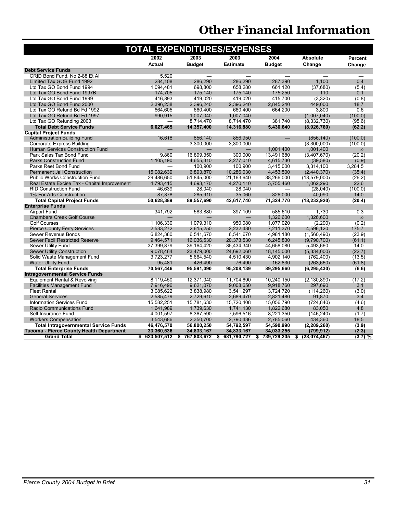| <b>TOTAL EXPENDITURES/EXPENSES</b>              |                                          |                   |                          |                          |                    |           |  |  |  |  |
|-------------------------------------------------|------------------------------------------|-------------------|--------------------------|--------------------------|--------------------|-----------|--|--|--|--|
|                                                 | 2003<br>2003<br>2002<br>2004<br>Absolute |                   |                          |                          |                    |           |  |  |  |  |
|                                                 | <b>Actual</b>                            | <b>Budget</b>     | <b>Estimate</b>          | <b>Budget</b>            | Change             | Change    |  |  |  |  |
| <b>Debt Service Funds</b>                       |                                          |                   |                          |                          |                    |           |  |  |  |  |
| CRID Bond Fund, No 2-88 Et Al                   | 5,520                                    |                   |                          |                          |                    |           |  |  |  |  |
| Limited Tax GOB Fund 1992                       | 284,108                                  | 286,290           | 286,290                  | 287,390                  | 1,100              | 0.4       |  |  |  |  |
| Ltd Tax GO Bond Fund 1994                       | 1,094,481                                | 698,800           | 658,280                  | 661,120                  | (37,680)           | (5.4)     |  |  |  |  |
| Ltd Tax GO Bond Fund 1997B                      | 174,705                                  | 175,140           | 175,140                  | 175,250                  | 110                | 0.1       |  |  |  |  |
| Ltd Tax GO Bond Fund 1999                       | 416,893                                  | 419,020           | 419,020                  | 415,700                  | (3, 320)           | (0.8)     |  |  |  |  |
| Ltd Tax GO Bond Fund 2000                       | 2,396,238                                | 2,396,240         | 2,396,240                | 2,845,240                | 449,000            | 18.7      |  |  |  |  |
| Ltd Tax GO Refund Bd Fd 1992                    | 664,605                                  | 660,400           | 660,400                  | 664,200                  | 3,800              | 0.6       |  |  |  |  |
| Ltd Tax GO Refund Bd Fd 1997                    | 990,915                                  | 1,007,040         | 1,007,040                | $\overline{\phantom{0}}$ | (1,007,040)        | (100.0)   |  |  |  |  |
| Ltd Tax GO Refunding 2003                       |                                          | 8,714,470         | 8,714,470                | 381,740                  | (8,332,730)        | (95.6)    |  |  |  |  |
| <b>Total Debt Service Funds</b>                 | 6,027,465                                | 14,357,400        | 14,316,880               | 5,430,640                | (8,926,760)        | (62.2)    |  |  |  |  |
| <b>Capital Project Funds</b>                    |                                          |                   |                          |                          |                    |           |  |  |  |  |
| <b>Administration Building Fund</b>             | 16,618                                   | 856,140           | 856,950                  |                          | (856, 140)         | (100.0)   |  |  |  |  |
| <b>Corporate Express Building</b>               | —                                        | 3.300.000         | 3.300.000                |                          | (3,300,000)        | (100.0)   |  |  |  |  |
| Human Services Construction Fund                | $\qquad \qquad -$                        |                   | $\overline{\phantom{0}}$ | 1,001,400                | 1,001,400          | $\infty$  |  |  |  |  |
| Park Sales Tax Bond Fund                        | 9.860                                    | 16,899,350        | 300.000                  | 13,491,680               | (3,407,670)        | (20.2)    |  |  |  |  |
| <b>Parks Construction Fund</b>                  | 1.105.190                                | 4,655,310         | 2,277,010                | 4,615,730                | (39,580)           | (0.9)     |  |  |  |  |
| Parks Reet Bond Fund                            |                                          | 100.900           | 100,900                  | 3,415,000                | 3,314,100          | 3,284.5   |  |  |  |  |
| <b>Permanent Jail Construction</b>              | 15,082,639                               | 6,893,870         | 10,286,030               | 4,453,500                | (2,440,370)        | (35.4)    |  |  |  |  |
| <b>Public Works Construction Fund</b>           | 29.486.650                               | 51,845,000        | 21,163,640               | 38,266,000               | (13, 579, 000)     | (26.2)    |  |  |  |  |
| Real Estate Excise Tax - Capital Improvement    | 4,793,415                                | 4,693,170         | 4,270,110                | 5,755,460                | 1,062,290          | 22.6      |  |  |  |  |
| <b>RID Construction Fund</b>                    | 46,639                                   | 28,040            | 28,040                   |                          | (28,040)           | (100.0)   |  |  |  |  |
| 1% For Arts Construction                        | 87,378                                   | 285,910           | 35,060                   | 326,000                  | 40,090             | 14.0      |  |  |  |  |
| <b>Total Capital Project Funds</b>              | 50.628.389                               | 89,557,690        | 42,617,740               | 71,324,770               | (18, 232, 920)     | (20.4)    |  |  |  |  |
| <b>Enterprise Funds</b>                         |                                          |                   |                          |                          |                    |           |  |  |  |  |
| <b>Airport Fund</b>                             | 341,792                                  | 583.880           | 397,109                  | 585.610                  | 1.730              | 0.3       |  |  |  |  |
| <b>Chambers Creek Golf Course</b>               |                                          |                   |                          | 1,326,600                | 1,326,600          | $\infty$  |  |  |  |  |
| <b>Golf Courses</b>                             | 1,106,330                                | 1,079,310         | 950,080                  | 1,077,020                | (2,290)            | (0.2)     |  |  |  |  |
| <b>Pierce County Ferry Services</b>             | 2,533,272                                | 2,615,250         | 2,232,430                | 7,211,370                | 4,596,120          | 175.7     |  |  |  |  |
| Sewer Revenue Bonds                             | 6,824,380                                | 6,541,670         | 6,541,670                | 4,981,180                | (1,560,490)        | (23.9)    |  |  |  |  |
| <b>Sewer Facil Restricted Reserve</b>           | 9,464,571                                | 16,036,530        | 20,373,530               | 6,245,830                | (9,790,700)        | (61.1)    |  |  |  |  |
| <b>Sewer Utility Fund</b>                       | 37,399,879                               | 39,164,420        | 35,434,340               | 44,658,080               | 5,493,660          | 14.0      |  |  |  |  |
| <b>Sewer Utility Construction</b>               | 9,078,464                                | 23,479,000        | 24,692,060               | 18,145,000               | (5,334,000)        | (22.7)    |  |  |  |  |
| Solid Waste Management Fund                     | 3,723,277                                | 5,664,540         | 4,510,430                | 4,902,140                | (762, 400)         | (13.5)    |  |  |  |  |
| <b>Water Utility Fund</b>                       | 95,481                                   | 426,490           | 76,490                   | 162,830                  | (263, 660)         | (61.8)    |  |  |  |  |
| <b>Total Enterprise Funds</b>                   | 70,567,446                               | 95,591,090        | 95,208,139               | 89,295,660               | (6, 295, 430)      | (6.6)     |  |  |  |  |
| <b>Intragovernmental Service Funds</b>          |                                          |                   |                          |                          |                    |           |  |  |  |  |
| Equipment Rental & Revolving                    | 8,119,450                                | 12,371,040        | 11,704,690               | 10,240,150               | (2, 130, 890)      | (17.2)    |  |  |  |  |
| <b>Facilities Management Fund</b>               | 7,916,496                                | 9,621,070         | 9,008,650                | 9,918,760                | 297,690            | 3.1       |  |  |  |  |
| <b>Fleet Rental</b>                             | 3,085,622                                | 3,838,980         | 3,541,297                | 3,724,720                | (114, 260)         | (3.0)     |  |  |  |  |
| <b>General Services</b>                         | 2,585,479                                | 2,729,610         | 2,689,470                | 2,821,480                | 91,870             | 3.4       |  |  |  |  |
| <b>Information Services Fund</b>                | 15,582,251                               | 15,781,630        | 15,720,408               | 15,056,790               | (724, 840)         | (4.6)     |  |  |  |  |
| Radio Communications Fund                       | 1,641,989                                | 1,739,630         | 1,741,130                | 1,822,680                | 83,050             | 4.8       |  |  |  |  |
| Self Insurance Fund                             | 4,001,597                                | 8,367,590         | 7,596,516                | 8,221,350                | (146, 240)         | (1.7)     |  |  |  |  |
| <b>Workers Compensation</b>                     | 3,543,686                                | 2,350,700         | 2,790,436                | 2,785,060                | 434,360            | 18.5      |  |  |  |  |
| <b>Total Intragovernmental Service Funds</b>    | 46,476,570                               | 56,800,250        | 54,792,597               | 54,590,990               | (2, 209, 260)      | (3.9)     |  |  |  |  |
| <b>Tacoma - Pierce County Health Department</b> | 33,360,536                               | 34,833,167        | 34,833,167               | 34,033,255               | (799, 912)         | (2.3)     |  |  |  |  |
| <b>Grand Total</b>                              | 623,507,512<br>\$                        | 767,803,672<br>\$ | 681,790,727<br>- \$      | 739,729,205<br>\$        | (28,074,467)<br>\$ | $(3.7)$ % |  |  |  |  |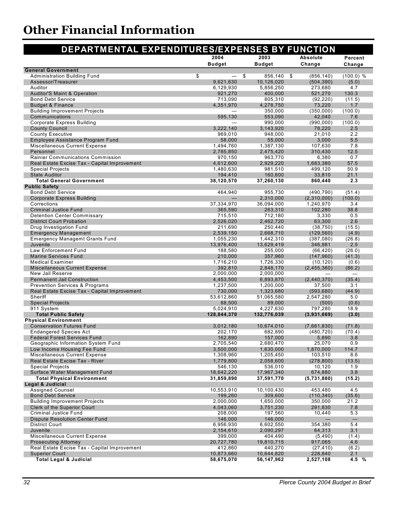| DEPARTMENTAL EXPENDITURES/EXPENSES BY FUNCTION                                  |                        |                         |                         |                   |
|---------------------------------------------------------------------------------|------------------------|-------------------------|-------------------------|-------------------|
|                                                                                 | 2004                   | 2003                    | Absolute                | Percent           |
|                                                                                 | <b>Budget</b>          | <b>Budget</b>           | Change                  | Change            |
| <b>General Government</b>                                                       |                        |                         |                         |                   |
| <b>Administration Building Fund</b>                                             | \$<br>\$               | 856,140                 | (856, 140)<br>-\$       | (100.0) %         |
| Assessor/Treasurer<br>Auditor                                                   | 9,621,630<br>6,129,930 | 10,126,020<br>5,856,250 | (504, 390)<br>273,680   | (5.0)<br>4.7      |
| <b>Auditor'S Maint &amp; Operation</b>                                          | 921,270                | 400,000                 | 521,270                 | 130.3             |
| <b>Bond Debt Service</b>                                                        | 713,090                | 805,310                 | (92, 220)               | (11.5)            |
| <b>Budget &amp; Finance</b>                                                     | 4,351,970              | 4,278,750               | 73,220                  | 1.7               |
| <b>Building Improvement Projects</b>                                            |                        | 350,000                 | (350,000)               | (100.0)           |
| Communications                                                                  | 595,130                | 553,090                 | 42,040                  | 7.6               |
| <b>Corporate Express Building</b><br><b>County Council</b>                      | 3,222,140              | 990,000<br>3,143,920    | (990,000)<br>78,220     | (100.0)<br>2.5    |
| <b>County Executive</b>                                                         | 969,010                | 948,000                 | 21,010                  | 2.2               |
| Employee Assistance Program Fund                                                | 58,000                 | 55,000                  | 3,000                   | 5.5               |
| Miscellaneous Current Expense                                                   | 1,494,760              | 1,387,130               | 107,630                 | 7.8               |
| Personnel                                                                       | 2,785,850              | 2,475,420               | 310,430                 | 12.5              |
| <b>Rainier Communications Commission</b>                                        | 970,150                | 963,770                 | 6,380                   | 0.7               |
| Real Estate Excise Tax - Capital Improvement                                    | 4,612,600              | 2,929,220               | 1,683,380               | 57.5              |
| <b>Special Projects</b>                                                         | 1,480,630              | 981,510                 | 499,120                 | 50.9              |
| <b>State Auditor</b>                                                            | 194,410                | 160,600                 | 33,810                  | 21.1              |
| <b>Total General Government</b><br><b>Public Safety</b>                         | 38,120,570             | 37,260,130              | 860,440                 | 2.3               |
| <b>Bond Debt Service</b>                                                        | 464,940                | 955,730                 | (490, 790)              | (51.4)            |
| Corporate Express Building                                                      |                        | 2,310,000               | (2,310,000)             | (100.0)           |
| Corrections                                                                     | 37,334,970             | 36,094,000              | 1,240,970               | 3.4               |
| <b>Criminal Justice Fund</b>                                                    | 365,590                | 263,310                 | 102,280                 | 38.8              |
| <b>Detention Center Commissary</b>                                              | 715,510                | 712,180                 | 3,330                   | 0.5               |
| <b>District Court Probation</b>                                                 | 2,526,020              | 2,462,720               | 63,300                  | 2.6               |
| Drug Investigation Fund<br><b>Emergency Management</b>                          | 211,690<br>2,539,150   | 250,440<br>2,668,710    | (38, 750)<br>(129, 560) | (15.5)<br>(4.9)   |
| <b>Emergency Managemt Grants Fund</b>                                           | 1,055,230              | 1,442,310               | (387,080)               | (26.8)            |
| Juvenile                                                                        | 13,976,400             | 13,629,419              | 346,981                 | 2.5               |
| Law Enforcement Fund                                                            | 188,580                | 255,000                 | (66, 420)               | (26.0)            |
| Marine Services Fund                                                            | 210,000                | 357,960                 | (147, 960)              | (41.3)            |
| <b>Medical Examiner</b>                                                         | 1,716,210              | 1,726,330               | (10, 120)               | (0.6)             |
| Miscellaneous Current Expense                                                   | 392,810                | 2,848,170               | (2,455,360)             | (86.2)            |
| New Jail Reserve                                                                | 2,000,000              | 2,000,000               |                         |                   |
| <b>Permanent Jail Construction</b><br><b>Prevention Services &amp; Programs</b> | 4,453,500<br>1,237,500 | 6,893,870<br>1,200,000  | (2,440,370)<br>37,500   | (35.4)<br>3.1     |
| Real Estate Excise Tax - Capital Improvement                                    | 730,000                | 1,323,680               | (593, 680)              | (44.9)            |
| Sheriff                                                                         | 53,612,860             | 51,065,580              | 2,547,280               | 5.0               |
| <b>Special Projects</b>                                                         | 88,500                 | 89,000                  | (500)                   | (0.6)             |
| 911 System                                                                      | 5,024,910              | 4,227,630               | 797,280                 | 18.9              |
| <b>Total Public Safety</b>                                                      | 128,844,370            | 132,776,039             | (3,931,669)             | (3.0)             |
| <b>Physical Environment</b>                                                     |                        |                         |                         |                   |
| <b>Conservation Futures Fund</b>                                                | 3,012,180              | 10,674,010              | (7,661,830)             | (71.8)            |
| <b>Endangered Species Act</b><br><b>Federal Forest Services Fund</b>            | 202,170<br>162,890     | 682,890<br>157,000      | (480, 720)<br>5,890     | (70.4)<br>3.8     |
| Geographic Information System Fund                                              | 2,705,540              | 2,680,470               | 25,070                  | 0.9               |
| Low Income Housing Fee Fund                                                     | 3,500,000              | 1,630,000               | 1,870,000               | 114.7             |
| Miscellaneous Current Expense                                                   | 1,308,960              | 1,205,450               | 103,510                 | 8.6               |
| Real Estate Excise Tax - River                                                  | 1,779,800              | 2,058,600               | (278, 800)              | (13.5)            |
| <b>Special Projects</b>                                                         | 546,130                | 536,010                 | 10,120                  | 1.9               |
| Surface Water Management Fund                                                   | 18,642,220             | 17,967,340              | 674,880                 | 3.8               |
| <b>Total Physical Environment</b>                                               | 31,859,890             | 37,591,770              | (5,731,880)             | (15.2)            |
| <b>Legal &amp; Judicial</b><br><b>Assigned Counsel</b>                          | 10,553,910             | 10,100,430              | 453,480                 | 4.5               |
| <b>Bond Debt Service</b>                                                        | 199,260                | 309,600                 | (110, 340)              | (35.6)            |
| <b>Building Improvement Projects</b>                                            | 2,000,000              | 1,650,000               | 350,000                 | 21.2              |
| Clerk of the Superior Court                                                     | 4,043,060              | 3,751,230               | 291,830                 | 7.8               |
| Criminal Justice Fund                                                           | 208,000                | 197,560                 | 10,440                  | 5.3               |
| Dispute Resolution Center Fund                                                  | 146,000                | 146,000                 |                         | $\qquad \qquad -$ |
| <b>District Court</b>                                                           | 6,956,930              | 6,602,550               | 354,380                 | 5.4               |
| Juvenile                                                                        | 2,154,610              | 2,090,297               | 64,313                  | 3.1               |
| Miscellaneous Current Expense                                                   | 399,000                | 404,490                 | (5, 490)                | (1.4)<br>4.6      |
| <b>Prosecuting Attorney</b><br>Real Estate Excise Tax - Capital Improvement     | 20,727,780<br>412,860  | 19,810,715<br>440,270   | 917,065<br>(27, 410)    | (6.2)             |
| <b>Superior Court</b>                                                           | 10,873,660             | 10,644,820              | 228,840                 | 2.1               |
| <b>Total Legal &amp; Judicial</b>                                               | 58,675,070             | 56,147,962              | 2,527,108               | 4.5 %             |